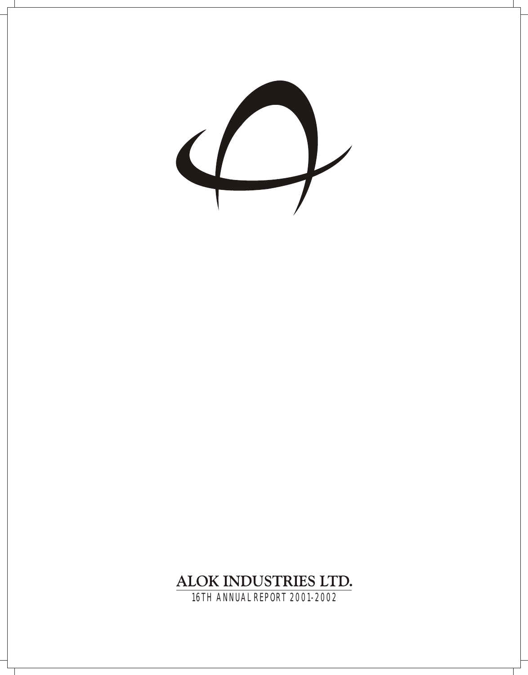$\left\langle \rule{0pt}{10pt}\right.$ 

# ALOK INDUSTRIES LTD.

16TH ANNUAL REPORT 2001-2002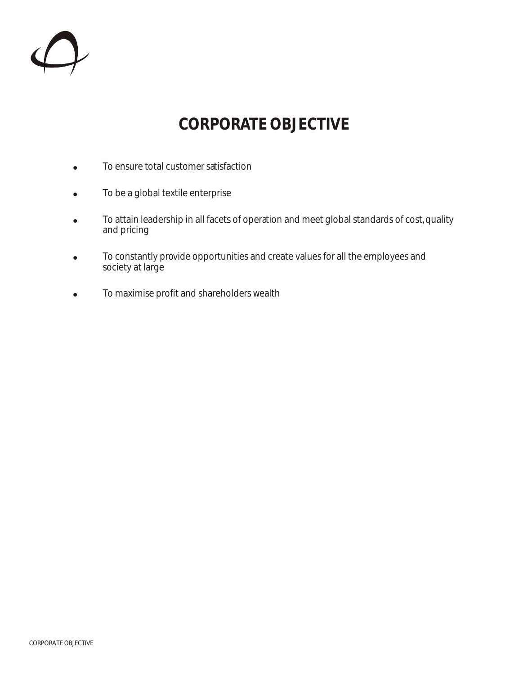

# **CORPORATE OBJECTIVE**

- $\bullet$  To ensure total customer satisfaction
- To be a global textile enterprise
- To attain leadership in all facets of operation and meet global standards of cost, quality and pricing
- To constantly provide opportunities and create values for all the employees and society at large
- . To maximise profit and shareholders wealth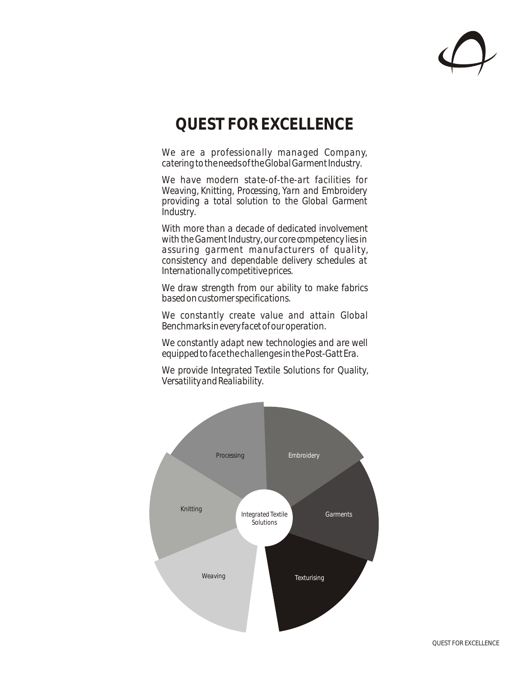

# **QUEST FOR EXCELLENCE**

*We are a professionally managed Company, catering to the needs of the Global Garment Industry.*

*We have modern state-of-the-art facilities for Weaving, Knitting, Processing, Yarn and Embroidery providing a total solution to the Global Garment Industry.*

*With more than a decade of dedicated involvement with the Gament Industry, our core competency lies in assuring garment manufacturers of quality, consistency and dependable delivery schedules at Internationally competitive prices.*

*We draw strength from our ability to make fabrics based on customer specifications.*

*We constantly create value and attain Global Benchmarks in every facet of our operation.*

*We constantly adapt new technologies and are well equipped to face the challenges in the Post-Gatt Era.*

*We provide Integrated Textile Solutions for Quality, Versatility and Realiability.*

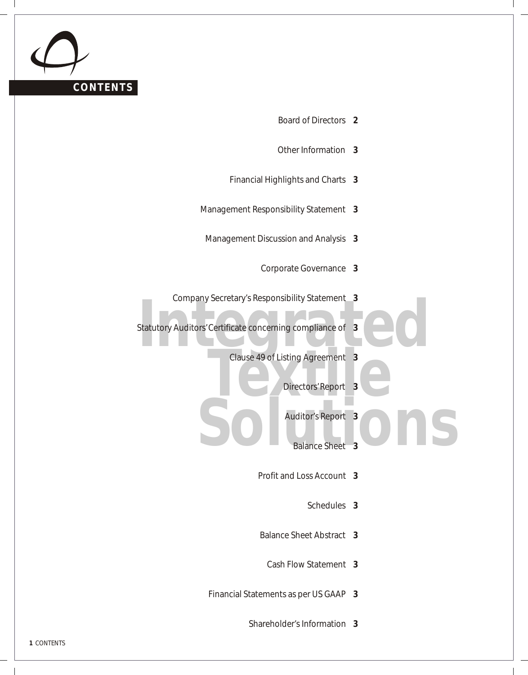

- Board of Directors **2**
- Other Information **3**
- Financial Highlights and Charts **3**
- Management Responsibility Statement **3**
- Management Discussion and Analysis **3**
	- Corporate Governance **3**
- Company Secretary's Responsibility Statement **3**
- Company Secretary S Responsibility Statement<br>Statutory Auditors' Certificate concerning compliance of 3<br>Clause 49 of Listing Agreement 3 Statutory Auditors' Certificate concerning compliance of **3**
	- **Clause 49 of Listing Agreement 3<br>Directors Report 3** 
		- Directors' Report **3**
	- **Solutions**<br> **Solutions**<br> **Solutions**<br> **Solutions**<br> **Solutions**<br> **Solutions** Auditor's Report **3**
		- Balance Sheet **3**
		- Profit and Loss Account **3**
			- Schedules **3**
		- Balance Sheet Abstract **3**
			- Cash Flow Statement **3**
		- Financial Statements as per US GAAP **3**
			- Shareholder's Information **3**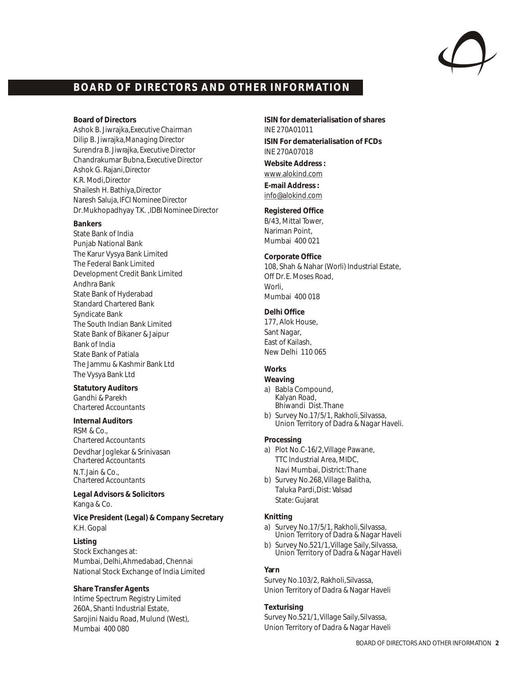

### **BOARD OF DIRECTORS AND OTHER INFORMATION**

**Board of Directors**

Ashok B. Jiwrajka,*Executive Chairman* Dilip B. Jiwrajka,*Managing Director* Surendra B. Jiwrajka, *Executive Director* Chandrakumar Bubna, *Executive Director* Ashok G. Rajani,*Director* K.R. Modi,*Director* Shailesh H. Bathiya,*Director* Naresh Saluja, *IFCI Nominee Director* Dr. Mukhopadhyay T.K. ,*IDBI Nominee Director*

**Bankers**

State Bank of India Punjab National Bank The Karur Vysya Bank Limited The Federal Bank Limited Development Credit Bank Limited Andhra Bank State Bank of Hyderabad Standard Chartered Bank Syndicate Bank The South Indian Bank Limited State Bank of Bikaner & Jaipur Bank of India State Bank of Patiala The Jammu & Kashmir Bank Ltd The Vysya Bank Ltd

**Statutory Auditors** Gandhi & Parekh *Chartered Accountants*

**Internal Auditors** RSM & Co., *Chartered Accountants* Devdhar Joglekar & Srinivasan

*Chartered Accountants* N.T. Jain & Co., *Chartered Accountants*

**Legal Advisors & Solicitors** Kanga & Co.

**Vice President (Legal) & Company Secretary** K.H. Gopal

**Listing**  Stock Exchanges at: Mumbai, Delhi, Ahmedabad, Chennai National Stock Exchange of India Limited

**Share Transfer Agents** Intime Spectrum Registry Limited 260A, Shanti Industrial Estate, Sarojini Naidu Road, Mulund (West), Mumbai 400 080

**ISIN for dematerialisation of shares** INE 270A01011 **ISIN For dematerialisation of FCDs** INE 270A07018 **Website Address :** www.alokind.com **E-mail Address :** info@alokind.com

**Registered Office** B/43, Mittal Tower, Nariman Point, Mumbai 400 021

**Corporate Office** 108, Shah & Nahar (Worli) Industrial Estate, Off Dr. E. Moses Road, Worli Mumbai 400 018

**Delhi Office** 177, Alok House, Sant Nagar, East of Kailash, New Delhi 110 065

**Works** 

- **Weaving** a) Babla Compound, Kalyan Road,
- Bhiwandi Dist. Thane
- b) Survey No.17/5/1, Rakholi, Silvassa, Union Territory of Dadra & Nagar Haveli.

### **Processing**

- a) Plot No.C-16/2, Village Pawane, TTC Industrial Area, MIDC, Navi Mumbai, District: Thane
- b) Survey No.268, Village Balitha, Taluka Pardi, Dist: Valsad State: Gujarat

#### **Knitting**

a) Survey No.17/5/1, Rakholi, Silvassa, Union Territory of Dadra & Nagar Haveli

b) Survey No.521/1, Village Saily, Silvassa, Union Territory of Dadra & Nagar Haveli

### **Yarn**

Survey No.103/2, Rakholi, Silvassa, Union Territory of Dadra & Nagar Haveli

**Texturising** Survey No.521/1, Village Saily, Silvassa, Union Territory of Dadra & Nagar Haveli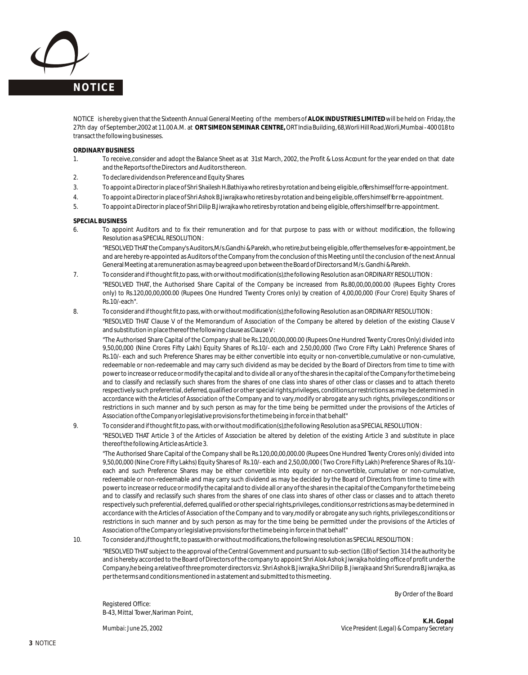

NOTICE is hereby given that the Sixteenth Annual General Meeting of the members of **ALOK INDUSTRIES LIMITED** will be held on Friday, the 27th day of September, 2002 at 11.00 A.M. at **ORT SIMEON SEMINAR CENTRE,** ORT India Building, 68, Worli Hill Road, Worli, Mumbai - 400 018 to transact the following businesses.

#### **ORDINARY BUSINESS**

- 1. To receive, consider and adopt the Balance Sheet as at 31st March, 2002, the Profit & Loss Account for the year ended on that date and the Reports of the Directors and Auditors thereon.
- 2. To declare dividends on Preference and Equity Shares.
- 3. To appoint a Director in place of Shri Shailesh H. Bathiya who retires by rotation and being eligible, offers himself for re-appointment.
- 4. To appoint a Director in place of Shri Ashok B. Jiwrajka who retires by rotation and being eligible, offers himself for re-appointment.
- 5. To appoint a Director in place of Shri Dilip B. Jiwrajka who retires by rotation and being eligible, offers himself for re-appointment.

#### **SPECIAL BUSINESS**

6. To appoint Auditors and to fix their remuneration and for that purpose to pass with or without modification, the following Resolution as a SPECIAL RESOLUTION :

"RESOLVED THAT the Company's Auditors, M/s.Gandhi & Parekh, who retire, but being eligible, offer themselves for re-appointment, be and are hereby re-appointed as Auditors of the Company from the conclusion of this Meeting until the conclusion of the next Annual General Meeting at a remuneration as may be agreed upon between the Board of Directors and M/s. Gandhi & Parekh.

- 7. To consider and if thought fit, to pass, with or without modification(s), the following Resolution as an ORDINARY RESOLUTION : "RESOLVED THAT, the Authorised Share Capital of the Company be increased from Rs.80,00,00,000.00 (Rupees Eighty Crores only) to Rs.120,00,00,000.00 (Rupees One Hundred Twenty Crores only) by creation of 4,00,00,000 (Four Crore) Equity Shares of Rs.10/-each".
- 8. To consider and if thought fit, to pass, with or without modification(s), the following Resolution as an ORDINARY RESOLUTION : "RESOLVED THAT Clause V of the Memorandum of Association of the Company be altered by deletion of the existing Clause V and substitution in place thereof the following clause as Clause V:

"The Authorised Share Capital of the Company shall be Rs.120,00,00,000.00 (Rupees One Hundred Twenty Crores Only) divided into 9,50,00,000 (Nine Crores Fifty Lakh) Equity Shares of Rs.10/- each and 2,50,00,000 (Two Crore Fifty Lakh) Preference Shares of Rs.10/- each and such Preference Shares may be either convertible into equity or non-convertible, cumulative or non-cumulative, redeemable or non-redeemable and may carry such dividend as may be decided by the Board of Directors from time to time with power to increase or reduce or modify the capital and to divide all or any of the shares in the capital of the Company for the time being and to classify and reclassify such shares from the shares of one class into shares of other class or classes and to attach thereto respectively such preferential, deferred, qualified or other special rights, privileges, conditions, or restrictions as may be determined in accordance with the Articles of Association of the Company and to vary, modify or abrogate any such rights, privileges, conditions or restrictions in such manner and by such person as may for the time being be permitted under the provisions of the Articles of Association of the Company or legislative provisions for the time being in force in that behalf."

9. To consider and if thought fit, to pass, with or without modification(s), the following Resolution as a SPECIAL RESOLUTION :

"RESOLVED THAT Article 3 of the Articles of Association be altered by deletion of the existing Article 3 and substitute in place thereof the following Article as Article 3.

"The Authorised Share Capital of the Company shall be Rs.120,00,00,000.00 (Rupees One Hundred Twenty Crores only) divided into 9,50,00,000 (Nine Crore Fifty Lakhs) Equity Shares of Rs.10/- each and 2,50,00,000 ( Two Crore Fifty Lakh) Preference Shares of Rs.10/ each and such Preference Shares may be either convertible into equity or non-convertible, cumulative or non-cumulative, redeemable or non-redeemable and may carry such dividend as may be decided by the Board of Directors from time to time with power to increase or reduce or modify the capital and to divide all or any of the shares in the capital of the Company for the time being and to classify and reclassify such shares from the shares of one class into shares of other class or classes and to attach thereto respectively such preferential, deferred, qualified or other special rights, privileges, conditions, or restrictions as may be determined in accordance with the Articles of Association of the Company and to vary, modify or abrogate any such rights, privileges, conditions or restrictions in such manner and by such person as may for the time being be permitted under the provisions of the Articles of Association of the Company or legislative provisions for the time being in force in that behalf."

10. To consider and, if thought fit, to pass, with or without modifications, the following resolution as SPECIAL RESOLUTION :

"RESOLVED THAT subject to the approval of the Central Government and pursuant to sub-section (1B) of Section 314 the authority be and is hereby accorded to the Board of Directors of the company to appoint Shri Alok Ashok Jiwrajka holding office of profit under the Company, he being a relative of three promoter directors viz. Shri Ashok B. Jiwrajka, Shri Dilip B. Jiwrajka and Shri Surendra B. Jiwrajka, as per the terms and conditions mentioned in a statement and submitted to this meeting.

By Order of the Board

Registered Office: B-43, Mittal Tower, Nariman Point,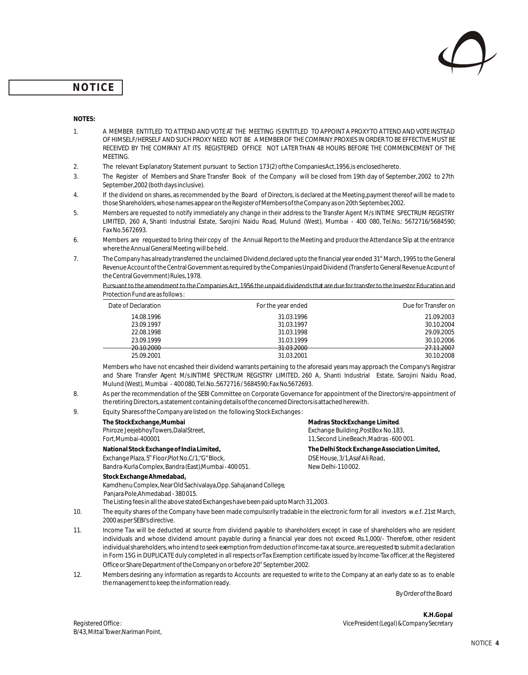

### **NOTICE**

#### **NOTES:**

- 1. A MEMBER ENTITLED TO ATTEND AND VOTE AT THE MEETING IS ENTITLED TO APPOINT A PROXY TO ATTEND AND VOTE INSTEAD OF HIMSELF/HERSELF AND SUCH PROXY NEED NOT BE A MEMBER OF THE COMPANY. PROXIES IN ORDER TO BE EFFECTIVE MUST BE RECEIVED BY THE COMPANY AT ITS REGISTERED OFFICE NOT LATER THAN 48 HOURS BEFORE THE COMMENCEMENT OF THE **MEETING**
- 2. The relevant Explanatory Statement pursuant to Section 173 (2) of the Companies Act, 1956, is enclosed hereto.
- 3. The Register of Members and Share Transfer Book of the Company will be closed from 19th day of September, 2002 to 27th September, 2002 (both days inclusive).
- 4. If the dividend on shares, as recommended by the Board of Directors, is declared at the Meeting, payment thereof will be made to those Shareholders, whose names appear on the Register of Members of the Company as on 20th September, 2002.
- 5. Members are requested to notify immediately any change in their address to the Transfer Agent M/s INTIME SPECTRUM REGISTRY LIMITED, 260 A, Shanti Industrial Estate, Sarojini Naidu Road, Mulund (West), Mumbai - 400 080, Tel.No.: 5672716/5684590; Fax No.5672693.
- 6. Members are requested to bring their copy of the Annual Report to the Meeting and produce the Attendance Slip at the entrance where the Annual General Meeting will be held.
- 7. The Company has already transferred the unclaimed Dividend, declared upto the financial year ended 31<sup>st</sup> March, 1995 to the General Revenue Account of the Central Government as required by the Companies Unpaid Dividend (Transfer to General Revenue Account of the Central Government) Rules, 1978.

Pursuant to the amendment to the Companies Act, 1956 the unpaid dividends that are due for transfer to the Investor Education and Protection Fund are as follows :

| Date of Declaration | For the year ended | Due for Transfer on |
|---------------------|--------------------|---------------------|
| 14.08.1996          | 31.03.1996         | 21.09.2003          |
| 23.09.1997          | 31.03.1997         | 30.10.2004          |
| 22.08.1998          | 31.03.1998         | 29.09.2005          |
| 23.09.1999          | 31.03.1999         | 30.10.2006          |
| 20.10.2000          | 31.03.2000         | 27.11.2007          |
| 25.09.2001          | 31.03.2001         | 30.10.2008          |

Members who have not encashed their dividend warrants pertaining to the aforesaid years may approach the Company's Registrar and Share Transfer Agent M/s.INTIME SPECTRUM REGISTRY LIMITED, 260 A, Shanti Industrial Estate, Sarojini Naidu Road, Mulund (West), Mumbai - 400 080, Tel.No.: 5672716 / 5684590; Fax No.5672693.

- 8. As per the recommendation of the SEBI Committee on Corporate Governance for appointment of the Directors/re-appointment of the retiring Directors, a statement containing details of the concerned Directors is attached herewith.
- 9. Equity Shares of the Company are listed on the following Stock Exchanges :

| The StockExchange, Mumbai                                                             | Madras StockExchange Limited.                 |
|---------------------------------------------------------------------------------------|-----------------------------------------------|
| Phiroze JeejebhoyTowers, DalalStreet,                                                 | Exchange Building, PostBox No.183,            |
| Fort, Mumbai-400001                                                                   | 11, Second LineBeach, Madras - 600 001.       |
| National Stock Exchange of India Limited,                                             | The Delhi Stock Exchange Association Limited, |
| Exchange Plaza, 5 <sup>th</sup> Floor, Plot No.C/1, "G" Block,                        | DSE House, 3/1, Asaf Ali Road,                |
| Bandra-Kurla Complex, Bandra (East), Mumbai - 400 051.                                | New Delhi-110002.                             |
| Stock Exchange Ahmedabad,                                                             |                                               |
| Kamdhenu Complex, Near Old Sachivalaya, Opp. Sahajanand College,                      |                                               |
| Panjara Pole, Ahmedabad - 380015.                                                     |                                               |
| The Listing fees in all the above stated Exchanges have been paid upto March 31,2003. |                                               |

- 10. The equity shares of the Company have been made compulsorily tradable in the electronic form for all investors w.e.f. 21st March, 2000 as per SEBI's directive.
- 11. Income Tax will be deducted at source from dividend payable to shareholders except in case of shareholders who are resident individuals and whose dividend amount payable during a financial year does not exceed Rs.1,000/- Therefore, other resident individual shareholders, who intend to seek exemption from deduction of Income-tax at source, are requested to submit a declaration in Form 15G in DUPLICATE duly completed in all respects or Tax Exemption certificate issued by Income-Tax officer, at the Registered Office or Share Department of the Company on or before 20<sup>th</sup> September, 2002.
- 12. Members desiring any information as regards to Accounts are requested to write to the Company at an early date so as to enable the management to keep the information ready.

By Order of the Board

**K.H.Gopal** Registered Office : *Vice President (Legal) & Company Secretary*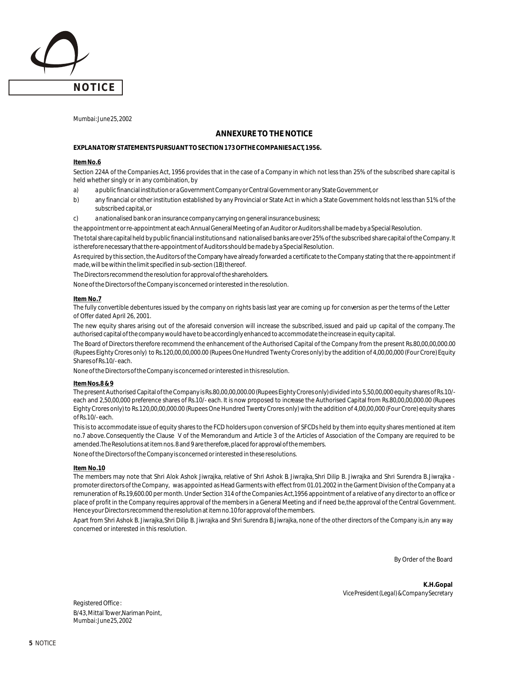

*Mumbai: June 25, 2002*

### **ANNEXURE TO THE NOTICE**

#### **EXPLANATORY STATEMENTS PURSUANT TO SECTION 173 OF THE COMPANIES ACT, 1956.**

#### **Item No.6**

Section 224A of the Companies Act, 1956 provides that in the case of a Company in which not less than 25% of the subscribed share capital is held whether singly or in any combination, by

- a) a public financial institution or a Government Company or Central Government or any State Government, or
- b) any financial or other institution established by any Provincial or State Act in which a State Government holds not less than 51% of the subscribed capital, or
- c) a nationalised bank or an insurance company carrying on general insurance business;

the appointment or re-appointment at each Annual General Meeting of an Auditor or Auditors shall be made by a Special Resolution.

The total share capital held by public financial institutions and nationalised banks are over 25% of the subscribed share capital of the Company. It is therefore necessary that the re-appointment of Auditors should be made by a Special Resolution.

As required by this section, the Auditors of the Company have already forwarded a certificate to the Company stating that the re-appointment if made, will be within the limit specified in sub-section (1B) thereof.

The Directors recommend the resolution for approval of the shareholders.

None of the Directors of the Company is concerned or interested in the resolution.

#### **Item No.7**

The fully convertible debentures issued by the company on rights basis last year are coming up for conversion as per the terms of the Letter of Offer dated April 26, 2001.

The new equity shares arising out of the aforesaid conversion will increase the subscribed, issued and paid up capital of the company. The authorised capital of the company would have to be accordingly enhanced to accommodate the increase in equity capital.

The Board of Directors therefore recommend the enhancement of the Authorised Capital of the Company from the present Rs.80,00,00,000.00 (Rupees Eighty Crores only) to Rs.120,00,00,000.00 (Rupees One Hundred Twenty Crores only) by the addition of 4,00,00,000 (Four Crore) Equity Shares of Rs.10/- each.

None of the Directors of the Company is concerned or interested in this resolution.

#### **Item Nos.8 & 9**

The present Authorised Capital of the Company is Rs.80,00,00,000.00 (Rupees Eighty Crores only) divided into 5,50,00,000 equity shares of Rs.10/ each and 2,50,00,000 preference shares of Rs.10/- each. It is now proposed to increase the Authorised Capital from Rs.80,00,00,000.00 (Rupees Eighty Crores only) to Rs.120,00,00,000.00 (Rupees One Hundred Twenty Crores only) with the addition of 4,00,00,000 (Four Crore) equity shares of Rs.10/- each.

This is to accommodate issue of equity shares to the FCD holders upon conversion of SFCDs held by them into equity shares mentioned at item no.7 above. Consequently the Clause V of the Memorandum and Article 3 of the Articles of Association of the Company are required to be amended. The Resolutions at item nos. 8 and 9 are therefore, placed for approval of the members.

None of the Directors of the Company is concerned or interested in these resolutions.

#### **Item No.10**

The members may note that Shri Alok Ashok Jiwrajka, relative of Shri Ashok B. Jiwrajka, Shri Dilip B. Jiwrajka and Shri Surendra B. Jiwrajka promoter directors of the Company, was appointed as Head Garments with effect from 01.01.2002 in the Garment Division of the Company at a remuneration of Rs.19,600.00 per month. Under Section 314 of the Companies Act, 1956 appointment of a relative of any director to an office or place of profit in the Company requires approval of the members in a General Meeting and if need be, the approval of the Central Government. Hence your Directors recommend the resolution at item no.10 for approval of the members.

Apart from Shri Ashok B. Jiwrajka, Shri Dilip B. Jiwrajka and Shri Surendra B. Jiwrajka, none of the other directors of the Company is, in any way concerned or interested in this resolution.

By Order of the Board

**K.H.Gopal** *Vice President (Legal) & Company Secretary*

Registered Office : B/43, Mittal Tower, Nariman Point, *Mumbai: June 25, 2002*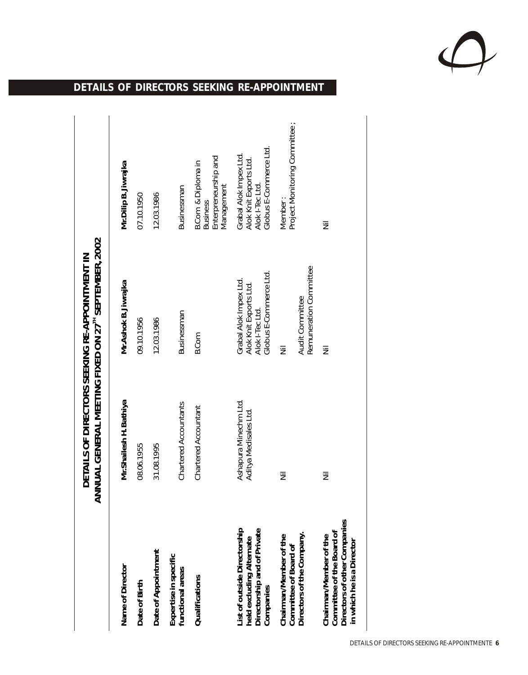

# **DETAILS OF DIRECTORS SEEKING RE-APPOINTMENT**

|                                                                                                                  | ANNUAL GENERAL MEETING FIXED ON 27 <sup>TH</sup> SEPTEMBER, 2002 | DETAILS OF DIRECTORS SEEKING RE-APPOINTMENT IN                                                |                                                                                               |
|------------------------------------------------------------------------------------------------------------------|------------------------------------------------------------------|-----------------------------------------------------------------------------------------------|-----------------------------------------------------------------------------------------------|
| Name of Director                                                                                                 | Mr. Shailesh H. Bathiya                                          | Mr. Ashok B. Jiwrajka                                                                         | Mr. Dilip B. Jiwrajka                                                                         |
| Date of Birth                                                                                                    | 08.06.1955                                                       | 09.10.1956                                                                                    | 07.10.1950                                                                                    |
| Date of Appointment                                                                                              | 31.08.1995                                                       | 12.03.1986                                                                                    | 12.03.1986                                                                                    |
| Expertise in specific<br>functional areas                                                                        | Chartered Accountants                                            | Businessman                                                                                   | Businessman                                                                                   |
| Qualifications                                                                                                   | Chartered Accountant                                             | B.Com                                                                                         | Enterpreneurship and<br><b>B.Com &amp; Diploma in</b><br>Management<br><b>Business</b>        |
| List of outside Directorship<br>Directorship and of Private<br>held excluding Alternate<br>Companies             | Ashapura Minechm Ltd.<br>Aditya Medisales Ltd.                   | Globus E-Commerce Ltd.<br>Grabal Alok Impex Ltd.<br>Alok Knit Exports Ltd.<br>Alok I-Tec Ltd. | Globus E-Commerce Ltd.<br>Grabal Alok Impex Ltd.<br>Alok Knit Exports Ltd.<br>Alok I-Tec Ltd. |
| Chairman/Member of the<br>Committee of Board of                                                                  | 亖                                                                | 亖                                                                                             | Project Monitoring Committee ;<br>Member:                                                     |
| Directors of the Company.                                                                                        |                                                                  | Remuneration Committee<br>Audit Committee                                                     |                                                                                               |
| Directors of other Companies<br>Committee of the Board of<br>Chairman/Member of the<br>in which he is a Director | 亖                                                                | 亖                                                                                             | 亖                                                                                             |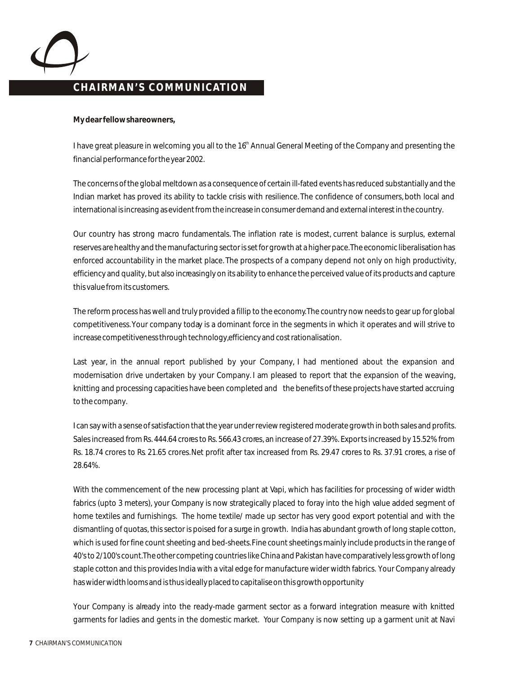

### **CHAIRMAN'S COMMUNICATION CHAIRMAN'S COMMUNICATION**

**My dear fellow shareowners,**

I have great pleasure in welcoming you all to the 16<sup>th</sup> Annual General Meeting of the Company and presenting the financial performance for the year 2002.

The concerns of the global meltdown as a consequence of certain ill-fated events has reduced substantially and the Indian market has proved its ability to tackle crisis with resilience. The confidence of consumers, both local and international is increasing as evident from the increase in consumer demand and external interest in the country.

Our country has strong macro fundamentals. The inflation rate is modest, current balance is surplus, external reserves are healthy and the manufacturing sector is set for growth at a higher pace. The economic liberalisation has enforced accountability in the market place. The prospects of a company depend not only on high productivity, efficiency and quality, but also increasingly on its ability to enhance the perceived value of its products and capture this value from its customers.

The reform process has well and truly provided a fillip to the economy. The country now needs to gear up for global competitiveness. Your company today is a dominant force in the segments in which it operates and will strive to increase competitiveness through technology, efficiency and cost rationalisation.

Last year, in the annual report published by your Company, I had mentioned about the expansion and modernisation drive undertaken by your Company. I am pleased to report that the expansion of the weaving, knitting and processing capacities have been completed and the benefits of these projects have started accruing to the company.

I can say with a sense of satisfaction that the year under review registered moderate growth in both sales and profits. Sales increased from Rs. 444.64 crores to Rs. 566.43 crores, an increase of 27.39%. Exports increased by 15.52% from Rs. 18.74 crores to Rs. 21.65 crores. Net profit after tax increased from Rs. 29.47 crores to Rs. 37.91 crores, a rise of 28.64%.

With the commencement of the new processing plant at Vapi, which has facilities for processing of wider width fabrics (upto 3 meters), your Company is now strategically placed to foray into the high value added segment of home textiles and furnishings. The home textile/ made up sector has very good export potential and with the dismantling of quotas, this sector is poised for a surge in growth. India has abundant growth of long staple cotton, which is used for fine count sheeting and bed-sheets. Fine count sheetings mainly include products in the range of 40's to 2/100's count. The other competing countries like China and Pakistan have comparatively less growth of long staple cotton and this provides India with a vital edge for manufacture wider width fabrics. Your Company already has wider width looms and is thus ideally placed to capitalise on this growth opportunity

Your Company is already into the ready-made garment sector as a forward integration measure with knitted garments for ladies and gents in the domestic market. Your Company is now setting up a garment unit at Navi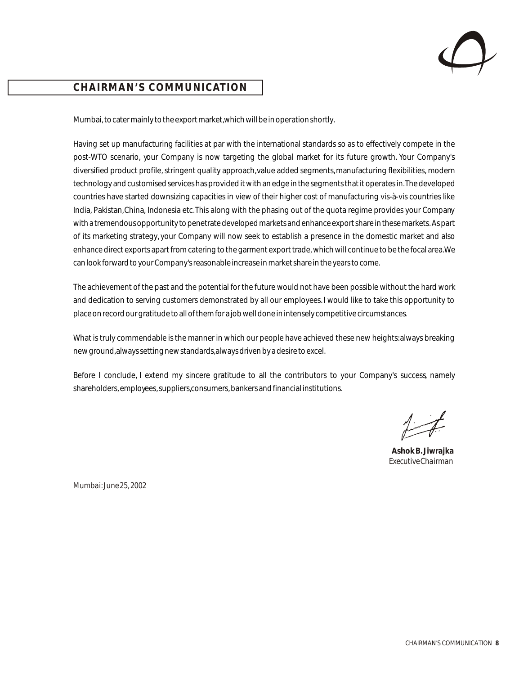

## **CHAIRMAN'S COMMUNICATION CHAIRMAN'S COMMUNICATION**

Mumbai, to cater mainly to the export market, which will be in operation shortly.

Having set up manufacturing facilities at par with the international standards so as to effectively compete in the post-WTO scenario, your Company is now targeting the global market for its future growth. Your Company's diversified product profile, stringent quality approach, value added segments, manufacturing flexibilities, modern technology and customised services has provided it with an edge in the segments that it operates in. The developed countries have started downsizing capacities in view of their higher cost of manufacturing vis-à-vis countries like India, Pakistan, China, Indonesia etc. This along with the phasing out of the quota regime provides your Company with a tremendous opportunity to penetrate developed markets and enhance export share in these markets. As part of its marketing strategy, your Company will now seek to establish a presence in the domestic market and also enhance direct exports apart from catering to the garment export trade, which will continue to be the focal area. We can look forward to your Company's reasonable increase in market share in the years to come.

The achievement of the past and the potential for the future would not have been possible without the hard work and dedication to serving customers demonstrated by all our employees. I would like to take this opportunity to place on record our gratitude to all of them for a job well done in intensely competitive circumstances.

What is truly commendable is the manner in which our people have achieved these new heights: always breaking new ground, always setting new standards, always driven by a desire to excel.

Before I conclude, I extend my sincere gratitude to all the contributors to your Company's success, namely shareholders, employees, suppliers, consumers, bankers and financial institutions.

**Ashok B. Jiwrajka** *Executive Chairman*

*Mumbai: June 25, 2002*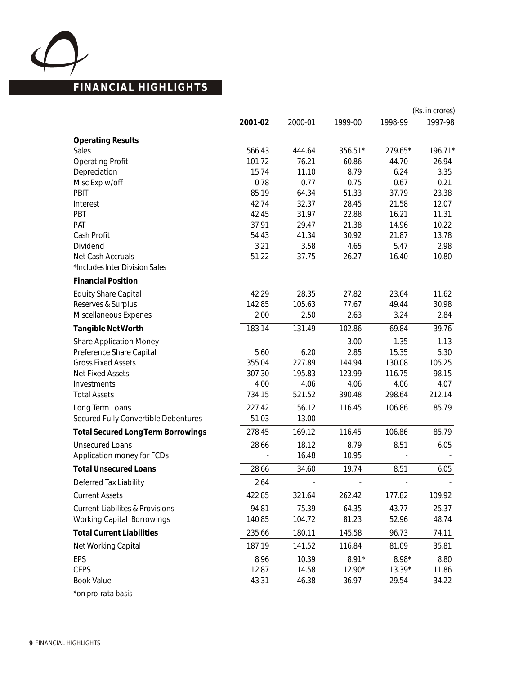

# **FINANCIAL HIGHLIGHTS**

|                                                     |         |                          |         |         | (Rs. in crores) |
|-----------------------------------------------------|---------|--------------------------|---------|---------|-----------------|
|                                                     | 2001-02 | 2000-01                  | 1999-00 | 1998-99 | 1997-98         |
| <b>Operating Results</b>                            |         |                          |         |         |                 |
| Sales                                               | 566.43  | 444.64                   | 356.51* | 279.65* | 196.71*         |
| <b>Operating Profit</b>                             | 101.72  | 76.21                    | 60.86   | 44.70   | 26.94           |
| Depreciation                                        | 15.74   | 11.10                    | 8.79    | 6.24    | 3.35            |
| Misc Exp w/off                                      | 0.78    | 0.77                     | 0.75    | 0.67    | 0.21            |
| PBIT                                                | 85.19   | 64.34                    | 51.33   | 37.79   | 23.38           |
| Interest                                            | 42.74   | 32.37                    | 28.45   | 21.58   | 12.07           |
| PBT                                                 | 42.45   | 31.97                    | 22.88   | 16.21   | 11.31           |
| PAT                                                 | 37.91   | 29.47                    | 21.38   | 14.96   | 10.22           |
| Cash Profit                                         | 54.43   | 41.34                    | 30.92   | 21.87   | 13.78           |
| Dividend                                            | 3.21    | 3.58                     | 4.65    | 5.47    | 2.98            |
| Net Cash Accruals<br>*Includes Inter Division Sales | 51.22   | 37.75                    | 26.27   | 16.40   | 10.80           |
| <b>Financial Position</b>                           |         |                          |         |         |                 |
| <b>Equity Share Capital</b>                         | 42.29   | 28.35                    | 27.82   | 23.64   | 11.62           |
| Reserves & Surplus                                  | 142.85  | 105.63                   | 77.67   | 49.44   | 30.98           |
| Miscellaneous Expenes                               | 2.00    | 2.50                     | 2.63    | 3.24    | 2.84            |
| <b>Tangible Net Worth</b>                           | 183.14  | 131.49                   | 102.86  | 69.84   | 39.76           |
| <b>Share Application Money</b>                      |         |                          | 3.00    | 1.35    | 1.13            |
| Preference Share Capital                            | 5.60    | 6.20                     | 2.85    | 15.35   | 5.30            |
| <b>Gross Fixed Assets</b>                           | 355.04  | 227.89                   | 144.94  | 130.08  | 105.25          |
| <b>Net Fixed Assets</b>                             | 307.30  | 195.83                   | 123.99  | 116.75  | 98.15           |
| Investments                                         | 4.00    | 4.06                     | 4.06    | 4.06    | 4.07            |
| <b>Total Assets</b>                                 | 734.15  | 521.52                   | 390.48  | 298.64  | 212.14          |
| Long Term Loans                                     | 227.42  | 156.12                   | 116.45  | 106.86  | 85.79           |
| Secured Fully Convertible Debentures                | 51.03   | 13.00                    |         |         |                 |
| <b>Total Secured Long Term Borrowings</b>           | 278.45  | 169.12                   | 116.45  | 106.86  | 85.79           |
| <b>Unsecured Loans</b>                              | 28.66   | 18.12                    | 8.79    | 8.51    | 6.05            |
| Application money for FCDs                          |         | 16.48                    | 10.95   |         |                 |
| <b>Total Unsecured Loans</b>                        | 28.66   | 34.60                    | 19.74   | 8.51    | 6.05            |
| Deferred Tax Liability                              | 2.64    | $\overline{\phantom{a}}$ |         |         |                 |
| <b>Current Assets</b>                               | 422.85  | 321.64                   | 262.42  | 177.82  | 109.92          |
| <b>Current Liabilites &amp; Provisions</b>          | 94.81   | 75.39                    | 64.35   | 43.77   | 25.37           |
| <b>Working Capital Borrowings</b>                   | 140.85  | 104.72                   | 81.23   | 52.96   | 48.74           |
| <b>Total Current Liabilities</b>                    | 235.66  | 180.11                   | 145.58  | 96.73   | 74.11           |
| Net Working Capital                                 | 187.19  | 141.52                   | 116.84  | 81.09   | 35.81           |
| EPS                                                 | 8.96    | 10.39                    | $8.91*$ | $8.98*$ | 8.80            |
| <b>CEPS</b>                                         | 12.87   | 14.58                    | 12.90*  | 13.39*  | 11.86           |
| <b>Book Value</b>                                   | 43.31   | 46.38                    | 36.97   | 29.54   | 34.22           |
| *on pro-rata basis                                  |         |                          |         |         |                 |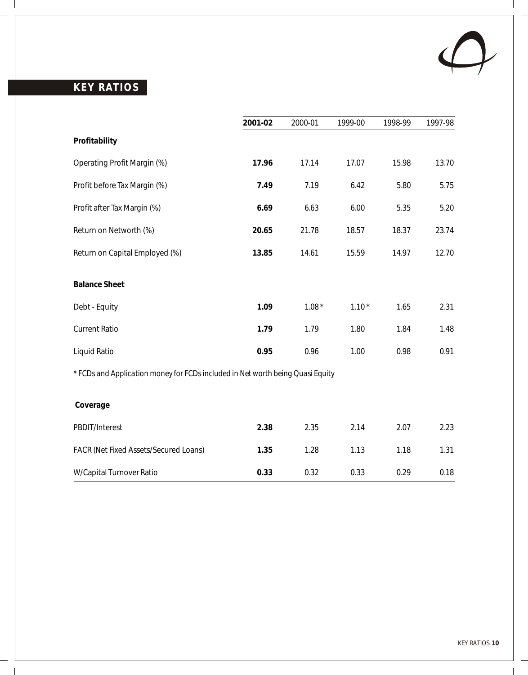

 $\overline{\phantom{a}}$ 

# **KEY RATIOS**

 $\mathbf{I}$ 

 $\sim 1$ 

|                                                                                | 2001-02 | 2000-01 | 1999-00 | 1998-99 | 1997-98 |
|--------------------------------------------------------------------------------|---------|---------|---------|---------|---------|
| Profitability                                                                  |         |         |         |         |         |
| Operating Profit Margin (%)                                                    | 17.96   | 17.14   | 17.07   | 15.98   | 13.70   |
| Profit before Tax Margin (%)                                                   | 7.49    | 7.19    | 6.42    | 5.80    | 5.75    |
| Profit after Tax Margin (%)                                                    | 6.69    | 6.63    | 6.00    | 5.35    | 5.20    |
| Return on Networth (%)                                                         | 20.65   | 21.78   | 18.57   | 18.37   | 23.74   |
| Return on Capital Employed (%)                                                 | 13.85   | 14.61   | 15.59   | 14.97   | 12.70   |
| <b>Balance Sheet</b>                                                           |         |         |         |         |         |
| Debt - Equity                                                                  | 1.09    | $1.08*$ | $1.10*$ | 1.65    | 2.31    |
| <b>Current Ratio</b>                                                           | 1.79    | 1.79    | 1.80    | 1.84    | 1.48    |
| Liquid Ratio                                                                   | 0.95    | 0.96    | 1.00    | 0.98    | 0.91    |
| * FCDs and Application money for FCDs included in Net worth being Quasi Equity |         |         |         |         |         |
| Coverage                                                                       |         |         |         |         |         |
| PBDIT/Interest                                                                 | 2.38    | 2.35    | 2.14    | 2.07    | 2.23    |
| FACR (Net Fixed Assets/Secured Loans)                                          | 1.35    | 1.28    | 1.13    | 1.18    | 1.31    |
| W/Capital Turnover Ratio                                                       | 0.33    | 0.32    | 0.33    | 0.29    | 0.18    |

 $\overline{1}$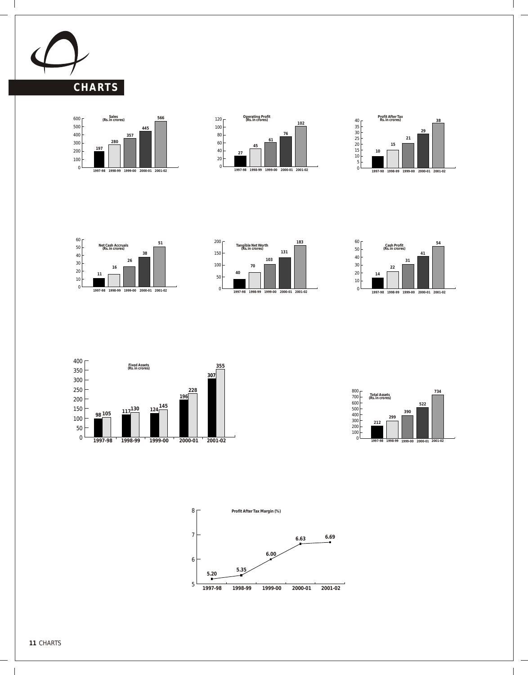

 $\overline{\phantom{a}}$ 

















 $\overline{\phantom{a}}$ 



 $\overline{\phantom{a}}$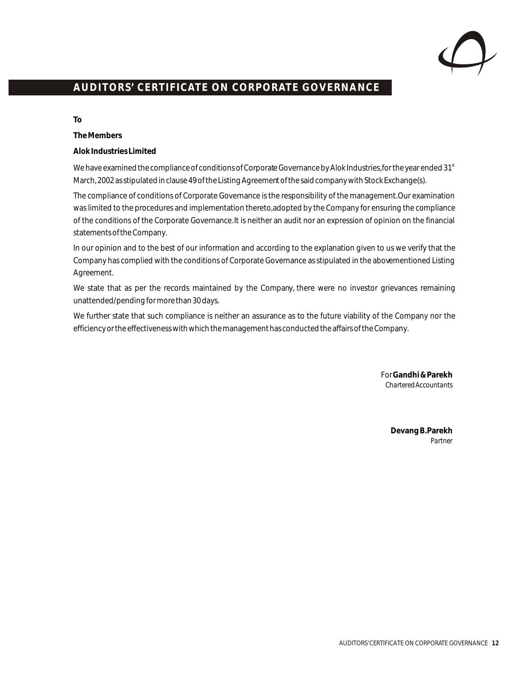

# **AUDITORS' CERTIFICATE ON CORPORATE GOVERNANCE**

**To**

**The Members**

**Alok Industries Limited**

We have examined the compliance of conditions of Corporate Governance by Alok Industries, for the year ended 31st March, 2002 as stipulated in clause 49 of the Listing Agreement of the said company with Stock Exchange(s).

The compliance of conditions of Corporate Governance is the responsibility of the management. Our examination was limited to the procedures and implementation thereto, adopted by the Company for ensuring the compliance of the conditions of the Corporate Governance. It is neither an audit nor an expression of opinion on the financial statements of the Company.

In our opinion and to the best of our information and according to the explanation given to us we verify that the Company has complied with the conditions of Corporate Governance as stipulated in the abovementioned Listing Agreement.

We state that as per the records maintained by the Company, there were no investor grievances remaining unattended/pending for more than 30 days.

We further state that such compliance is neither an assurance as to the future viability of the Company nor the efficiency or the effectiveness with which the management has conducted the affairs of the Company.

> For **Gandhi & Parekh** *Chartered Accountants*

> > **Devang B. Parekh** *Partner*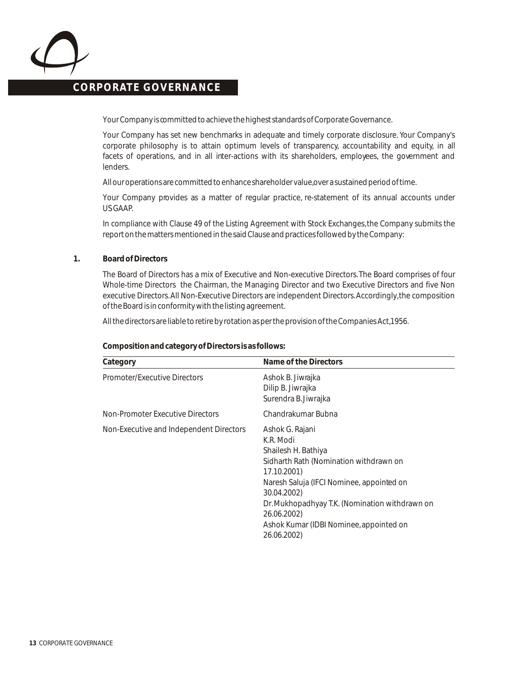

Your Company is committed to achieve the highest standards of Corporate Governance.

Your Company has set new benchmarks in adequate and timely corporate disclosure. Your Company's corporate philosophy is to attain optimum levels of transparency, accountability and equity, in all facets of operations, and in all inter-actions with its shareholders, employees, the government and lenders.

All our operations are committed to enhance shareholder value, over a sustained period of time.

Your Company provides as a matter of regular practice, re-statement of its annual accounts under US GAAP.

In compliance with Clause 49 of the Listing Agreement with Stock Exchanges, the Company submits the report on the matters mentioned in the said Clause and practices followed by the Company:

### **1. Board of Directors**

The Board of Directors has a mix of Executive and Non-executive Directors. The Board comprises of four Whole-time Directors the Chairman, the Managing Director and two Executive Directors and five Non executive Directors. All Non-Executive Directors are independent Directors. Accordingly, the composition of the Board is in conformity with the listing agreement.

All the directors are liable to retire by rotation as per the provision of the Companies Act, 1956.

| Category                                | Name of the Directors                                                                                                                                                                                                                                                                               |
|-----------------------------------------|-----------------------------------------------------------------------------------------------------------------------------------------------------------------------------------------------------------------------------------------------------------------------------------------------------|
| Promoter/Executive Directors            | Ashok B. Jiwrajka<br>Dilip B. Jiwrajka<br>Surendra B. Jiwrajka                                                                                                                                                                                                                                      |
| Non-Promoter Executive Directors        | Chandrakumar Bubna                                                                                                                                                                                                                                                                                  |
| Non-Executive and Independent Directors | Ashok G. Rajani<br>K.R. Modi<br>Shailesh H. Bathiya<br>Sidharth Rath (Nomination withdrawn on<br>17.10.2001)<br>Naresh Saluja (IFCI Nominee, appointed on<br>30.04.2002)<br>Dr. Mukhopadhyay T.K. (Nomination withdrawn on<br>26.06.2002)<br>Ashok Kumar (IDBI Nominee, appointed on<br>26.06.2002) |

**Composition and category of Directors is as follows:**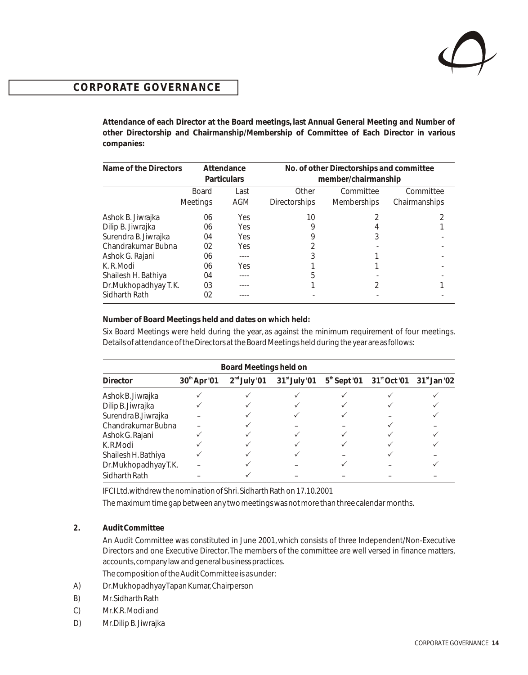**Attendance of each Director at the Board meetings, last Annual General Meeting and Number of other Directorship and Chairmanship/Membership of Committee of Each Director in various companies:**

| Name of the Directors |                 | Attendance                                | No. of other Directorships and committee |                    |               |
|-----------------------|-----------------|-------------------------------------------|------------------------------------------|--------------------|---------------|
|                       |                 | member/chairmanship<br><b>Particulars</b> |                                          |                    |               |
|                       | <b>Board</b>    | Last                                      | Other                                    | Committee          | Committee     |
|                       | <b>Meetings</b> | AGM                                       | <b>Directorships</b>                     | <b>Memberships</b> | Chairmanships |
| Ashok B. Jiwrajka     | 06              | <b>Yes</b>                                | 10                                       |                    |               |
| Dilip B. Jiwrajka     | 06              | Yes                                       | 9                                        |                    |               |
| Surendra B. Jiwrajka  | 04              | <b>Yes</b>                                |                                          |                    |               |
| Chandrakumar Bubna    | 02              | <b>Yes</b>                                |                                          |                    |               |
| Ashok G. Rajani       | 06              | ----                                      |                                          |                    |               |
| K. R. Modi            | 06              | <b>Yes</b>                                |                                          |                    |               |
| Shailesh H. Bathiya   | 04              | ----                                      | 5                                        |                    |               |
| Dr.Mukhopadhyay T.K.  | 03              |                                           |                                          |                    |               |
| Sidharth Rath         | 02              |                                           |                                          |                    |               |

**Number of Board Meetings held and dates on which held:**

Six Board Meetings were held during the year, as against the minimum requirement of four meetings. Details of attendance of the Directors at the Board Meetings held during the year are as follows:

| Board Meetings held on |                          |                |                 |  |                                              |  |  |  |
|------------------------|--------------------------|----------------|-----------------|--|----------------------------------------------|--|--|--|
| <b>Director</b>        | 30 <sup>th</sup> Apr '01 | $2nd$ July '01 | $31st$ July '01 |  | $5th$ Sept '01 $31st$ Oct '01 $31st$ Jan '02 |  |  |  |
| Ashok B. Jiwrajka      |                          |                |                 |  |                                              |  |  |  |
| Dilip B. Jiwrajka      |                          |                |                 |  |                                              |  |  |  |
| Surendra B. Jiwrajka   |                          |                |                 |  |                                              |  |  |  |
| Chandrakumar Bubna     |                          |                |                 |  |                                              |  |  |  |
| Ashok G. Rajani        |                          |                |                 |  |                                              |  |  |  |
| K.R.Modi               |                          |                |                 |  |                                              |  |  |  |
| Shailesh H. Bathiya    |                          |                |                 |  |                                              |  |  |  |
| Dr.MukhopadhyayT.K.    |                          |                |                 |  |                                              |  |  |  |
| Sidharth Rath          |                          |                |                 |  |                                              |  |  |  |

IFCI Ltd. withdrew the nomination of Shri. Sidharth Rath on 17.10.2001

The maximum time gap between any two meetings was not more than three calendar months.

**2. Audit Committee**

An Audit Committee was constituted in June 2001, which consists of three Independent/Non-Executive Directors and one Executive Director. The members of the committee are well versed in finance matters, accounts, company law and general business practices. The composition of the Audit Committee is as under:

- A) Dr.Mukhopadhyay Tapan Kumar, Chairperson
- B) Mr. Sidharth Rath
- C) Mr. K.R. Modi and
- D) Mr. Dilip B. Jiwrajka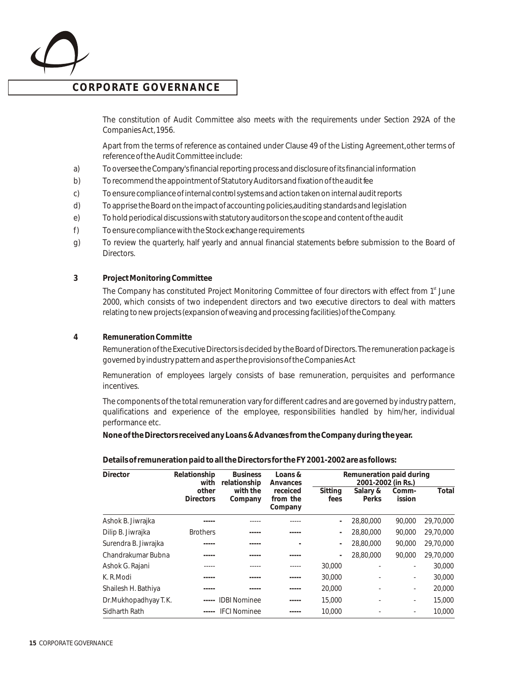

The constitution of Audit Committee also meets with the requirements under Section 292A of the Companies Act, 1956.

Apart from the terms of reference as contained under Clause 49 of the Listing Agreement, other terms of reference of the Audit Committee include:

- a) To oversee the Company's financial reporting process and disclosure of its financial information
- b) To recommend the appointment of Statutory Auditors and fixation of the audit fee
- c) To ensure compliance of internal control systems and action taken on internal audit reports
- d) To apprise the Board on the impact of accounting policies, auditing standards and legislation
- e) To hold periodical discussions with statutory auditors on the scope and content of the audit
- f) To ensure compliance with the Stock exchange requirements
- g) To review the quarterly, half yearly and annual financial statements before submission to the Board of Directors.
- **3 Project Monitoring Committee**

The Company has constituted Project Monitoring Committee of four directors with effect from 1<sup>st</sup> June 2000, which consists of two independent directors and two executive directors to deal with matters relating to new projects (expansion of weaving and processing facilities) of the Company.

**4 Remuneration Committe**

Remuneration of the Executive Directors is decided by the Board of Directors. The remuneration package is governed by industry pattern and as per the provisions of the Companies Act

Remuneration of employees largely consists of base remuneration, perquisites and performance incentives.

The components of the total remuneration vary for different cadres and are governed by industry pattern, qualifications and experience of the employee, responsibilities handled by him/her, individual performance etc.

**None of the Directors received any Loans & Advances from the Company during the year.**

**Details of remuneration paid to all the Directors for the FY 2001-2002 are as follows:**

| Director             | Relationship     | <b>Business</b>     | Loans $&$ |                          | Remuneration paid during |                          |           |
|----------------------|------------------|---------------------|-----------|--------------------------|--------------------------|--------------------------|-----------|
|                      | with             | relationship        | Anvances  |                          |                          | 2001-2002 (in Rs.)       |           |
|                      | other            | with the            | receiced  | Sitting                  | Salary &                 | Comm-                    | Total     |
|                      | <b>Directors</b> | Company             | from the  | fees                     | Perks                    | ission                   |           |
|                      |                  |                     | Company   |                          |                          |                          |           |
| Ashok B. Jiwrajka    |                  |                     |           | $\overline{\phantom{a}}$ | 28,80,000                | 90.000                   | 29,70,000 |
| Dilip B. Jiwrajka    | <b>Brothers</b>  |                     |           | $\overline{\phantom{a}}$ | 28,80,000                | 90.000                   | 29,70,000 |
| Surendra B. Jiwrajka |                  |                     |           | $\overline{\phantom{a}}$ | 28,80,000                | 90,000                   | 29,70,000 |
| Chandrakumar Bubna   |                  |                     |           | $\overline{a}$           | 28,80,000                | 90.000                   | 29,70,000 |
| Ashok G. Rajani      |                  |                     |           | 30,000                   |                          | $\overline{\phantom{a}}$ | 30,000    |
| K. R. Modi           |                  |                     |           | 30,000                   |                          | $\overline{\phantom{a}}$ | 30,000    |
| Shailesh H. Bathiya  |                  |                     |           | 20,000                   |                          | ٠                        | 20,000    |
| Dr.Mukhopadhyay T.K. |                  | <b>IDBI Nominee</b> |           | 15,000                   |                          | ٠                        | 15,000    |
| Sidharth Rath        |                  | <b>IFCI Nominee</b> |           | 10,000                   |                          |                          | 10,000    |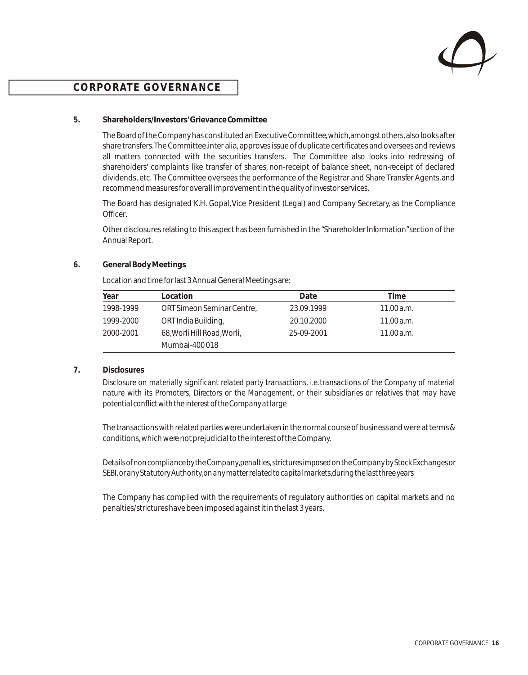

### **5. Shareholders/Investors' Grievance Committee**

The Board of the Company has constituted an Executive Committee, which, amongst others, also looks after share transfers. The Committee, inter alia, approves issue of duplicate certificates and oversees and reviews all matters connected with the securities transfers. The Committee also looks into redressing of shareholders' complaints like transfer of shares, non-receipt of balance sheet, non-receipt of declared dividends, etc. The Committee oversees the performance of the Registrar and Share Transfer Agents, and recommend measures for overall improvement in the quality of investor services.

The Board has designated K.H. Gopal, Vice President (Legal) and Company Secretary, as the Compliance Officer.

Other disclosures relating to this aspect has been furnished in the "Shareholder Information" section of the Annual Report.

### **6. General Body Meetings**

Location and time for last 3 Annual General Meetings are:

| Year      | Location                    | Date       | Time       |
|-----------|-----------------------------|------------|------------|
| 1998-1999 | ORT Simeon Seminar Centre,  | 23.09.1999 | 11.00 a.m. |
| 1999-2000 | ORT India Building,         | 20.10.2000 | 11.00 a.m. |
| 2000-2001 | 68, Worli Hill Road, Worli, | 25-09-2001 | 11.00 a.m. |
|           | Mumbai-400018               |            |            |

### **7. Disclosures**

*Disclosure on materially significant related party transactions, i.e. transactions of the Company of material nature with its Promoters, Directors or the Management, or their subsidiaries or relatives that may have potential conflict with the interest of the Company at large*

The transactions with related parties were undertaken in the normal course of business and were at terms & conditions, which were not prejudicial to the interest of the Company.

*Details of non compliance by the Company, penalties, strictures imposed on the Company by Stock Exchanges or SEBI, or any Statutory Authority, on any matter related to capital markets, during the last three years*

The Company has complied with the requirements of regulatory authorities on capital markets and no penalties/strictures have been imposed against it in the last 3 years.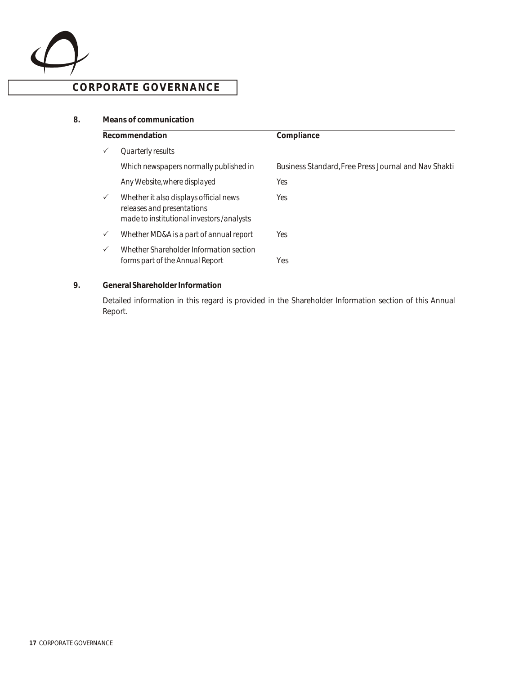

### **8. Means of communication**

|              | Recommendation                                                                                                    | Compliance                                           |
|--------------|-------------------------------------------------------------------------------------------------------------------|------------------------------------------------------|
|              | Quarterly results                                                                                                 |                                                      |
|              | Which newspapers normally published in                                                                            | Business Standard, Free Press Journal and Nav Shakti |
|              | Any Website, where displayed                                                                                      | Yes                                                  |
| $\checkmark$ | Whether it also displays official news<br>releases and presentations<br>made to institutional investors /analysts | Yes                                                  |
| $\checkmark$ | Whether MD&A is a part of annual report                                                                           | Yes                                                  |
| $\checkmark$ | Whether Shareholder Information section<br>forms part of the Annual Report                                        | <b>Yes</b>                                           |

### **9. General Shareholder Information**

Detailed information in this regard is provided in the Shareholder Information section of this Annual Report.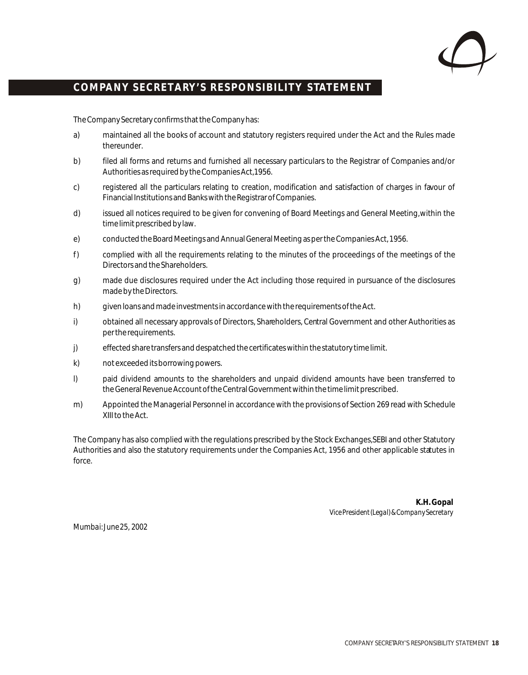

### COMPANY SECRETARY'S RESPONSIBILITY STATEMENT

The Company Secretary confirms that the Company has:

- a) maintained all the books of account and statutory registers required under the Act and the Rules made thereunder.
- b) filed all forms and returns and furnished all necessary particulars to the Registrar of Companies and/or Authorities as required by the Companies Act, 1956.
- c) registered all the particulars relating to creation, modification and satisfaction of charges in favour of Financial Institutions and Banks with the Registrar of Companies.
- d) issued all notices required to be given for convening of Board Meetings and General Meeting, within the time limit prescribed by law.
- e) conducted the Board Meetings and Annual General Meeting as per the Companies Act, 1956.
- f) complied with all the requirements relating to the minutes of the proceedings of the meetings of the Directors and the Shareholders.
- g) made due disclosures required under the Act including those required in pursuance of the disclosures made by the Directors.
- h) given loans and made investments in accordance with the requirements of the Act.
- i) obtained all necessary approvals of Directors, Shareholders, Central Government and other Authorities as per the requirements.
- j) effected share transfers and despatched the certificates within the statutory time limit.
- k) not exceeded its borrowing powers.
- l) paid dividend amounts to the shareholders and unpaid dividend amounts have been transferred to the General Revenue Account of the Central Government within the time limit prescribed.
- m) Appointed the Managerial Personnel in accordance with the provisions of Section 269 read with Schedule XIII to the Act.

The Company has also complied with the regulations prescribed by the Stock Exchanges, SEBI and other Statutory Authorities and also the statutory requirements under the Companies Act, 1956 and other applicable statutes in force.

> **K.H. Gopal** *Vice President (Legal) & Company Secretary*

*Mumbai: June 25, 2002*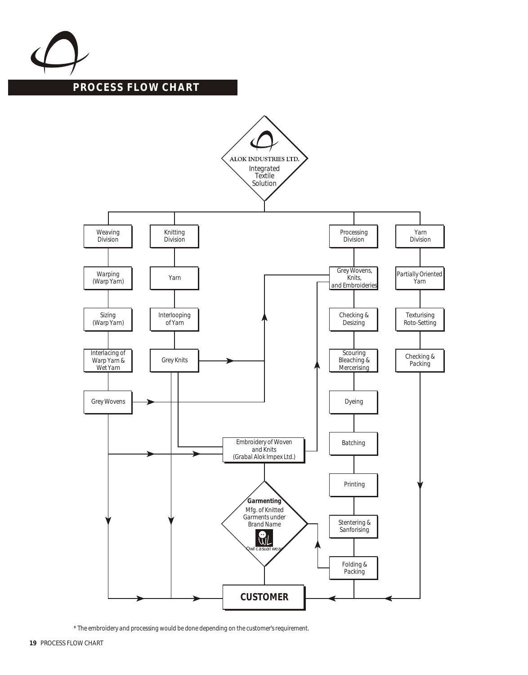

### **PROCESS FLOW CHART**



*\* The embroidery and processing would be done depending on the customer's requirement.*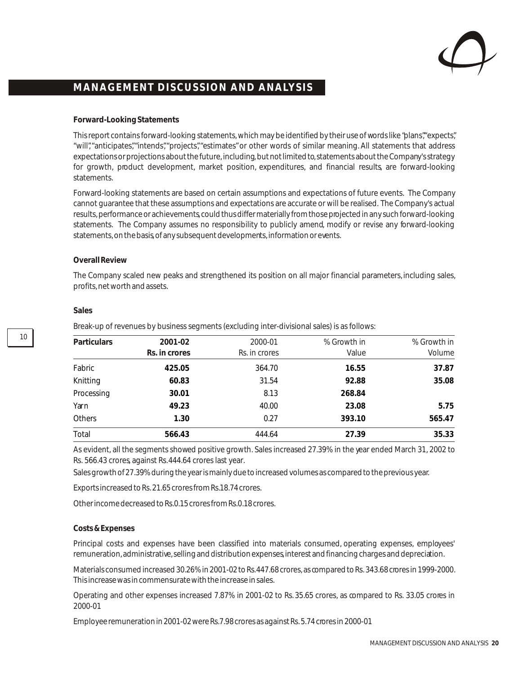

### **Forward-Looking Statements**

This report contains forward-looking statements, which may be identified by their use of words like "plans"," expects", "will", "anticipates", "intends", "projects", "estimates" or other words of similar meaning. All statements that address expectations or projections about the future, including, but not limited to, statements about the Company's strategy for growth, product development, market position, expenditures, and financial results, are forward-looking statements.

Forward-looking statements are based on certain assumptions and expectations of future events. The Company cannot guarantee that these assumptions and expectations are accurate or will be realised. The Company's actual results, performance or achievements, could thus differ materially from those projected in any such forward-looking statements. The Company assumes no responsibility to publicly amend, modify or revise any forward-looking statements, on the basis, of any subsequent developments, information or events.

### **Overall Review**

The Company scaled new peaks and strengthened its position on all major financial parameters, including sales, profits, net worth and assets.

| Particulars   | 2001-02       | 2000-01       | % Growth in | % Growth in |
|---------------|---------------|---------------|-------------|-------------|
|               | Rs. in crores | Rs. in crores | Value       | Volume      |
| Fabric        | 425.05        | 364.70        | 16.55       | 37.87       |
| Knitting      | 60.83         | 31.54         | 92.88       | 35.08       |
| Processing    | 30.01         | 8.13          | 268.84      |             |
| Yarn          | 49.23         | 40.00         | 23.08       | 5.75        |
| <b>Others</b> | 1.30          | 0.27          | 393.10      | 565.47      |
| Total         | 566.43        | 444.64        | 27.39       | 35.33       |

#### **Sales**

10

Break-up of revenues by business segments (excluding inter-divisional sales) is as follows:

As evident, all the segments showed positive growth. Sales increased 27.39% in the year ended March 31, 2002 to Rs. 566.43 crores, against Rs. 444.64 crores last year.

Sales growth of 27.39% during the year is mainly due to increased volumes as compared to the previous year.

Exports increased to Rs. 21.65 crores from Rs. 18.74 crores.

Other income decreased to Rs.0.15 crores from Rs. 0.18 crores.

#### **Costs & Expenses**

Principal costs and expenses have been classified into materials consumed, operating expenses, employees' remuneration, administrative, selling and distribution expenses, interest and financing charges and depreciation.

Materials consumed increased 30.26% in 2001-02 to Rs. 447.68 crores, as compared to Rs. 343.68 crores in 1999-2000. This increase was in commensurate with the increase in sales.

Operating and other expenses increased 7.87% in 2001-02 to Rs. 35.65 crores, as compared to Rs. 33.05 crores in 2000-01

Employee remuneration in 2001-02 were Rs. 7.98 crores as against Rs. 5.74 crores in 2000-01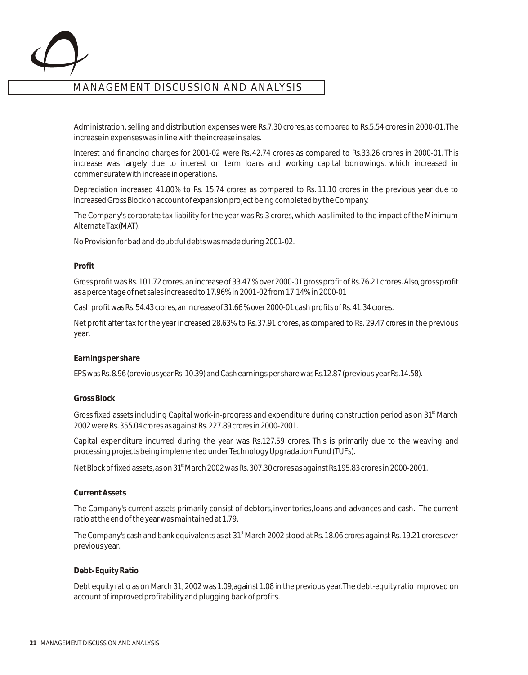

Administration, selling and distribution expenses were Rs.7.30 crores, as compared to Rs.5.54 crores in 2000-01. The increase in expenses was in line with the increase in sales.

Interest and financing charges for 2001-02 were Rs. 42.74 crores as compared to Rs.33.26 crores in 2000-01. This increase was largely due to interest on term loans and working capital borrowings, which increased in commensurate with increase in operations.

Depreciation increased 41.80% to Rs. 15.74 crores as compared to Rs. 11.10 crores in the previous year due to increased Gross Block on account of expansion project being completed by the Company.

The Company's corporate tax liability for the year was Rs. 3 crores, which was limited to the impact of the Minimum Alternate Tax (MAT).

No Provision for bad and doubtful debts was made during 2001-02.

### **Profit**

Gross profit was Rs. 101.72 crores, an increase of 33.47 % over 2000-01 gross profit of Rs. 76.21 crores. Also, gross profit as a percentage of net sales increased to 17.96% in 2001-02 from 17.14% in 2000-01

Cash profit was Rs. 54.43 crores, an increase of 31.66 % over 2000-01 cash profits of Rs. 41.34 crores.

Net profit after tax for the year increased 28.63% to Rs. 37.91 crores, as compared to Rs. 29.47 crores in the previous year.

#### **Earnings per share**

EPS was Rs. 8.96 (previous year Rs. 10.39) and Cash earnings per share was Rs.12.87 (previous year Rs.14.58).

#### **Gross Block**

Gross fixed assets including Capital work-in-progress and expenditure during construction period as on 31<sup>st</sup> March 2002 were Rs. 355.04 crores as against Rs. 227.89 crores in 2000-2001.

Capital expenditure incurred during the year was Rs.127.59 crores. This is primarily due to the weaving and processing projects being implemented under Technology Upgradation Fund (TUFs).

Net Block of fixed assets, as on 31<sup>st</sup> March 2002 was Rs. 307.30 crores as against Rs.195.83 crores in 2000-2001.

#### **Current Assets**

The Company's current assets primarily consist of debtors, inventories, loans and advances and cash. The current ratio at the end of the year was maintained at 1.79.

The Company's cash and bank equivalents as at 31<sup>st</sup> March 2002 stood at Rs. 18.06 crores against Rs. 19.21 crores over previous year.

### **Debt- Equity Ratio**

Debt equity ratio as on March 31, 2002 was 1.09, against 1.08 in the previous year. The debt-equity ratio improved on account of improved profitability and plugging back of profits.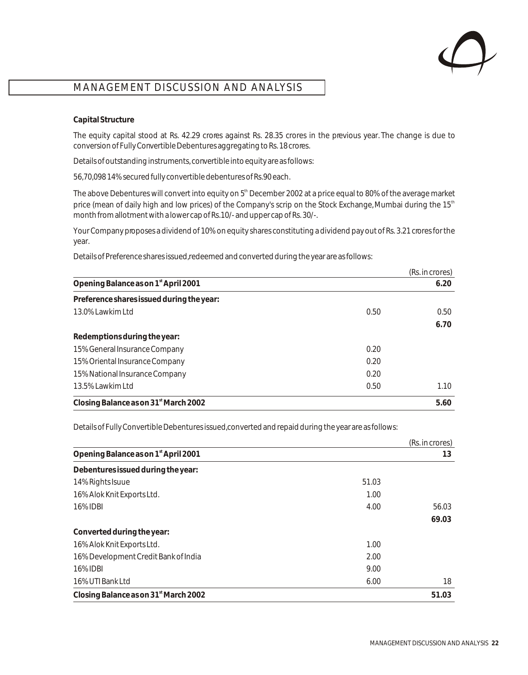

### **Capital Structure**

The equity capital stood at Rs. 42.29 crores against Rs. 28.35 crores in the previous year. The change is due to conversion of Fully Convertible Debentures aggregating to Rs. 18 crores.

Details of outstanding instruments, convertible into equity are as follows:

56,70,098 14% secured fully convertible debentures of Rs.90 each.

The above Debentures will convert into equity on 5<sup>th</sup> December 2002 at a price equal to 80% of the average market price (mean of daily high and low prices) of the Company's scrip on the Stock Exchange, Mumbai during the 15<sup>th</sup> month from allotment with a lower cap of Rs. 10/- and upper cap of Rs. 30/-.

Your Company proposes a dividend of 10% on equity shares constituting a dividend pay out of Rs. 3.21 crores for the year.

Details of Preference shares issued, redeemed and converted during the year are as follows:

|                                                   |      | (Rs. in crores) |
|---------------------------------------------------|------|-----------------|
| Opening Balance as on 1 <sup>st</sup> April 2001  |      | 6.20            |
| Preference shares issued during the year:         |      |                 |
| 13.0% Lawkim Ltd                                  | 0.50 | 0.50            |
|                                                   |      | 6.70            |
| Redemptions during the year:                      |      |                 |
| 15% General Insurance Company                     | 0.20 |                 |
| 15% Oriental Insurance Company                    | 0.20 |                 |
| 15% National Insurance Company                    | 0.20 |                 |
| 13.5% Lawkim Ltd                                  | 0.50 | 1.10            |
| Closing Balance as on 31 <sup>st</sup> March 2002 |      | 5.60            |

Details of Fully Convertible Debentures issued, converted and repaid during the year are as follows:

|                                                   |       | (Rs. in crores) |
|---------------------------------------------------|-------|-----------------|
| Opening Balance as on 1 <sup>st</sup> April 2001  |       | 13              |
| Debentures issued during the year:                |       |                 |
| 14% Rights Isuue                                  | 51.03 |                 |
| 16% Alok Knit Exports Ltd.                        | 1.00  |                 |
| 16% IDBI                                          | 4.00  | 56.03           |
|                                                   |       | 69.03           |
| Converted during the year:                        |       |                 |
| 16% Alok Knit Exports Ltd.                        | 1.00  |                 |
| 16% Development Credit Bank of India              | 2.00  |                 |
| 16% <b>IDBI</b>                                   | 9.00  |                 |
| 16% UTI Bank Ltd                                  | 6.00  | 18              |
| Closing Balance as on 31 <sup>st</sup> March 2002 |       | 51.03           |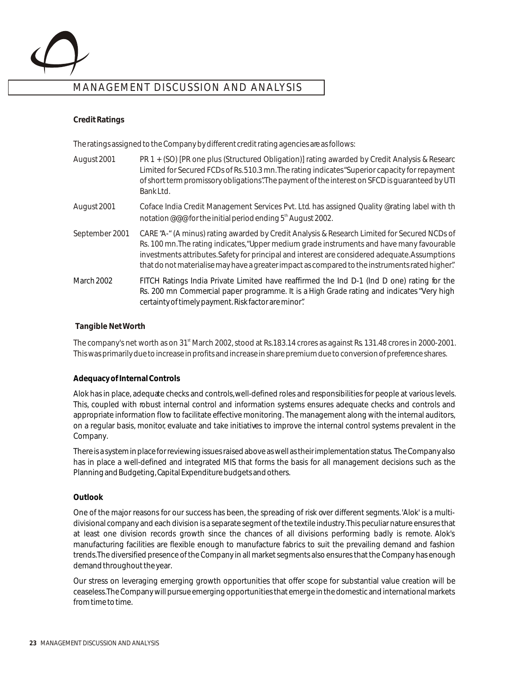

### **Credit Ratings**

The ratings assigned to the Company by different credit rating agencies are as follows:

certainty of timely payment. Risk factor are minor".

| August 2001       | PR 1 + (SO) [PR one plus (Structured Obligation)] rating awarded by Credit Analysis & Researc<br>Limited for Secured FCDs of Rs. 510.3 mn. The rating indicates "Superior capacity for repayment<br>of short term promissory obligations". The payment of the interest on SFCD is quaranteed by UTI<br>Bank Ltd.                                                                                |
|-------------------|-------------------------------------------------------------------------------------------------------------------------------------------------------------------------------------------------------------------------------------------------------------------------------------------------------------------------------------------------------------------------------------------------|
| August 2001       | Coface India Credit Management Services Pvt. Ltd. has assigned Quality @rating label with th<br>notation @@@ for the initial period ending 5 <sup>th</sup> August 2002.                                                                                                                                                                                                                         |
| September 2001    | CARE "A-" (A minus) rating awarded by Credit Analysis & Research Limited for Secured NCDs of<br>Rs. 100 mn. The rating indicates, "Upper medium grade instruments and have many favourable<br>investments attributes. Safety for principal and interest are considered adequate. Assumptions<br>that do not materialise may have a greater impact as compared to the instruments rated higher". |
| <b>March 2002</b> | FITCH Ratings India Private Limited have reaffirmed the Ind D-1 (Ind D one) rating for the<br>Rs. 200 mn Commercial paper programme. It is a <i>High Grade</i> rating and indicates "Very high                                                                                                                                                                                                  |

### **Tangible Net Worth**

The company's net worth as on  $31<sup>st</sup>$  March 2002, stood at Rs.183.14 crores as against Rs 131.48 crores in 2000-2001. This was primarily due to increase in profits and increase in share premium due to conversion of preference shares.

### **Adequacy of Internal Controls**

Alok has in place, adequate checks and controls, well-defined roles and responsibilities for people at various levels. This, coupled with robust internal control and information systems ensures adequate checks and controls and appropriate information flow to facilitate effective monitoring. The management along with the internal auditors, on a regular basis, monitor, evaluate and take initiatives to improve the internal control systems prevalent in the Company.

There is a system in place for reviewing issues raised above as well as their implementation status. The Company also has in place a well-defined and integrated MIS that forms the basis for all management decisions such as the Planning and Budgeting, Capital Expenditure budgets and others.

### **Outlook**

One of the major reasons for our success has been, the spreading of risk over different segments. 'Alok' is a multidivisional company and each division is a separate segment of the textile industry. This peculiar nature ensures that at least one division records growth since the chances of all divisions performing badly is remote. Alok's manufacturing facilities are flexible enough to manufacture fabrics to suit the prevailing demand and fashion trends. The diversified presence of the Company in all market segments also ensures that the Company has enough demand throughout the year.

Our stress on leveraging emerging growth opportunities that offer scope for substantial value creation will be ceaseless. The Company will pursue emerging opportunities that emerge in the domestic and international markets from time to time.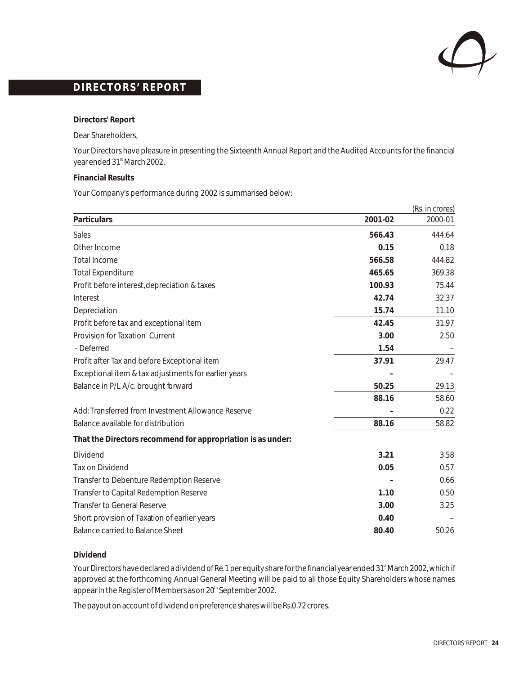

**Directors' Report**

Dear Shareholders,

Your Directors have pleasure in presenting the Sixteenth Annual Report and the Audited Accounts for the financial year ended 31<sup>st</sup> March 2002.

**Financial Results**

Your Company's performance during 2002 is summarised below:

|                                                             | (Rs. in crores) |         |  |
|-------------------------------------------------------------|-----------------|---------|--|
| Particulars                                                 | 2001-02         | 2000-01 |  |
| Sales                                                       | 566.43          | 444.64  |  |
| Other Income                                                | 0.15            | 0.18    |  |
| <b>Total Income</b>                                         | 566.58          | 444.82  |  |
| <b>Total Expenditure</b>                                    | 465.65          | 369.38  |  |
| Profit before interest, depreciation & taxes                | 100.93          | 75.44   |  |
| Interest                                                    | 42.74           | 32.37   |  |
| Depreciation                                                | 15.74           | 11.10   |  |
| Profit before tax and exceptional item                      | 42.45           | 31.97   |  |
| Provision for Taxation Current                              | 3.00            | 2.50    |  |
| - Deferred                                                  | 1.54            |         |  |
| Profit after Tax and before Exceptional item                | 37.91           | 29.47   |  |
| Exceptional item & tax adjustments for earlier years        |                 |         |  |
| Balance in P/L A/c. brought forward                         | 50.25           | 29.13   |  |
|                                                             | 88.16           | 58.60   |  |
| Add: Transferred from Investment Allowance Reserve          |                 | 0.22    |  |
| Balance available for distribution                          | 88.16           | 58.82   |  |
| That the Directors recommend for appropriation is as under: |                 |         |  |
| Dividend                                                    | 3.21            | 3.58    |  |
| <b>Tax on Dividend</b>                                      | 0.05            | 0.57    |  |
| Transfer to Debenture Redemption Reserve                    |                 | 0.66    |  |
| Transfer to Capital Redemption Reserve                      | 1.10            | 0.50    |  |
| <b>Transfer to General Reserve</b>                          | 3.00            | 3.25    |  |
| Short provision of Taxation of earlier years                | 0.40            |         |  |
| <b>Balance carried to Balance Sheet</b>                     | 80.40           | 50.26   |  |

#### **Dividend**

Your Directors have declared a dividend of Re. 1 per equity share for the financial year ended 31<sup>st</sup> March 2002, which if approved at the forthcoming Annual General Meeting will be paid to all those Equity Shareholders whose names appear in the Register of Members as on 20<sup>th</sup> September 2002.

The payout on account of dividend on preference shares will be Rs. 0.72 crores.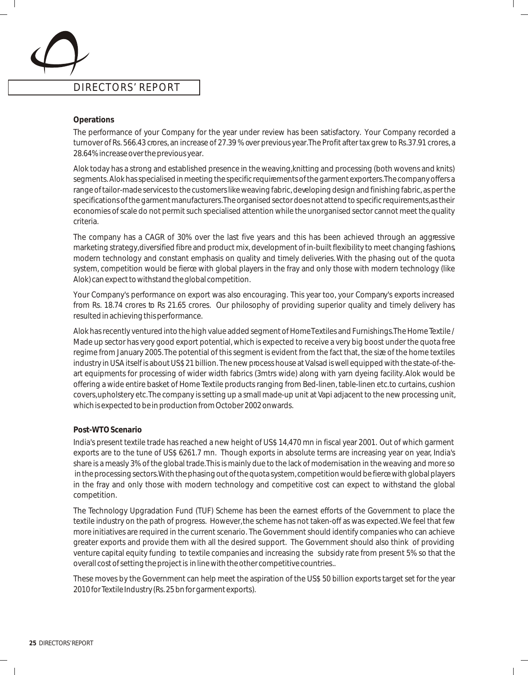#### **Operations**

The performance of your Company for the year under review has been satisfactory. Your Company recorded a turnover of Rs. 566.43 crores, an increase of 27.39 % over previous year. The Profit after tax grew to Rs. 37.91 crores, a 28.64% increase over the previous year.

Alok today has a strong and established presence in the weaving, knitting and processing (both wovens and knits) segments. Alok has specialised in meeting the specific requirements of the garment exporters. The company offers a range of tailor-made services to the customers like weaving fabric, developing design and finishing fabric, as per the specifications of the garment manufacturers. The organised sector does not attend to specific requirements, as their economies of scale do not permit such specialised attention while the unorganised sector cannot meet the quality criteria.

The company has a CAGR of 30% over the last five years and this has been achieved through an aggressive marketing strategy, diversified fibre and product mix, development of in-built flexibility to meet changing fashions, modern technology and constant emphasis on quality and timely deliveries. With the phasing out of the quota system, competition would be fierce with global players in the fray and only those with modern technology (like Alok) can expect to withstand the global competition.

Your Company's performance on export was also encouraging. This year too, your Company's exports increased from Rs. 18.74 crores to Rs 21.65 crores. Our philosophy of providing superior quality and timely delivery has resulted in achieving this performance.

Alok has recently ventured into the high value added segment of Home Textiles and Furnishings. The Home Textile / Made up sector has very good export potential, which is expected to receive a very big boost under the quota free regime from January 2005. The potential of this segment is evident from the fact that, the size of the home textiles industry in USA itself is about US\$ 21 billion. The new process house at Valsad is well equipped with the state-of-theart equipments for processing of wider width fabrics (3mtrs wide) along with yarn dyeing facility. Alok would be offering a wide entire basket of Home Textile products ranging from Bed-linen, table-linen etc. to curtains, cushion covers, upholstery etc. The company is setting up a small made-up unit at Vapi adjacent to the new processing unit, which is expected to be in production from October 2002 onwards.

#### **Post-WTO Scenario**

India's present textile trade has reached a new height of US\$ 14,470 mn in fiscal year 2001. Out of which garment exports are to the tune of US\$ 6261.7 mn. Though exports in absolute terms are increasing year on year, India's share is a measly 3% of the global trade. This is mainly due to the lack of modernisation in the weaving and more so in the processing sectors. With the phasing out of the quota system, competition would be fierce with global players in the fray and only those with modern technology and competitive cost can expect to withstand the global competition.

The Technology Upgradation Fund (TUF) Scheme has been the earnest efforts of the Government to place the textile industry on the path of progress. However, the scheme has not taken-off as was expected. We feel that few more initiatives are required in the current scenario. The Government should identify companies who can achieve greater exports and provide them with all the desired support. The Government should also think of providing venture capital equity funding to textile companies and increasing the subsidy rate from present 5% so that the overall cost of setting the project is in line with the other competitive countries..

These moves by the Government can help meet the aspiration of the US\$ 50 billion exports target set for the year 2010 for Textile Industry (Rs. 25 bn for garment exports).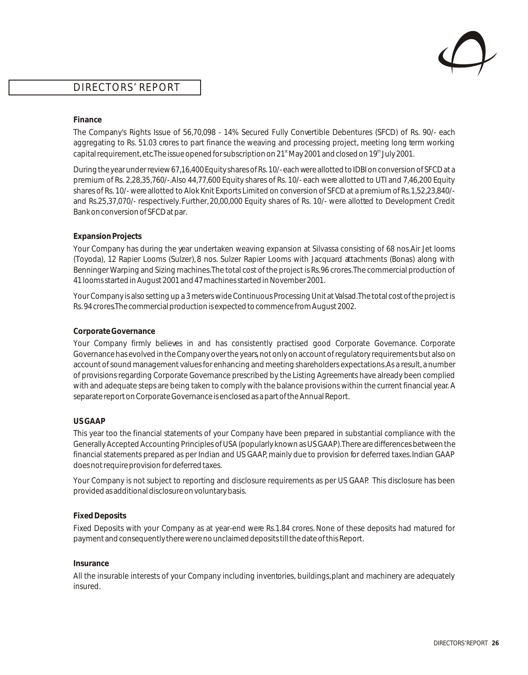

### **Finance**

The Company's Rights Issue of 56,70,098 - 14% Secured Fully Convertible Debentures (SFCD) of Rs. 90/- each aggregating to Rs. 51.03 crores to part finance the weaving and processing project, meeting long term working capital requirement, etc. The issue opened for subscription on 21<sup>st</sup> May 2001 and closed on 19<sup>th</sup> July 2001.

During the year under review 67,16,400 Equity shares of Rs. 10/- each were allotted to IDBI on conversion of SFCD at a premium of Rs. 2,28,35,760/-. Also 44,77,600 Equity shares of Rs. 10/- each were allotted to UTI and 7,46,200 Equity shares of Rs. 10/- were allotted to Alok Knit Exports Limited on conversion of SFCD at a premium of Rs. 1,52,23,840/ and Rs.25,37,070/- respectively. Further, 20,00,000 Equity shares of Rs. 10/- were allotted to Development Credit Bank on conversion of SFCD at par.

### **Expansion Projects**

Your Company has during the year undertaken weaving expansion at Silvassa consisting of 68 nos.Air Jet looms (Toyoda), 12 Rapier Looms (Sulzer), 8 nos. Sulzer Rapier Looms with Jacquard attachments (Bonas) along with Benninger Warping and Sizing machines. The total cost of the project is Rs. 96 crores. The commercial production of 41 looms started in August 2001 and 47 machines started in November 2001.

Your Company is also setting up a 3 meters wide Continuous Processing Unit at Valsad. The total cost of the project is Rs. 94 crores. The commercial production is expected to commence from August 2002.

### **Corporate Governance**

Your Company firmly believes in and has consistently practised good Corporate Governance. Corporate Governance has evolved in the Company over the years, not only on account of regulatory requirements but also on account of sound management values for enhancing and meeting shareholders expectations. As a result, a number of provisions regarding Corporate Governance prescribed by the Listing Agreements have already been complied with and adequate steps are being taken to comply with the balance provisions within the current financial year. A separate report on Corporate Governance is enclosed as a part of the Annual Report.

#### **US GAAP**

This year too the financial statements of your Company have been prepared in substantial compliance with the Generally Accepted Accounting Principles of USA (popularly known as US GAAP). There are differences between the financial statements prepared as per Indian and US GAAP, mainly due to provision for deferred taxes. Indian GAAP does not require provision for deferred taxes.

Your Company is not subject to reporting and disclosure requirements as per US GAAP. This disclosure has been provided as additional disclosure on voluntary basis.

### **Fixed Deposits**

Fixed Deposits with your Company as at year-end were Rs.1.84 crores. None of these deposits had matured for payment and consequently there were no unclaimed deposits till the date of this Report.

#### **Insurance**

All the insurable interests of your Company including inventories, buildings, plant and machinery are adequately insured.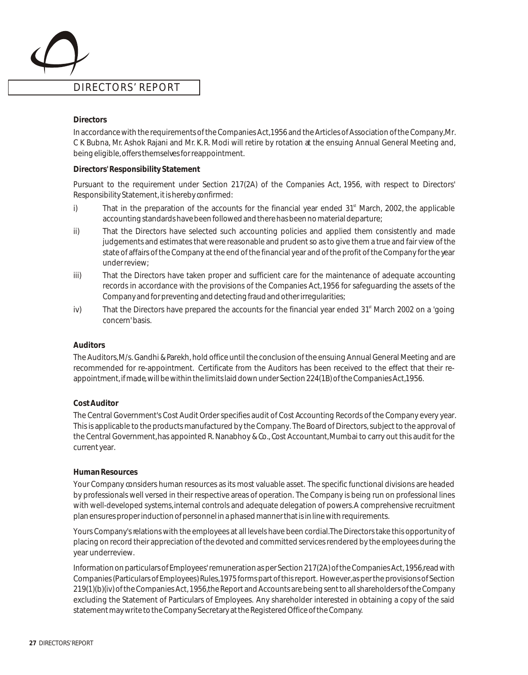### **Directors**

In accordance with the requirements of the Companies Act, 1956 and the Articles of Association of the Company, Mr. C K Bubna, Mr. Ashok Rajani and Mr. K. R. Modi will retire by rotation at the ensuing Annual General Meeting and, being eligible, offers themselves for reappointment.

### **Directors' Responsibility Statement**

Pursuant to the requirement under Section 217(2A) of the Companies Act, 1956, with respect to Directors' Responsibility Statement, it is hereby confirmed:

- $i)$  That in the preparation of the accounts for the financial year ended 31<sup>st</sup> March, 2002, the applicable accounting standards have been followed and there has been no material departure;
- ii) That the Directors have selected such accounting policies and applied them consistently and made judgements and estimates that were reasonable and prudent so as to give them a true and fair view of the state of affairs of the Company at the end of the financial year and of the profit of the Company for the year under review;
- iii) That the Directors have taken proper and sufficient care for the maintenance of adequate accounting records in accordance with the provisions of the Companies Act, 1956 for safeguarding the assets of the Company and for preventing and detecting fraud and other irregularities;
- iv) That the Directors have prepared the accounts for the financial year ended  $31<sup>st</sup>$  March 2002 on a 'going concern' basis.

### **Auditors**

The Auditors, M/s. Gandhi & Parekh, hold office until the conclusion of the ensuing Annual General Meeting and are recommended for re-appointment. Certificate from the Auditors has been received to the effect that their reappointment, if made, will be within the limits laid down under Section 224(1B) of the Companies Act, 1956.

### **Cost Auditor**

The Central Government's Cost Audit Order specifies audit of Cost Accounting Records of the Company every year. This is applicable to the products manufactured by the Company. The Board of Directors, subject to the approval of the Central Government, has appointed R. Nanabhoy & Co., Cost Accountant, Mumbai to carry out this audit for the current year.

#### **Human Resources**

Your Company considers human resources as its most valuable asset. The specific functional divisions are headed by professionals well versed in their respective areas of operation. The Company is being run on professional lines with well-developed systems, internal controls and adequate delegation of powers. A comprehensive recruitment plan ensures proper induction of personnel in a phased manner that is in line with requirements.

Yours Company's relations with the employees at all levels have been cordial. The Directors take this opportunity of placing on record their appreciation of the devoted and committed services rendered by the employees during the year underreview.

Information on particulars of Employees' remuneration as per Section 217(2A) of the Companies Act, 1956, read with Companies (Particulars of Employees) Rules, 1975 forms part of this report. However, as per the provisions of Section 219(1)(b)(iv) of the Companies Act, 1956, the Report and Accounts are being sent to all shareholders of the Company excluding the Statement of Particulars of Employees. Any shareholder interested in obtaining a copy of the said statement may write to the Company Secretary at the Registered Office of the Company.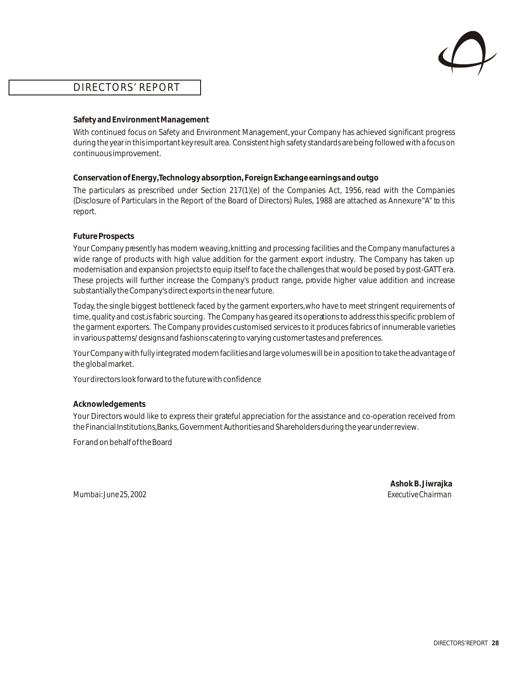

### **Safety and Environment Management**

With continued focus on Safety and Environment Management, your Company has achieved significant progress during the year in this important key result area. Consistent high safety standards are being followed with a focus on continuous improvement.

### **Conservation of Energy, Technology absorption, Foreign Exchange earnings and outgo**

The particulars as prescribed under Section 217(1)(e) of the Companies Act, 1956, read with the Companies (Disclosure of Particulars in the Report of the Board of Directors) Rules, 1988 are attached as Annexure "A" to this report.

### **Future Prospects**

Your Company presently has modern weaving, knitting and processing facilities and the Company manufactures a wide range of products with high value addition for the garment export industry. The Company has taken up modernisation and expansion projects to equip itself to face the challenges that would be posed by post-GATT era. These projects will further increase the Company's product range, provide higher value addition and increase substantially the Company's direct exports in the near future.

Today, the single biggest bottleneck faced by the garment exporters, who have to meet stringent requirements of time, quality and cost, is fabric sourcing. The Company has geared its operations to address this specific problem of the garment exporters. The Company provides customised services to it produces fabrics of innumerable varieties in various patterns/ designs and fashions catering to varying customer tastes and preferences.

Your Company with fully integrated modern facilities and large volumes will be in a position to take the advantage of the global market.

Your directors look forward to the future with confidence

### **Acknowledgements**

Your Directors would like to express their grateful appreciation for the assistance and co-operation received from the Financial Institutions, Banks, Government Authorities and Shareholders during the year under review.

For and on behalf of the Board

*Mumbai: June 25, 2002 Executive Chairman*

**Ashok B. Jiwrajka**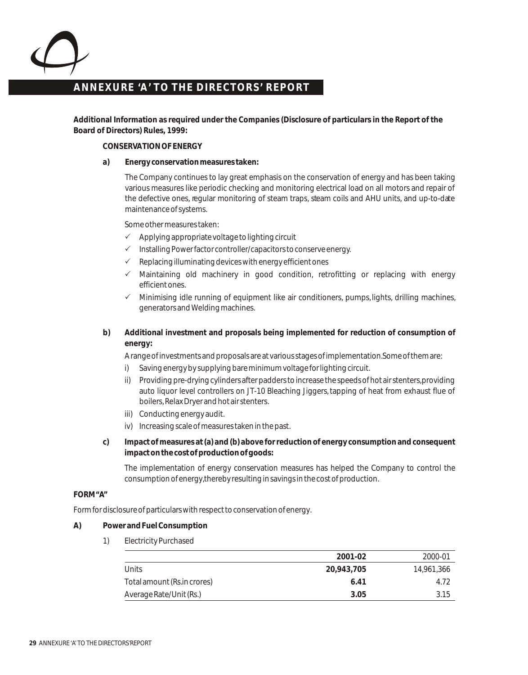

### **ANNEXURE 'A ' TO THE DIRECTORS' REPORT ANNEXURE 'A ' TO THE DIRECTORS' REPORT**

**Additional Information as required under the Companies (Disclosure of particulars in the Report of the Board of Directors) Rules, 1999:**

#### **CONSERVATION OF ENERGY**

**a) Energy conservation measures taken:**

The Company continues to lay great emphasis on the conservation of energy and has been taking various measures like periodic checking and monitoring electrical load on all motors and repair of the defective ones, regular monitoring of steam traps, steam coils and AHU units, and up-to-date maintenance of systems.

Some other measures taken:

- $\checkmark$  Applying appropriate voltage to lighting circuit
- $\checkmark$  Installing Power factor controller/capacitors to conserve energy.
- $\checkmark$  Replacing illuminating devices with energy efficient ones
- Maintaining old machinery in good condition, retrofitting or replacing with energy efficient ones.  $\checkmark$
- $\checkmark$  Minimising idle running of equipment like air conditioners, pumps, lights, drilling machines, generators and Welding machines.
- **b) Additional investment and proposals being implemented for reduction of consumption of energy:**

A range of investments and proposals are at various stages of implementation. Some of them are:

- i) Saving energy by supplying bare minimum voltage for lighting circuit.
- ii) Providing pre-drying cylinders after padders to increase the speeds of hot air stenters, providing auto liquor level controllers on JT-10 Bleaching Jiggers, tapping of heat from exhaust flue of boilers, Relax Dryer and hot air stenters.
- iii) Conducting energy audit.
- iv) Increasing scale of measures taken in the past.
- **c) Impact of measures at (a) and (b) above for reduction of energy consumption and consequent impact on the cost of production of goods:**

The implementation of energy conservation measures has helped the Company to control the consumption of energy, thereby resulting in savings in the cost of production.

#### **FORM "A"**

Form for disclosure of particulars with respect to conservation of energy.

- **A) Power and Fuel Consumption**
	- 1) Electricity Purchased

|                             | 2001-02    | 2000-01    |
|-----------------------------|------------|------------|
| Units                       | 20,943,705 | 14.961.366 |
| Total amount (Rs.in crores) | 6.41       | 4.72       |
| Average Rate/Unit (Rs.)     | 3.05       | 3.15       |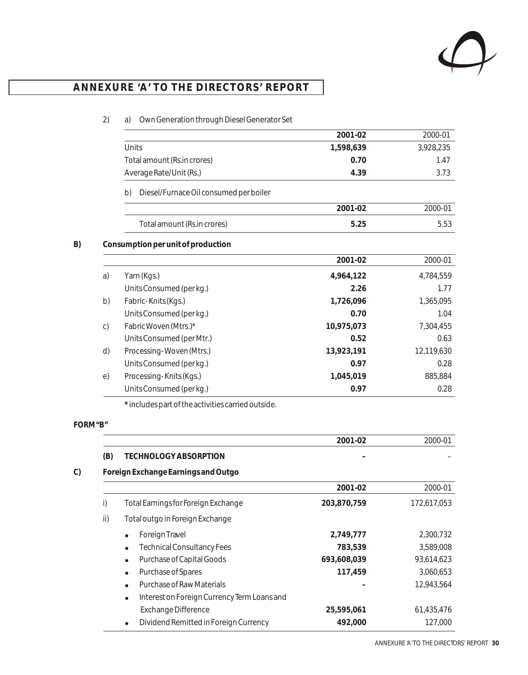

# **ANNEXURE 'A ' TO THE DIRECTORS' REPORT ANNEXURE 'A ' TO THE DIRECTORS' REPORT**

### 2) a) Own Generation through Diesel Generator Set

|              |                                              | 2001-02    | 2000-01    |
|--------------|----------------------------------------------|------------|------------|
|              | Units                                        | 1,598,639  | 3,928,235  |
|              | Total amount (Rs.in crores)                  | 0.70       | 1.47       |
|              | Average Rate/Unit (Rs.)                      | 4.39       | 3.73       |
|              | b)<br>Diesel/Furnace Oil consumed per boiler |            |            |
|              |                                              | 2001-02    | 2000-01    |
|              | Total amount (Rs.in crores)                  | 5.25       | 5.53       |
|              | Consumption per unit of production           |            |            |
|              |                                              | 2001-02    | 2000-01    |
| a)           | Yarn (Kgs.)                                  | 4,964,122  | 4,784,559  |
|              | Units Consumed (per kg.)                     | 2.26       | 1.77       |
| b)           | Fabric-Knits (Kgs.)                          | 1,726,096  | 1,365,095  |
|              | Units Consumed (per kg.)                     | 0.70       | 1.04       |
| $\mathsf{C}$ | Fabric Woven (Mtrs.)*                        | 10,975,073 | 7,304,455  |
|              | Units Consumed (per Mtr.)                    | 0.52       | 0.63       |
| d)           | Processing-Woven (Mtrs.)                     | 13,923,191 | 12,119,630 |
|              | Units Consumed (per kg.)                     | 0.97       | 0.28       |
| e)           | Processing-Knits (Kgs.)                      | 1,045,019  | 885,884    |
|              | Units Consumed (per kg.)                     | 0.97       | 0.28       |

**\*** includes part of the activities carried outside.

### **FORM "B"**

|     |                                                          | 2001-02     | 2000-01     |
|-----|----------------------------------------------------------|-------------|-------------|
| (B) | TECHNOLOGY ABSORPTION                                    |             |             |
|     | Foreign Exchange Earnings and Outgo                      |             |             |
|     |                                                          | 2001-02     | 2000-01     |
| i)  | Total Earnings for Foreign Exchange                      | 203,870,759 | 172,617,053 |
| ii) | Total outgo in Foreign Exchange                          |             |             |
|     | ForeignTravel                                            | 2,749,777   | 2,300,732   |
|     | <b>Technical Consultancy Fees</b>                        | 783,539     | 3,589,008   |
|     | Purchase of Capital Goods                                | 693,608,039 | 93,614,623  |
|     | Purchase of Spares<br>$\bullet$                          | 117,459     | 3,060,653   |
|     | Purchase of Raw Materials                                |             | 12,943,564  |
|     | Interest on Foreign Currency Term Loans and<br>$\bullet$ |             |             |
|     | <b>Exchange Difference</b>                               | 25,595,061  | 61,435,476  |
|     | Dividend Remitted in Foreign Currency                    | 492,000     | 127,000     |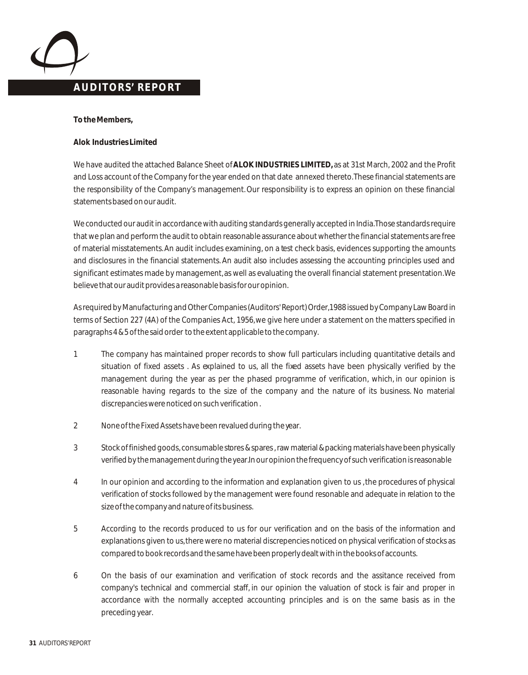### **AUDITORS' REPORT**

**To the Members,**

**Alok Industries Limited**

We have audited the attached Balance Sheet of **ALOK INDUSTRIES LIMITED,** as at 31st March, 2002 and the Profit and Loss account of the Company for the year ended on that date annexed thereto. These financial statements are the responsibility of the Company's management. Our responsibility is to express an opinion on these financial statements based on our audit.

We conducted our audit in accordance with auditing standards generally accepted in India. Those standards require that we plan and perform the audit to obtain reasonable assurance about whether the financial statements are free of material misstatements. An audit includes examining, on a test check basis, evidences supporting the amounts and disclosures in the financial statements. An audit also includes assessing the accounting principles used and significant estimates made by management, as well as evaluating the overall financial statement presentation. We believe that our audit provides a reasonable basis for our opinion.

As required by Manufacturing and Other Companies (Auditors' Report) Order,1988 issued by Company Law Board in terms of Section 227 (4A) of the Companies Act, 1956, we give here under a statement on the matters specified in paragraphs 4 & 5 of the said order to the extent applicable to the company.

- 1 The company has maintained proper records to show full particulars including quantitative details and situation of fixed assets . As explained to us, all the fixed assets have been physically verified by the management during the year as per the phased programme of verification, which, in our opinion is reasonable having regards to the size of the company and the nature of its business. No material discrepancies were noticed on such verification .
- 2 None of the Fixed Assets have been revalued during the year.
- 3 Stock of finished goods, consumable stores & spares , raw material & packing materials have been physically verified by the management during the year. In our opinion the frequency of such verification is reasonable
- 4 In our opinion and according to the information and explanation given to us , the procedures of physical verification of stocks followed by the management were found resonable and adequate in relation to the size of the company and nature of its business.
- 5 According to the records produced to us for our verification and on the basis of the information and explanations given to us, there were no material discrepencies noticed on physical verification of stocks as compared to book records and the same have been properly dealt with in the books of accounts.
- 6 On the basis of our examination and verification of stock records and the assitance received from company's technical and commercial staff, in our opinion the valuation of stock is fair and proper in accordance with the normally accepted accounting principles and is on the same basis as in the preceding year.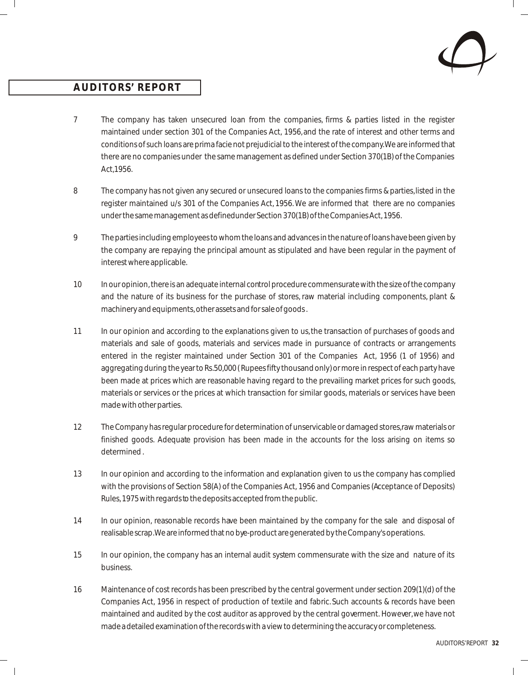

### **AUDITORS' REPORT**

- 7 The company has taken unsecured loan from the companies, firms & parties listed in the register maintained under section 301 of the Companies Act, 1956, and the rate of interest and other terms and conditions of such loans are prima facie not prejudicial to the interest of the company. We are informed that there are no companies under the same management as defined under Section 370(1B) of the Companies Act,1956.
- 8 The company has not given any secured or unsecured loans to the companies firms & parties, listed in the register maintained u/s 301 of the Companies Act, 1956. We are informed that there are no companies under the same management as definedunder Section 370(1B) of the Companies Act, 1956.
- 9 The parties including employees to whom the loans and advances in the nature of loans have been given by the company are repaying the principal amount as stipulated and have been regular in the payment of interest where applicable.
- 10 In our opinion, there is an adequate internal control procedure commensurate with the size of the company and the nature of its business for the purchase of stores, raw material including components, plant & machinery and equipments, other assets and for sale of goods .
- 11 In our opinion and according to the explanations given to us, the transaction of purchases of goods and materials and sale of goods, materials and services made in pursuance of contracts or arrangements entered in the register maintained under Section 301 of the Companies Act, 1956 (1 of 1956) and aggregating during the year to Rs.50,000 ( Rupees fifty thousand only) or more in respect of each party have been made at prices which are reasonable having regard to the prevailing market prices for such goods, materials or services or the prices at which transaction for similar goods, materials or services have been made with other parties.
- 12 The Company has regular procedure for determination of unservicable or damaged stores, raw materials or finished goods. Adequate provision has been made in the accounts for the loss arising on items so determined .
- 13 In our opinion and according to the information and explanation given to us the company has complied with the provisions of Section 58(A) of the Companies Act, 1956 and Companies (Acceptance of Deposits) Rules, 1975 with regards to the deposits accepted from the public.
- 14 In our opinion, reasonable records have been maintained by the company for the sale and disposal of realisable scrap. We are informed that no bye-product are generated by the Company's operations.
- 15 In our opinion, the company has an internal audit system commensurate with the size and nature of its business.
- 16 Maintenance of cost records has been prescribed by the central goverment under section 209(1)(d) of the Companies Act, 1956 in respect of production of textile and fabric. Such accounts & records have been maintained and audited by the cost auditor as approved by the central goverment. However, we have not made a detailed examination of the records with a view to determining the accuracy or completeness.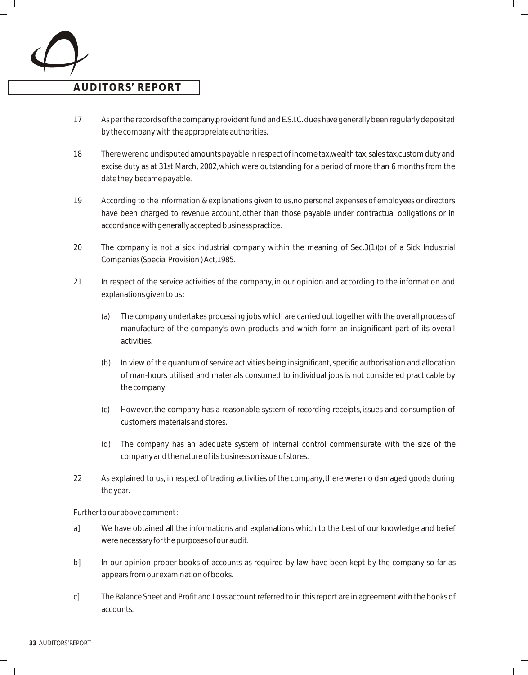

### **AUDITORS' REPORT**

- 17 As per the records of the company, provident fund and E.S.I.C. dues have generally been regularly deposited by the company with the appropreiate authorities.
- 18 There were no undisputed amounts payable in respect of income tax, wealth tax, sales tax, custom duty and excise duty as at 31st March, 2002, which were outstanding for a period of more than 6 months from the date they became payable.
- 19 According to the information & explanations given to us, no personal expenses of employees or directors have been charged to revenue account, other than those payable under contractual obligations or in accordance with generally accepted business practice.
- 20 The company is not a sick industrial company within the meaning of Sec.3(1)(o) of a Sick Industrial Companies (Special Provision ) Act, 1985.
- 21 In respect of the service activities of the company, in our opinion and according to the information and explanations given to us :
	- (a) The company undertakes processing jobs which are carried out together with the overall process of manufacture of the company's own products and which form an insignificant part of its overall activities.
	- (b) In view of the quantum of service activities being insignificant, specific authorisation and allocation of man-hours utilised and materials consumed to individual jobs is not considered practicable by the company.
	- (c) However, the company has a reasonable system of recording receipts, issues and consumption of customers' materials and stores.
	- (d) The company has an adequate system of internal control commensurate with the size of the company and the nature of its business on issue of stores.
- 22 As explained to us, in respect of trading activities of the company, there were no damaged goods during the year.

Further to our above comment :

- a] We have obtained all the informations and explanations which to the best of our knowledge and belief were necessary for the purposes of our audit.
- b] In our opinion proper books of accounts as required by law have been kept by the company so far as appears from our examination of books.
- c] The Balance Sheet and Profit and Loss account referred to in this report are in agreement with the books of accounts.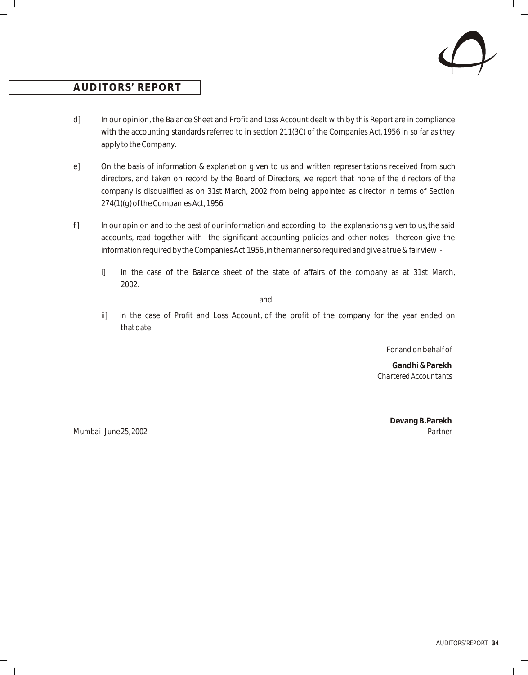

### **AUDITORS' REPORT**

- d] In our opinion, the Balance Sheet and Profit and Loss Account dealt with by this Report are in compliance with the accounting standards referred to in section 211(3C) of the Companies Act, 1956 in so far as they apply to the Company.
- e] On the basis of information & explanation given to us and written representations received from such directors, and taken on record by the Board of Directors, we report that none of the directors of the company is disqualified as on 31st March, 2002 from being appointed as director in terms of Section 274(1)(g) of the Companies Act, 1956.
- f] In our opinion and to the best of our information and according to the explanations given to us, the said accounts, read together with the significant accounting policies and other notes thereon give the information required by the Companies Act, 1956, in the manner so required and give a true & fair view :
	- i] in the case of the Balance sheet of the state of affairs of the company as at 31st March, 2002.

and

ii] in the case of Profit and Loss Account, of the profit of the company for the year ended on that date.

For and on behalf of

**Gandhi & Parekh** *Chartered Accountants*

*Mumbai : June 25, 2002 Partner*

**Devang B. Parekh**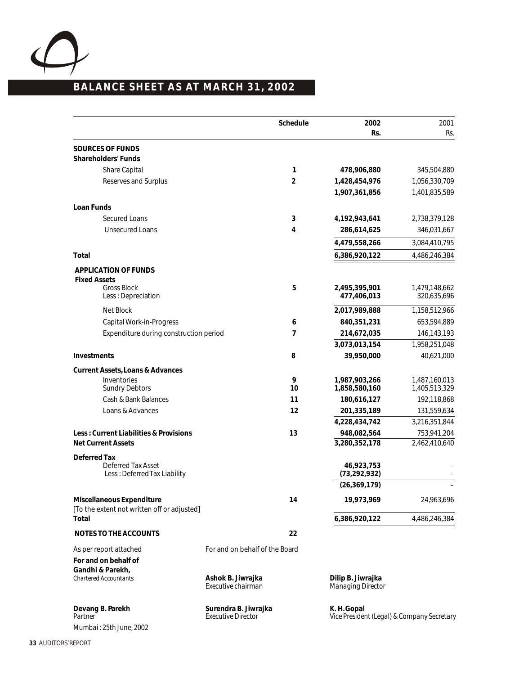

# **BALANCE SHEET AS AT MARCH 31, 2002**

|                                                                          | Schedule                                          | 2002<br>Rs.                                               | 2001<br>Rs.                  |
|--------------------------------------------------------------------------|---------------------------------------------------|-----------------------------------------------------------|------------------------------|
| SOURCES OF FUNDS                                                         |                                                   |                                                           |                              |
| Shareholders' Funds                                                      |                                                   |                                                           |                              |
| Share Capital                                                            | 1                                                 | 478,906,880                                               | 345,504,880                  |
| Reserves and Surplus                                                     | $\overline{2}$                                    | 1,428,454,976                                             | 1,056,330,709                |
|                                                                          |                                                   | 1,907,361,856                                             | 1,401,835,589                |
| Loan Funds                                                               |                                                   |                                                           |                              |
| <b>Secured Loans</b>                                                     | 3                                                 | 4,192,943,641                                             | 2,738,379,128                |
| <b>Unsecured Loans</b>                                                   | 4                                                 | 286,614,625                                               | 346,031,667                  |
|                                                                          |                                                   | 4,479,558,266                                             | 3,084,410,795                |
| Total                                                                    |                                                   | 6,386,920,122                                             | 4,486,246,384                |
| APPLICATION OF FUNDS                                                     |                                                   |                                                           |                              |
| <b>Fixed Assets</b>                                                      |                                                   |                                                           |                              |
| <b>Gross Block</b><br>Less: Depreciation                                 | 5                                                 | 2,495,395,901<br>477,406,013                              | 1.479.148.662<br>320,635,696 |
| Net Block                                                                |                                                   | 2,017,989,888                                             | 1,158,512,966                |
| Capital Work-in-Progress                                                 | 6                                                 | 840,351,231                                               | 653,594,889                  |
| Expenditure during construction period                                   | $\overline{7}$                                    | 214,672,035                                               | 146,143,193                  |
|                                                                          |                                                   | 3,073,013,154                                             | 1,958,251,048                |
| Investments                                                              | 8                                                 | 39,950,000                                                | 40,621,000                   |
| Current Assets, Loans & Advances                                         |                                                   |                                                           |                              |
| Inventories                                                              | 9                                                 | 1,987,903,266                                             | 1,487,160,013                |
| <b>Sundry Debtors</b>                                                    | 10                                                | 1,858,580,160                                             | 1,405,513,329                |
| Cash & Bank Balances                                                     | 11                                                | 180,616,127                                               | 192,118,868                  |
| Loans & Advances                                                         | 12                                                | 201,335,189                                               | 131,559,634                  |
|                                                                          |                                                   | 4,228,434,742                                             | 3,216,351,844                |
| Less: Current Liabilities & Provisions<br><b>Net Current Assets</b>      | 13                                                | 948,082,564<br>3,280,352,178                              | 753,941,204<br>2,462,410,640 |
| Deferred Tax                                                             |                                                   |                                                           |                              |
| <b>Deferred Tax Asset</b><br>Less: Deferred Tax Liability                |                                                   | 46,923,753<br>(73, 292, 932)                              |                              |
|                                                                          |                                                   | (26, 369, 179)                                            |                              |
| Miscellaneous Expenditure<br>[To the extent not written off or adjusted] | 14                                                | 19,973,969                                                | 24,963,696                   |
| Total                                                                    |                                                   | 6,386,920,122                                             | 4,486,246,384                |
| NOTES TO THE ACCOUNTS                                                    | 22                                                |                                                           |                              |
| As per report attached                                                   | For and on behalf of the Board                    |                                                           |                              |
| For and on behalf of                                                     |                                                   |                                                           |                              |
| Gandhi & Parekh,                                                         |                                                   |                                                           |                              |
| <b>Chartered Accountants</b>                                             | Ashok B. Jiwrajka<br>Executive chairman           | Dilip B. Jiwrajka<br>Managing Director                    |                              |
| Devang B. Parekh<br>Partner                                              | Surendra B. Jiwrajka<br><b>Executive Director</b> | K. H. Gopal<br>Vice President (Legal) & Company Secretary |                              |
| Mumbai: 25th June, 2002                                                  |                                                   |                                                           |                              |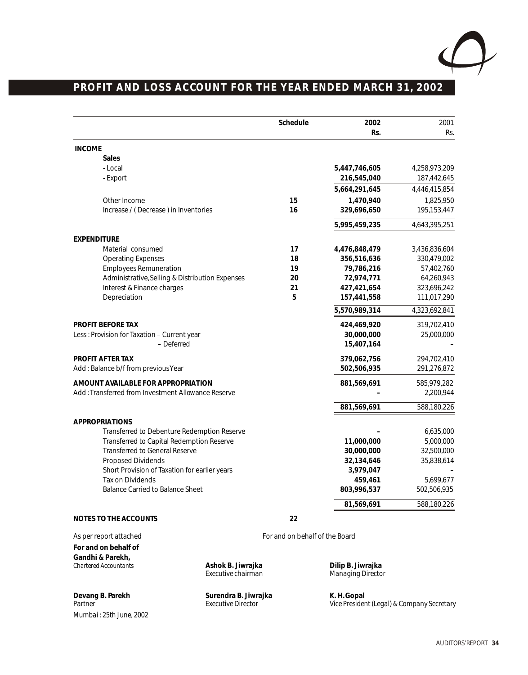

# **PROFIT AND LOSS ACCOUNT FOR THE YEAR ENDED MARCH 31, 2002**

|                                                    |                                         | Schedule                       | 2002<br>Rs.                            | 2001<br>Rs.   |
|----------------------------------------------------|-----------------------------------------|--------------------------------|----------------------------------------|---------------|
| <b>INCOME</b>                                      |                                         |                                |                                        |               |
| Sales                                              |                                         |                                |                                        |               |
| - Local                                            |                                         |                                | 5,447,746,605                          | 4,258,973,209 |
| - Export                                           |                                         |                                | 216,545,040                            | 187,442,645   |
|                                                    |                                         |                                | 5,664,291,645                          | 4,446,415,854 |
| Other Income                                       |                                         | 15                             | 1,470,940                              | 1,825,950     |
| Increase / (Decrease) in Inventories               |                                         | 16                             | 329,696,650                            | 195,153,447   |
|                                                    |                                         |                                | 5,995,459,235                          | 4,643,395,251 |
| <b>EXPENDITURE</b>                                 |                                         |                                |                                        |               |
| Material consumed                                  |                                         | 17                             | 4,476,848,479                          | 3,436,836,604 |
| <b>Operating Expenses</b>                          |                                         | 18                             | 356,516,636                            | 330,479,002   |
| <b>Employees Remuneration</b>                      |                                         | 19                             | 79,786,216                             | 57,402,760    |
| Administrative, Selling & Distribution Expenses    |                                         | 20                             | 72,974,771                             | 64,260,943    |
| Interest & Finance charges                         |                                         | 21                             | 427,421,654                            | 323,696,242   |
| Depreciation                                       |                                         | 5                              | 157,441,558                            | 111,017,290   |
|                                                    |                                         |                                | 5,570,989,314                          | 4,323,692,841 |
| PROFIT BEFORE TAX                                  |                                         |                                | 424,469,920                            | 319,702,410   |
| Less: Provision for Taxation - Current year        |                                         |                                | 30,000,000                             | 25,000,000    |
| - Deferred                                         |                                         |                                | 15,407,164                             |               |
| PROFIT AFTER TAX                                   |                                         |                                | 379,062,756                            | 294,702,410   |
| Add: Balance b/f from previous Year                |                                         |                                | 502,506,935                            | 291,276,872   |
| AMOUNT AVAILABLE FOR APPROPRIATION                 |                                         |                                | 881,569,691                            | 585,979,282   |
| Add: Transferred from Investment Allowance Reserve |                                         |                                |                                        | 2,200,944     |
|                                                    |                                         |                                | 881,569,691                            | 588,180,226   |
| APPROPRIATIONS                                     |                                         |                                |                                        |               |
| Transferred to Debenture Redemption Reserve        |                                         |                                |                                        | 6,635,000     |
| Transferred to Capital Redemption Reserve          |                                         |                                | 11,000,000                             | 5,000,000     |
| <b>Transferred to General Reserve</b>              |                                         |                                | 30,000,000                             | 32,500,000    |
| <b>Proposed Dividends</b>                          |                                         |                                | 32,134,646                             | 35,838,614    |
| Short Provision of Taxation for earlier years      |                                         |                                | 3,979,047                              |               |
| Tax on Dividends                                   |                                         |                                | 459,461                                | 5,699,677     |
| <b>Balance Carried to Balance Sheet</b>            |                                         |                                | 803,996,537                            | 502,506,935   |
|                                                    |                                         |                                | 81,569,691                             | 588,180,226   |
| NOTES TO THE ACCOUNTS                              |                                         | 22                             |                                        |               |
| As per report attached                             |                                         | For and on behalf of the Board |                                        |               |
| For and on behalf of                               |                                         |                                |                                        |               |
| Gandhi & Parekh,                                   |                                         |                                |                                        |               |
| Chartered Accountants                              | Ashok B. Jiwrajka<br>Executive chairman |                                | Dilip B. Jiwrajka<br>Managing Director |               |
|                                                    |                                         |                                |                                        |               |

Devang B. Parekh Surendra B. Jiwrajka<br>Partner Surendra B. H. Gordon<br>B. Executive Director *Mumbai : 25th June, 2002*

*Partner Executive Director Vice President (Legal) & Company Secretary*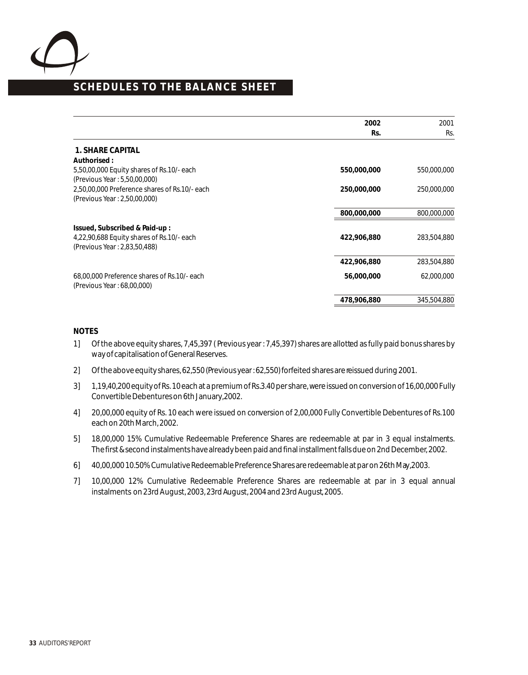

# **SCHEDULES TO THE BALANCE SHEET**

|                                               | 2002        | 2001        |
|-----------------------------------------------|-------------|-------------|
|                                               | Rs.         | Rs.         |
| 1. SHARE CAPITAL                              |             |             |
| Authorised:                                   |             |             |
| 5,50,00,000 Equity shares of Rs.10/- each     | 550,000,000 | 550,000,000 |
| (Previous Year: 5,50,00,000)                  |             |             |
| 2,50,00,000 Preference shares of Rs.10/- each | 250,000,000 | 250,000,000 |
| (Previous Year: 2,50,00,000)                  |             |             |
|                                               | 800,000,000 | 800,000,000 |
| Issued, Subscribed & Paid-up:                 |             |             |
| 4,22,90,688 Equity shares of Rs.10/- each     | 422,906,880 | 283,504,880 |
| (Previous Year: 2,83,50,488)                  |             |             |
|                                               | 422,906,880 | 283,504,880 |
| 68,00,000 Preference shares of Rs.10/- each   | 56,000,000  | 62,000,000  |
| (Previous Year: 68,00,000)                    |             |             |
|                                               | 478,906,880 | 345,504,880 |

#### **NOTES**

- 1] Of the above equity shares, 7,45,397 ( Previous year : 7,45,397) shares are allotted as fully paid bonus shares by way of capitalisation of General Reserves.
- 2] Of the above equity shares, 62,550 (Previous year : 62,550) forfeited shares are reissued during 2001.
- 3] 1,19,40,200 equity of Rs. 10 each at a premium of Rs. 3.40 per share, were issued on conversion of 16,00,000 Fully Convertible Debentures on 6th January, 2002.
- 4] 20,00,000 equity of Rs. 10 each were issued on conversion of 2,00,000 Fully Convertible Debentures of Rs. 100 each on 20th March, 2002.
- 5] 18,00,000 15% Cumulative Redeemable Preference Shares are redeemable at par in 3 equal instalments. The first & second instalments have already been paid and final installment falls due on 2nd December, 2002.
- 6] 40,00,000 10.50% Cumulative Redeemable Preference Shares are redeemable at par on 26th May, 2003.
- 7] 10,00,000 12% Cumulative Redeemable Preference Shares are redeemable at par in 3 equal annual instalments on 23rd August, 2003, 23rd August, 2004 and 23rd August, 2005.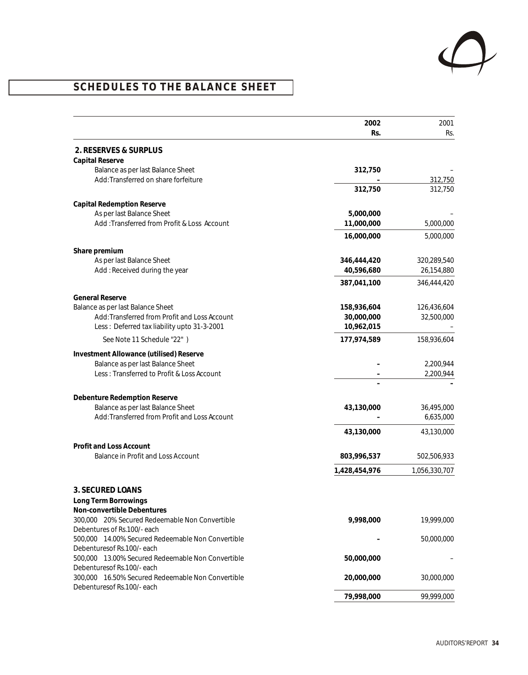

# **SCHEDULES TO THE BALANCE SHEET**

|                                                                                 | 2002          | 2001          |
|---------------------------------------------------------------------------------|---------------|---------------|
|                                                                                 | Rs.           | Rs.           |
| 2. RESERVES & SURPLUS                                                           |               |               |
| Capital Reserve                                                                 |               |               |
| Balance as per last Balance Sheet                                               | 312,750       |               |
| Add: Transferred on share forfeiture                                            |               | 312,750       |
|                                                                                 | 312,750       | 312,750       |
| Capital Redemption Reserve                                                      |               |               |
| As per last Balance Sheet                                                       | 5,000,000     |               |
| Add: Transferred from Profit & Loss Account                                     | 11,000,000    | 5,000,000     |
|                                                                                 | 16,000,000    | 5,000,000     |
| Share premium                                                                   |               |               |
| As per last Balance Sheet                                                       | 346,444,420   | 320,289,540   |
| Add: Received during the year                                                   | 40,596,680    | 26,154,880    |
|                                                                                 | 387,041,100   | 346,444,420   |
| <b>General Reserve</b>                                                          |               |               |
| Balance as per last Balance Sheet                                               | 158,936,604   | 126,436,604   |
| Add: Transferred from Profit and Loss Account                                   | 30,000,000    | 32,500,000    |
| Less: Deferred tax liability upto 31-3-2001                                     | 10,962,015    |               |
| See Note 11 Schedule "22")                                                      | 177,974,589   | 158,936,604   |
| Investment Allowance (utilised) Reserve                                         |               |               |
| Balance as per last Balance Sheet                                               |               | 2,200,944     |
| Less: Transferred to Profit & Loss Account                                      |               | 2,200,944     |
|                                                                                 |               |               |
| Debenture Redemption Reserve                                                    |               |               |
| Balance as per last Balance Sheet                                               | 43,130,000    | 36,495,000    |
| Add: Transferred from Profit and Loss Account                                   |               | 6,635,000     |
|                                                                                 | 43,130,000    | 43,130,000    |
|                                                                                 |               |               |
| Profit and Loss Account<br>Balance in Profit and Loss Account                   | 803,996,537   | 502,506,933   |
|                                                                                 |               | 1,056,330,707 |
|                                                                                 | 1,428,454,976 |               |
| 3. SECURED LOANS                                                                |               |               |
| Long Term Borrowings                                                            |               |               |
| Non-convertible Debentures                                                      |               |               |
| 300,000 20% Secured Redeemable Non Convertible                                  | 9,998,000     | 19,999,000    |
| Debentures of Rs.100/- each                                                     |               |               |
| 500,000 14.00% Secured Redeemable Non Convertible                               |               | 50,000,000    |
| Debenturesof Rs.100/- each<br>500,000 13.00% Secured Redeemable Non Convertible |               |               |
| Debenturesof Rs.100/- each                                                      | 50,000,000    |               |
| 300,000 16.50% Secured Redeemable Non Convertible                               | 20,000,000    | 30,000,000    |
| Debentures of Rs. 100/- each                                                    |               |               |
|                                                                                 | 79,998,000    | 99,999,000    |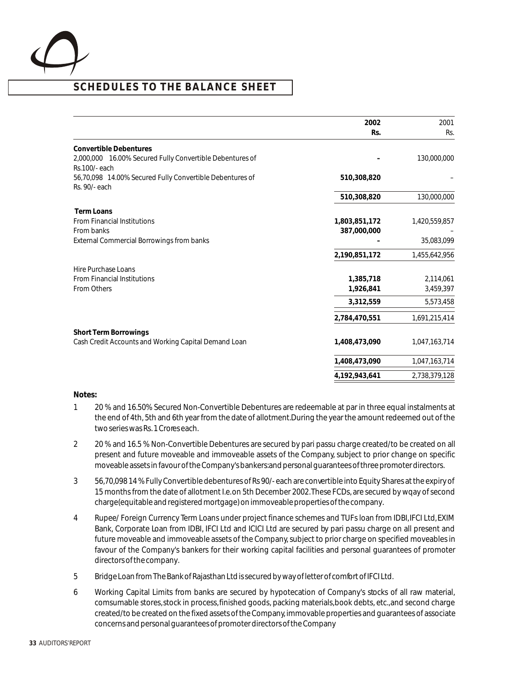

|                                                                           | 2002          | 2001          |
|---------------------------------------------------------------------------|---------------|---------------|
|                                                                           | Rs.           | Rs.           |
| <b>Convertible Debentures</b>                                             |               |               |
| 2,000,000 16.00% Secured Fully Convertible Debentures of<br>Rs.100/-each  |               | 130,000,000   |
| 56,70,098 14.00% Secured Fully Convertible Debentures of<br>Rs. 90/- each | 510,308,820   |               |
|                                                                           | 510,308,820   | 130,000,000   |
| <b>Term Loans</b>                                                         |               |               |
| <b>From Financial Institutions</b>                                        | 1,803,851,172 | 1,420,559,857 |
| From banks                                                                | 387,000,000   |               |
| External Commercial Borrowings from banks                                 |               | 35,083,099    |
|                                                                           | 2,190,851,172 | 1,455,642,956 |
| <b>Hire Purchase Loans</b>                                                |               |               |
| <b>From Financial Institutions</b>                                        | 1,385,718     | 2,114,061     |
| <b>From Others</b>                                                        | 1,926,841     | 3,459,397     |
|                                                                           | 3,312,559     | 5,573,458     |
|                                                                           | 2,784,470,551 | 1,691,215,414 |
| Short Term Borrowings                                                     |               |               |
| Cash Credit Accounts and Working Capital Demand Loan                      | 1,408,473,090 | 1,047,163,714 |
|                                                                           | 1,408,473,090 | 1,047,163,714 |
|                                                                           | 4,192,943,641 | 2,738,379,128 |

#### **Notes:**

- 1 20 % and 16.50% Secured Non-Convertible Debentures are redeemable at par in three equal instalments at the end of 4th, 5th and 6th year from the date of allotment. During the year the amount redeemed out of the two series was Rs. 1 Crores each.
- 2 20 % and 16.5 % Non-Convertible Debentures are secured by pari passu charge created/to be created on all present and future moveable and immoveable assets of the Company, subject to prior change on specific moveable assets in favour of the Company's bankers: and personal guarantees of three promoter directors.
- 3 56,70,098 14 % Fully Convertible debentures of Rs 90/- each are convertible into Equity Shares at the expiry of 15 months from the date of allotment I.e. on 5th December 2002. These FCDs, are secured by wqay of second charge(equitable and registered mortgage) on immoveable properties of the company.
- 4 Rupee/ Foreign Currency Term Loans under project finance schemes and TUFs loan from IDBI, IFCI Ltd, EXIM Bank, Corporate Loan from IDBI, IFCI Ltd and ICICI Ltd are secured by pari passu charge on all present and future moveable and immoveable assets of the Company, subject to prior charge on specified moveables in favour of the Company's bankers for their working capital facilities and personal guarantees of promoter directors of the company.
- 5 Bridge Loan from The Bank of Rajasthan Ltd is secured by way of letter of comfort of IFCI Ltd.
- 6 Working Capital Limits from banks are secured by hypotecation of Company's stocks of all raw material, comsumable stores, stock in process, finished goods, packing materials, book debts, etc., and second charge created/to be created on the fixed assets of the Company, immovable properties and guarantees of associate concerns and personal guarantees of promoter directors of the Company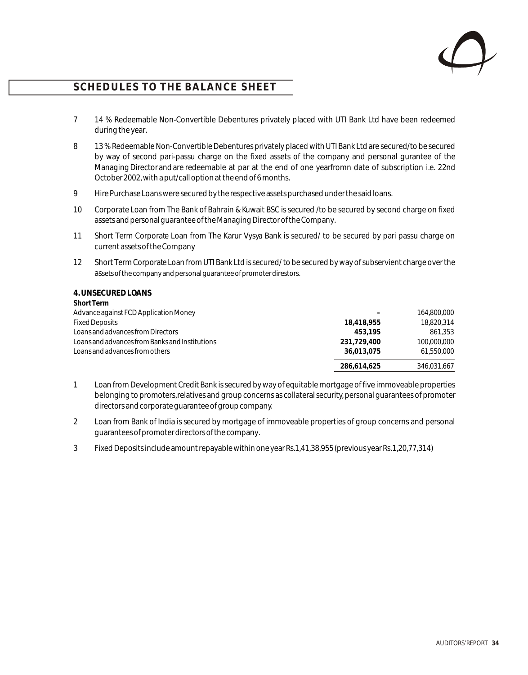

- 7 14 % Redeemable Non-Convertible Debentures privately placed with UTI Bank Ltd have been redeemed during the year.
- 8 13 % Redeemable Non-Convertible Debentures privately placed with UTI Bank Ltd are secured/to be secured by way of second pari-passu charge on the fixed assets of the company and personal gurantee of the Managing Director and are redeemable at par at the end of one yearfromn date of subscription i.e. 22nd October 2002, with a put/call option at the end of 6 months.
- 9 Hire Purchase Loans were secured by the respective assets purchased under the said loans.
- 10 Corporate Loan from The Bank of Bahrain & Kuwait BSC is secured /to be secured by second charge on fixed assets and personal guarantee of the Managing Director of the Company.
- 11 Short Term Corporate Loan from The Karur Vysya Bank is secured/ to be secured by pari passu charge on current assets of the Company
- 12 Short Term Corporate Loan from UTI Bank Ltd is secured/ to be secured by way of subservient charge over the assets of the company and personal guarantee of promoter direstors.

| 4. UNSECURED LOANS |  |
|--------------------|--|
| <b>Short Term</b>  |  |

| <b>Short Term</b>                              |             |             |
|------------------------------------------------|-------------|-------------|
| Advance against FCD Application Money          |             | 164,800,000 |
| <b>Fixed Deposits</b>                          | 18,418,955  | 18,820,314  |
| Loans and advances from Directors              | 453.195     | 861.353     |
| Loans and advances from Banks and Institutions | 231,729,400 | 100,000,000 |
| Loans and advances from others                 | 36,013,075  | 61.550.000  |
|                                                | 286,614,625 | 346,031,667 |

- 1 Loan from Development Credit Bank is secured by way of equitable mortgage of five immoveable properties belonging to promoters, relatives and group concerns as collateral security, personal guarantees of promoter directors and corporate guarantee of group company.
- 2 Loan from Bank of India is secured by mortgage of immoveable properties of group concerns and personal guarantees of promoter directors of the company.
- 3 Fixed Deposits include amount repayable within one year Rs. 1,41,38,955 (previous year Rs. 1,20,77,314)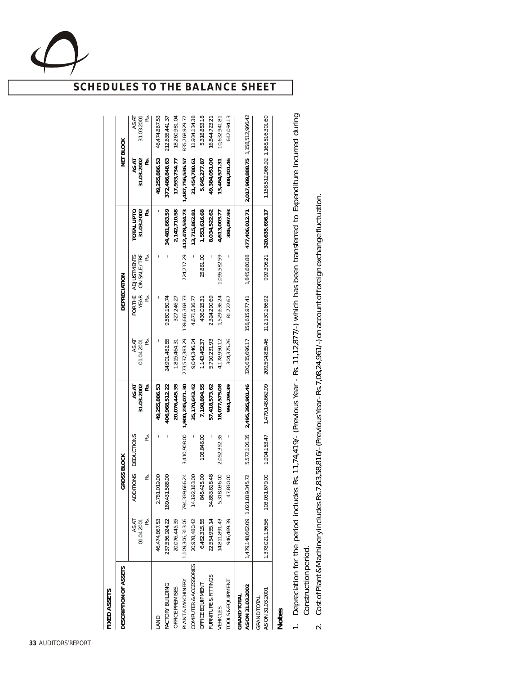|--|

| FIXED ASSETS                           |                                   |                                |                         |                                 |                               |                     |                                           |                                 |                                   |                                 |
|----------------------------------------|-----------------------------------|--------------------------------|-------------------------|---------------------------------|-------------------------------|---------------------|-------------------------------------------|---------------------------------|-----------------------------------|---------------------------------|
| DESCRIPTION OF ASSETS                  |                                   | GROSS BLOCK                    |                         |                                 |                               | <b>DEPRECIATION</b> |                                           |                                 |                                   | NET BLOCK                       |
|                                        | 01.04.2001<br>RS.<br>AS AT        | <b>ADDITIONS</b><br>ಜ          | <b>DEDUCTIONS</b><br>ě. | AS AT<br>31.03.2002<br>RS.      | ě.<br>AS AT<br>01.04.2001     | RS.                 | FOR THE ADJUSTMENTS<br>YEAR ON SALE / TRF | 31.03.2002<br>RS.<br>TOTAL UPTO | 31.03.2002<br>AS AT<br>RS.        | RS.<br>AS AT<br>31.03.2001      |
| FACTORY BUILDING<br>LAND               | 237,536,924.22<br>46,474,867.53   | 169,431,588.00<br>2,781,019.00 | I                       | 49,255,886.53<br>406,968,512.22 | 24,901,482.85                 | 9,580,180.74        |                                           | 34,481,663.59                   | 49,255,886.53<br>372,486,848.63   | 46,474,867.53<br>212,635,441.37 |
| OFFICE PREMISES                        | 20,076,445.35                     |                                |                         | 20,076,445.35                   | 1,815,464.31                  | 327,246.27          |                                           | 2,142,710.58                    | 17,933,734.77                     | 18,260,981.04                   |
| PLANT & MACHINERY                      | 1,109,306,313.06                  | 794,339,666.24                 | 3,410,908.00            | 1,900,235,071.30                | 273,537,383.29                | 139,665,368.73      | 724,217.29                                | 412,478,534.73                  | 1,487,756,536.57                  | 835,768,929.77                  |
| COMPUTER & ACCESSORIES                 | 20,978,480.42                     | 14,192,163.00                  |                         | 35,170,643.42                   | 9,044,346.04                  | 4,671,516.77        |                                           | 13,715,862.81                   | 21,454,780.61                     | 11,934,134.38                   |
| OFFICE EQUIPMENT                       | 6,462,315.55                      | 845,425.00                     | 108,846.00              | 7,198,894.55                    | 1,143,462.37                  | 436,015.31          | 25,861.00                                 | 1,553,616.68                    | 5,645,277.87                      | 5,318,853.18                    |
| FURNITURE & FITTINGS                   | 22,554,955.14                     | ≌<br>34,863,618.4              |                         | 57,418,573.62                   | 5,710,231.93                  | 2,324,290.69        |                                           | 8,034,522.62                    | 49,384,051.00                     | 16,844,723.21                   |
| VEHICLES                               | 14,811,891.43                     | 5,318,036.00                   | 2,052,352.35            | 18,077,575.08                   | 4,178,950.12                  | 1,529,636.24        | 1,095,582.59                              | 4,613,003.77                    | 13,464,571.31                     | 10,632,941.81                   |
| <b>TOOLS &amp; EQUIPMENT</b>           | 946,469.39                        | 47,830.00                      |                         | 994,299.39                      | 304,375.26                    | 81,722.67           |                                           | 386,097.93                      | 608,201.46                        | 642,094.13                      |
| AS ON 31.03.2002<br><b>GRAND TOTAL</b> | 1,479,148,662.09 1,021,819,345.72 |                                | 5,572,106.35            | 2,495,395,901.46                | 320,635,696.17                | 158,615,977.41      |                                           | 1,845,660.88 477,406,012.71     | 2,017,989,888.75 1,158,512,966.42 |                                 |
| AS ON 31.03.2001<br><b>GRAND TOTAL</b> |                                   |                                | 1,904,153.47            | 1,479,148,662.09                | 209,504,835.46 112,130,166.92 |                     |                                           | 999,306.21 320,635,696.17       | 1,158,512,965.92 1,168,516,301.60 |                                 |
| <b>Notes</b>                           |                                   |                                |                         |                                 |                               |                     |                                           |                                 |                                   |                                 |

- $\rightleftharpoons$ epre Construction p ciation for the perio d includ es Rs. 11,74,419/- (Pre vious Year - Rs. 11,12,877/-) which has b een transferre d to Exp enditure Incurre ত during erio d.
	- Cost of Plant &  $\overline{\sim}$ Machinery includ esRs.7,8 .<br>თ<br>თ 8,816/-(Pre viousYear-Rs.7,08,2 4,961/-)onaccountofforeignexchang e fluctuation.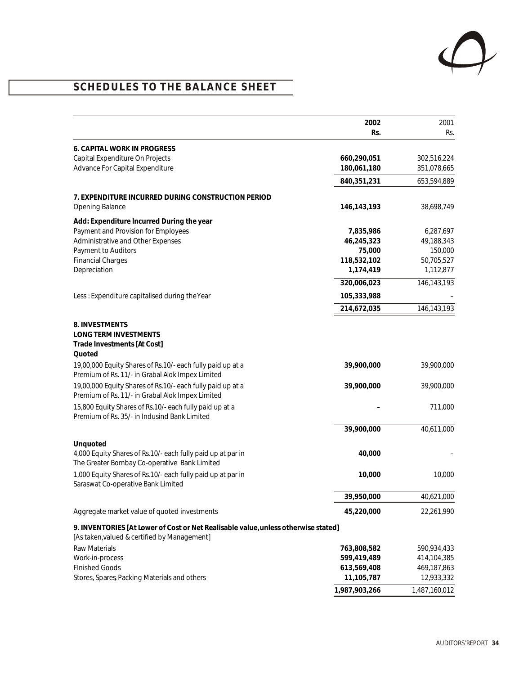

# **SCHEDULES TO THE BALANCE SHEET**

|                                                                                                                                    | 2002<br>Rs.                | 2001<br>Rs.                |
|------------------------------------------------------------------------------------------------------------------------------------|----------------------------|----------------------------|
| 6. CAPITAL WORK IN PROGRESS                                                                                                        |                            |                            |
| Capital Expenditure On Projects<br>Advance For Capital Expenditure                                                                 | 660,290,051<br>180,061,180 | 302,516,224<br>351,078,665 |
|                                                                                                                                    | 840,351,231                | 653,594,889                |
| 7. EXPENDITURE INCURRED DURING CONSTRUCTION PERIOD                                                                                 |                            |                            |
| Opening Balance                                                                                                                    | 146, 143, 193              | 38,698,749                 |
| Add: Expenditure Incurred During the year                                                                                          |                            |                            |
| Payment and Provision for Employees                                                                                                | 7,835,986                  | 6,287,697                  |
| Administrative and Other Expenses                                                                                                  | 46,245,323                 | 49,188,343                 |
| Payment to Auditors                                                                                                                | 75,000                     | 150,000                    |
| <b>Financial Charges</b><br>Depreciation                                                                                           | 118,532,102<br>1,174,419   | 50,705,527<br>1,112,877    |
|                                                                                                                                    | 320,006,023                | 146,143,193                |
| Less: Expenditure capitalised during the Year                                                                                      | 105,333,988                |                            |
|                                                                                                                                    | 214,672,035                | 146,143,193                |
|                                                                                                                                    |                            |                            |
| 8. INVESTMENTS                                                                                                                     |                            |                            |
| LONG TERM INVESTMENTS<br>Trade Investments [At Cost]                                                                               |                            |                            |
| Quoted                                                                                                                             |                            |                            |
| 19,00,000 Equity Shares of Rs.10/- each fully paid up at a                                                                         | 39,900,000                 | 39,900,000                 |
| Premium of Rs. 11/- in Grabal Alok Impex Limited                                                                                   |                            |                            |
| 19,00,000 Equity Shares of Rs.10/- each fully paid up at a<br>Premium of Rs. 11/- in Grabal Alok Impex Limited                     | 39,900,000                 | 39,900,000                 |
| 15,800 Equity Shares of Rs.10/- each fully paid up at a<br>Premium of Rs. 35/- in Indusind Bank Limited                            |                            | 711,000                    |
|                                                                                                                                    | 39,900,000                 | 40,611,000                 |
| Unquoted                                                                                                                           |                            |                            |
| 4,000 Equity Shares of Rs.10/- each fully paid up at par in<br>The Greater Bombay Co-operative Bank Limited                        | 40,000                     |                            |
| 1,000 Equity Shares of Rs.10/- each fully paid up at par in<br>Saraswat Co-operative Bank Limited                                  | 10,000                     | 10,000                     |
|                                                                                                                                    | 39,950,000                 | 40,621,000                 |
| Aggregate market value of quoted investments                                                                                       | 45,220,000                 | 22,261,990                 |
| 9. INVENTORIES [At Lower of Cost or Net Realisable value, unless otherwise stated]<br>[As taken, valued & certified by Management] |                            |                            |
| <b>Raw Materials</b>                                                                                                               | 763,808,582                | 590,934,433                |
| Work-in-process                                                                                                                    | 599,419,489                | 414,104,385                |
| <b>FInished Goods</b>                                                                                                              | 613,569,408                | 469,187,863                |
| Stores, Spares, Packing Materials and others                                                                                       | 11,105,787                 | 12,933,332                 |
|                                                                                                                                    | 1,987,903,266              | 1,487,160,012              |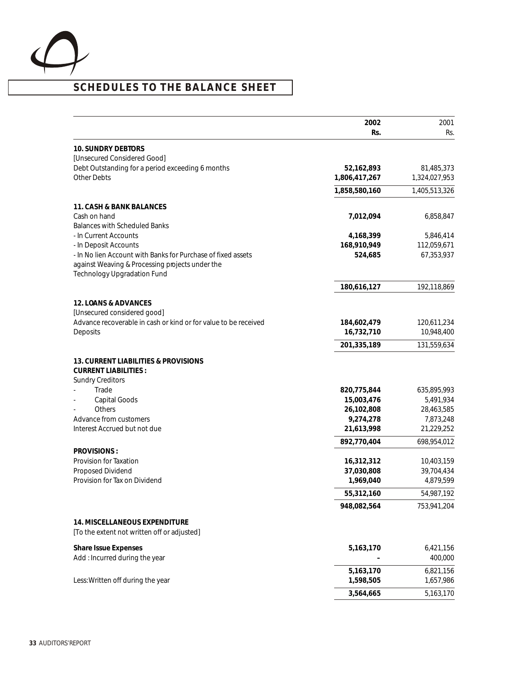

|                                                                                 | 2002                    | 2001                    |
|---------------------------------------------------------------------------------|-------------------------|-------------------------|
|                                                                                 | Rs.                     | Rs.                     |
| <b>10. SUNDRY DEBTORS</b>                                                       |                         |                         |
| [Unsecured Considered Good]<br>Debt Outstanding for a period exceeding 6 months | 52,162,893              | 81,485,373              |
| <b>Other Debts</b>                                                              | 1,806,417,267           | 1,324,027,953           |
|                                                                                 | 1,858,580,160           | 1,405,513,326           |
|                                                                                 |                         |                         |
| 11. CASH & BANK BALANCES                                                        |                         |                         |
| Cash on hand<br><b>Balances with Scheduled Banks</b>                            | 7,012,094               | 6,858,847               |
| - In Current Accounts                                                           | 4,168,399               | 5,846,414               |
| - In Deposit Accounts                                                           | 168,910,949             | 112,059,671             |
| - In No lien Account with Banks for Purchase of fixed assets                    | 524,685                 | 67,353,937              |
| against Weaving & Processing projects under the                                 |                         |                         |
| <b>Technology Upgradation Fund</b>                                              |                         |                         |
|                                                                                 | 180,616,127             | 192,118,869             |
| 12. LOANS & ADVANCES                                                            |                         |                         |
| [Unsecured considered good]                                                     |                         |                         |
| Advance recoverable in cash or kind or for value to be received                 | 184,602,479             | 120,611,234             |
| Deposits                                                                        | 16,732,710              | 10,948,400              |
|                                                                                 | 201,335,189             | 131,559,634             |
| 13. CURRENT LIABILITIES & PROVISIONS                                            |                         |                         |
| <b>CURRENT LIABILITIES:</b>                                                     |                         |                         |
| <b>Sundry Creditors</b>                                                         |                         |                         |
| Trade                                                                           | 820,775,844             | 635,895,993             |
| Capital Goods                                                                   | 15,003,476              | 5,491,934               |
| Others<br>Advance from customers                                                | 26,102,808              | 28,463,585              |
| Interest Accrued but not due                                                    | 9,274,278<br>21,613,998 | 7,873,248<br>21,229,252 |
|                                                                                 | 892,770,404             | 698,954,012             |
| PROVISIONS:                                                                     |                         |                         |
| Provision for Taxation                                                          | 16,312,312              | 10,403,159              |
| Proposed Dividend                                                               | 37,030,808              | 39,704,434              |
| Provision for Tax on Dividend                                                   | 1,969,040               | 4,879,599               |
|                                                                                 | 55,312,160              | 54,987,192              |
|                                                                                 | 948,082,564             | 753,941,204             |
| 14. MISCELLANEOUS EXPENDITURE                                                   |                         |                         |
| [To the extent not written off or adjusted]                                     |                         |                         |
| Share Issue Expenses                                                            | 5,163,170               | 6,421,156               |
| Add: Incurred during the year                                                   |                         | 400,000                 |
|                                                                                 | 5,163,170               | 6,821,156               |
| Less: Written off during the year                                               | 1,598,505               | 1,657,986               |
|                                                                                 | 3,564,665               | 5,163,170               |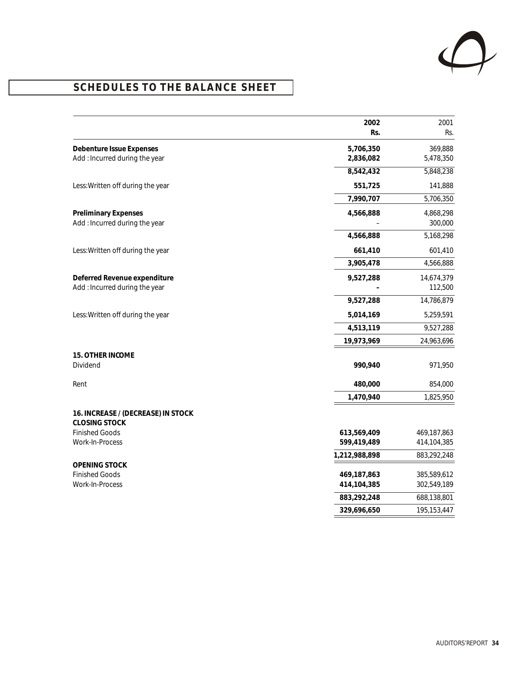

|                                                              | 2002<br>Rs.            | 2001<br>Rs.          |
|--------------------------------------------------------------|------------------------|----------------------|
|                                                              |                        |                      |
| Debenture Issue Expenses<br>Add: Incurred during the year    | 5,706,350<br>2,836,082 | 369,888<br>5,478,350 |
|                                                              | 8,542,432              | 5,848,238            |
| Less: Written off during the year                            | 551,725                | 141,888              |
|                                                              | 7,990,707              | 5,706,350            |
|                                                              |                        |                      |
| <b>Preliminary Expenses</b><br>Add: Incurred during the year | 4,566,888              | 4,868,298<br>300,000 |
|                                                              | 4,566,888              | 5,168,298            |
| Less: Written off during the year                            | 661,410                | 601,410              |
|                                                              | 3,905,478              | 4,566,888            |
| Deferred Revenue expenditure                                 | 9,527,288              | 14,674,379           |
| Add: Incurred during the year                                |                        | 112,500              |
|                                                              | 9,527,288              | 14,786,879           |
| Less: Written off during the year                            | 5,014,169              | 5,259,591            |
|                                                              | 4,513,119              | 9,527,288            |
|                                                              | 19,973,969             | 24,963,696           |
| 15. OTHER INCOME                                             |                        |                      |
| Dividend                                                     | 990,940                | 971,950              |
| Rent                                                         | 480,000                | 854,000              |
|                                                              | 1,470,940              | 1,825,950            |
| 16. INCREASE / (DECREASE) IN STOCK<br><b>CLOSING STOCK</b>   |                        |                      |
| <b>Finished Goods</b>                                        | 613,569,409            | 469,187,863          |
| Work-In-Process                                              | 599,419,489            | 414,104,385          |
|                                                              | 1,212,988,898          | 883,292,248          |
| OPENING STOCK<br><b>Finished Goods</b>                       | 469,187,863            | 385,589,612          |
| Work-In-Process                                              | 414,104,385            | 302,549,189          |
|                                                              | 883,292,248            | 688,138,801          |
|                                                              | 329,696,650            | 195,153,447          |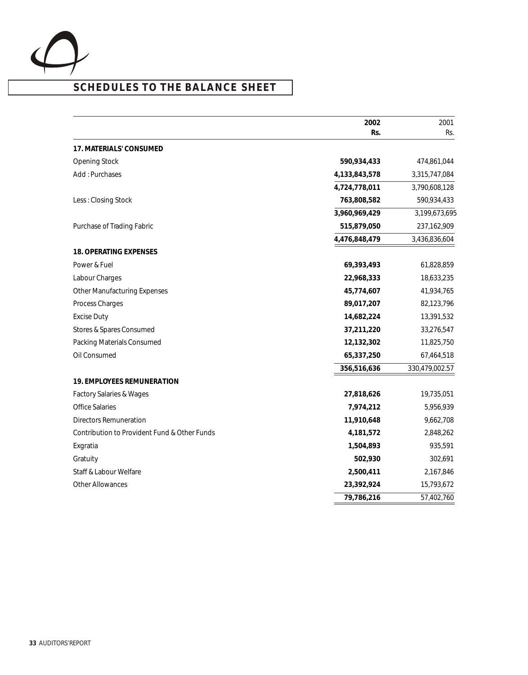

# **SCHEDULES TO THE BALANCE SHEET**

|                                              | 2002          | 2001           |
|----------------------------------------------|---------------|----------------|
|                                              | Rs.           | Rs.            |
| 17. MATERIALS' CONSUMED                      |               |                |
| <b>Opening Stock</b>                         | 590,934,433   | 474,861,044    |
| Add: Purchases                               | 4,133,843,578 | 3,315,747,084  |
|                                              | 4,724,778,011 | 3,790,608,128  |
| Less: Closing Stock                          | 763,808,582   | 590,934,433    |
|                                              | 3,960,969,429 | 3,199,673,695  |
| Purchase of Trading Fabric                   | 515,879,050   | 237,162,909    |
|                                              | 4,476,848,479 | 3,436,836,604  |
| 18. OPERATING EXPENSES                       |               |                |
| Power & Fuel                                 | 69,393,493    | 61,828,859     |
| Labour Charges                               | 22,968,333    | 18,633,235     |
| <b>Other Manufacturing Expenses</b>          | 45,774,607    | 41,934,765     |
| Process Charges                              | 89,017,207    | 82,123,796     |
| <b>Excise Duty</b>                           | 14,682,224    | 13,391,532     |
| Stores & Spares Consumed                     | 37,211,220    | 33,276,547     |
| Packing Materials Consumed                   | 12,132,302    | 11,825,750     |
| Oil Consumed                                 | 65,337,250    | 67,464,518     |
|                                              | 356,516,636   | 330,479,002.57 |
| 19. EMPLOYEES REMUNERATION                   |               |                |
| <b>Factory Salaries &amp; Wages</b>          | 27,818,626    | 19,735,051     |
| <b>Office Salaries</b>                       | 7,974,212     | 5,956,939      |
| <b>Directors Remuneration</b>                | 11,910,648    | 9,662,708      |
| Contribution to Provident Fund & Other Funds | 4,181,572     | 2,848,262      |
| Exgratia                                     | 1,504,893     | 935,591        |
| Gratuity                                     | 502,930       | 302,691        |
| Staff & Labour Welfare                       | 2,500,411     | 2,167,846      |
| <b>Other Allowances</b>                      | 23,392,924    | 15,793,672     |
|                                              | 79,786,216    | 57,402,760     |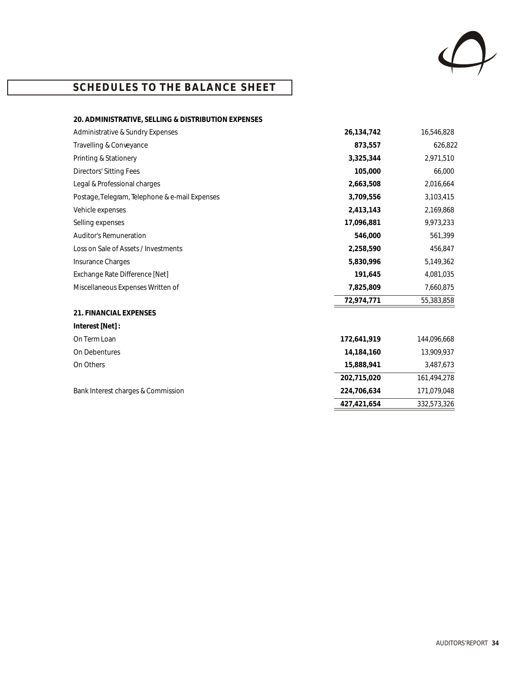

# **SCHEDULES TO THE BALANCE SHEET**

| 20. ADMINISTRATIVE, SELLING & DISTRIBUTION EXPENSES |             |             |
|-----------------------------------------------------|-------------|-------------|
| Administrative & Sundry Expenses                    | 26,134,742  | 16,546,828  |
| Travelling & Conveyance                             | 873,557     | 626,822     |
| Printing & Stationery                               | 3,325,344   | 2,971,510   |
| <b>Directors' Sitting Fees</b>                      | 105,000     | 66,000      |
| Legal & Professional charges                        | 2,663,508   | 2,016,664   |
| Postage, Telegram, Telephone & e-mail Expenses      | 3,709,556   | 3,103,415   |
| Vehicle expenses                                    | 2,413,143   | 2,169,868   |
| Selling expenses                                    | 17,096,881  | 9,973,233   |
| <b>Auditor's Remuneration</b>                       | 546,000     | 561,399     |
| Loss on Sale of Assets / Investments                | 2,258,590   | 456,847     |
| Insurance Charges                                   | 5,830,996   | 5,149,362   |
| Exchange Rate Difference [Net]                      | 191,645     | 4,081,035   |
| Miscellaneous Expenses Written of                   | 7,825,809   | 7,660,875   |
|                                                     | 72,974,771  | 55,383,858  |
| 21. FINANCIAL EXPENSES                              |             |             |
| Interest [Net]:                                     |             |             |
| On Term Loan                                        | 172,641,919 | 144,096,668 |
| On Debentures                                       | 14,184,160  | 13,909,937  |
| On Others                                           | 15,888,941  | 3,487,673   |
|                                                     | 202,715,020 | 161,494,278 |
| Bank Interest charges & Commission                  | 224,706,634 | 171,079,048 |
|                                                     | 427,421,654 | 332,573,326 |
|                                                     |             |             |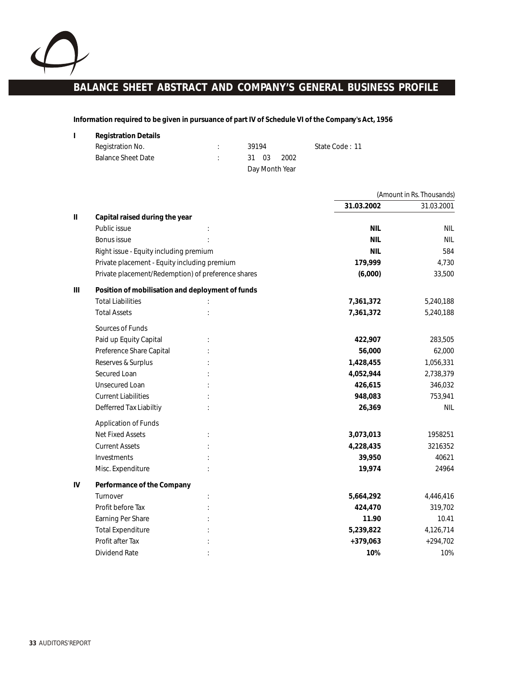

# **BALANCE SHEET ABSTRACT AND COMPANY'S GENERAL BUSINESS PROFILE**

**Information required to be given in pursuance of part IV of Schedule VI of the Company's Act, 1956**

| Registration No.          | 39194          | State Code: 11 |
|---------------------------|----------------|----------------|
| <b>Balance Sheet Date</b> | 31 03<br>2002  |                |
|                           | Day Month Year |                |

|               |                                                    |            | (Amount in Rs. Thousands) |
|---------------|----------------------------------------------------|------------|---------------------------|
|               |                                                    | 31.03.2002 | 31.03.2001                |
| $\mathbf{II}$ | Capital raised during the year                     |            |                           |
|               | Public issue                                       | <b>NIL</b> | <b>NIL</b>                |
|               | Bonus issue                                        | <b>NIL</b> | <b>NIL</b>                |
|               | Right issue - Equity including premium             | <b>NIL</b> | 584                       |
|               | Private placement - Equity including premium       | 179,999    | 4,730                     |
|               | Private placement/Redemption) of preference shares | (6,000)    | 33,500                    |
| Ш             | Position of mobilisation and deployment of funds   |            |                           |
|               | <b>Total Liabilities</b>                           | 7,361,372  | 5,240,188                 |
|               | <b>Total Assets</b>                                | 7,361,372  | 5,240,188                 |
|               | Sources of Funds                                   |            |                           |
|               | Paid up Equity Capital                             | 422,907    | 283,505                   |
|               | Preference Share Capital                           | 56,000     | 62,000                    |
|               | Reserves & Surplus                                 | 1,428,455  | 1,056,331                 |
|               | Secured Loan                                       | 4,052,944  | 2,738,379                 |
|               | <b>Unsecured Loan</b>                              | 426,615    | 346,032                   |
|               | <b>Current Liabilities</b>                         | 948,083    | 753,941                   |
|               | Defferred Tax Liabiltiy                            | 26,369     | <b>NIL</b>                |
|               | <b>Application of Funds</b>                        |            |                           |
|               | <b>Net Fixed Assets</b>                            | 3,073,013  | 1958251                   |
|               | <b>Current Assets</b>                              | 4,228,435  | 3216352                   |
|               | Investments                                        | 39,950     | 40621                     |
|               | Misc. Expenditure                                  | 19,974     | 24964                     |
| IV            | Performance of the Company                         |            |                           |
|               | Turnover                                           | 5,664,292  | 4,446,416                 |
|               | Profit before Tax                                  | 424,470    | 319,702                   |
|               | Earning Per Share                                  | 11.90      | 10.41                     |
|               | <b>Total Expenditure</b>                           | 5,239,822  | 4,126,714                 |
|               | Profit after Tax                                   | $+379,063$ | $+294,702$                |
|               | Dividend Rate                                      | 10%        | 10%                       |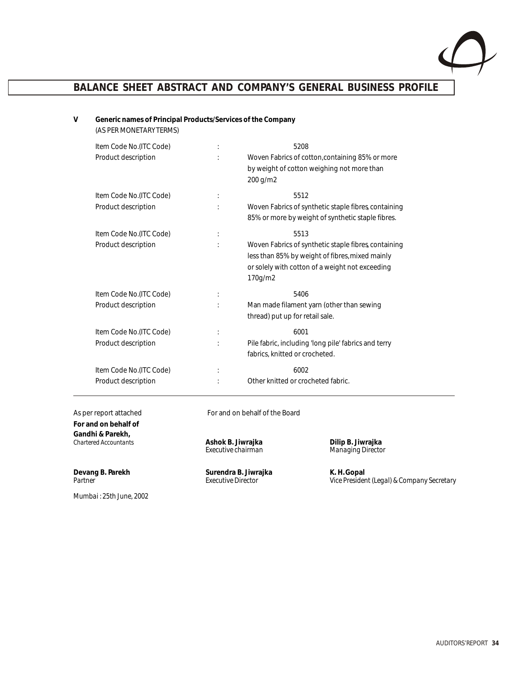

# **BALANCE SHEET ABSTRACT AND COMPANY'S GENERAL BUSINESS PROFILE**

#### **V Generic names of Principal Products/Services of the Company**  (AS PER MONETARY TERMS)

| Item Code No.(ITC Code)<br>Product description |                      | 5208<br>Woven Fabrics of cotton, containing 85% or more<br>by weight of cotton weighing not more than<br>200 g/m2                                                            |
|------------------------------------------------|----------------------|------------------------------------------------------------------------------------------------------------------------------------------------------------------------------|
| Item Code No.(ITC Code)<br>Product description |                      | 5512<br>Woven Fabrics of synthetic staple fibres containing<br>85% or more by weight of synthetic staple fibres.                                                             |
| Item Code No.(ITC Code)<br>Product description | ÷                    | 5513<br>Woven Fabrics of synthetic staple fibres containing<br>less than 85% by weight of fibres, mixed mainly<br>or solely with cotton of a weight not exceeding<br>170g/m2 |
| Item Code No.(ITC Code)<br>Product description | $\ddot{\phantom{a}}$ | 5406<br>Man made filament yarn (other than sewing<br>thread) put up for retail sale.                                                                                         |
| Item Code No.(ITC Code)<br>Product description |                      | 6001<br>Pile fabric, including 'long pile' fabrics and terry<br>fabrics, knitted or crocheted.                                                                               |
| Item Code No.(ITC Code)<br>Product description | $\vdots$             | 6002<br>Other knitted or crocheted fabric.                                                                                                                                   |

As per report attached For and on behalf of the Board **For and on behalf of Gandhi & Parekh,** 

**Devang B. Parekh Surendra B. Jiwrajka** K. H. Gopal<br>Partner Surendra B. Jiwrajka K. H. Gopal<br>Partner Surendra B. Jiwrajka K. H. Gopal

*Chartered Accountants* **Ashok B. Jiwrajka Dilip B. Jiwrajka** *Executive chairman Managing Director*

*Partner Executive Director Vice President (Legal) & Company Secretary*

*Mumbai : 25th June, 2002*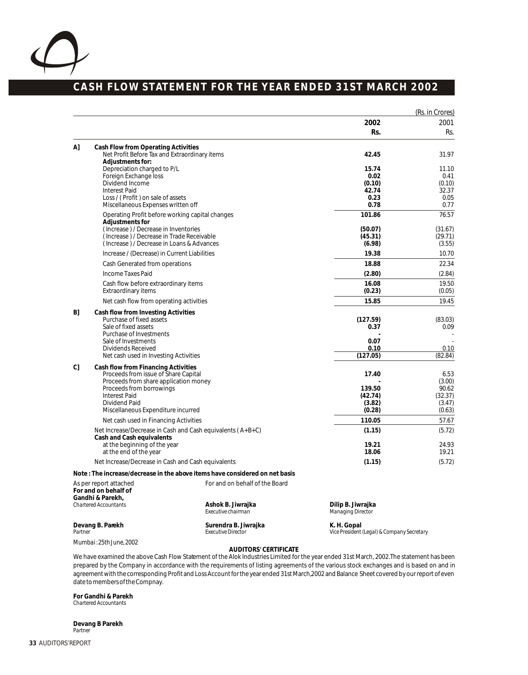

# **CASH FLOW STATEMENT FOR THE YEAR ENDED 31ST MARCH 2002**

|              |                                                                                                                                                                                                                                 |                                                   |                                                           | (Rs. in Crores)                                        |
|--------------|---------------------------------------------------------------------------------------------------------------------------------------------------------------------------------------------------------------------------------|---------------------------------------------------|-----------------------------------------------------------|--------------------------------------------------------|
|              |                                                                                                                                                                                                                                 |                                                   | 2002                                                      | 2001                                                   |
|              |                                                                                                                                                                                                                                 |                                                   | Rs.                                                       | Rs.                                                    |
| $\mathsf{A}$ | Cash Flow from Operating Activities<br>Net Profit Before Tax and Extraordinary items<br>Adjustments for:                                                                                                                        |                                                   | 42.45                                                     | 31.97                                                  |
|              | Depreciation charged to P/L<br>Foreign Exchange loss<br>Dividend Income<br><b>Interest Paid</b><br>Loss / (Profit) on sale of assets<br>Miscellaneous Expenses written off                                                      |                                                   | 15.74<br>0.02<br>(0.10)<br>42.74<br>0.23<br>0.78          | 11.10<br>0.41<br>(0.10)<br>32.37<br>0.05<br>0.77       |
|              | Operating Profit before working capital changes                                                                                                                                                                                 |                                                   | 101.86                                                    | 76.57                                                  |
|              | Adjustments for<br>(Increase) / Decrease in Inventories<br>(Increase) / Decrease in Trade Receivable<br>(Increase) / Decrease in Loans & Advances                                                                               |                                                   | (50.07)<br>(45.31)<br>(6.98)                              | (31.67)<br>(29.71)<br>(3.55)                           |
|              | Increase / (Decrease) in Current Liabilities                                                                                                                                                                                    |                                                   | 19.38                                                     | 10.70                                                  |
|              | Cash Generated from operations                                                                                                                                                                                                  |                                                   | 18.88                                                     | 22.34                                                  |
|              | Income Taxes Paid                                                                                                                                                                                                               |                                                   | (2.80)                                                    | (2.84)                                                 |
|              | Cash flow before extraordinary items<br>Extraordinary items                                                                                                                                                                     |                                                   | 16.08<br>(0.23)                                           | 19.50<br>(0.05)                                        |
|              | Net cash flow from operating activities                                                                                                                                                                                         |                                                   | 15.85                                                     | 19.45                                                  |
| B]           | Cash flow from Investing Activities<br>Purchase of fixed assets<br>Sale of fixed assets<br>Purchase of Investments<br>Sale of Investments<br>Dividends Received<br>Net cash used in Investing Activities                        |                                                   | (127.59)<br>0.37<br>0.07<br>0.10<br>(127.05)              | (83.03)<br>0.09<br>0.10<br>(82.84)                     |
| C]           | Cash flow from Financing Activities<br>Proceeds from issue of Share Capital<br>Proceeds from share application money<br>Proceeds from borrowings<br><b>Interest Paid</b><br>Dividend Paid<br>Miscellaneous Expenditure incurred |                                                   | 17.40<br>139.50<br>(42.74)<br>(3.82)<br>(0.28)            | 6.53<br>(3.00)<br>90.62<br>(32.37)<br>(3.47)<br>(0.63) |
|              | Net cash used in Financing Activities                                                                                                                                                                                           |                                                   | 110.05                                                    | 57.67                                                  |
|              | Net Increase/Decrease in Cash and Cash equivalents (A+B+C)<br>Cash and Cash equivalents                                                                                                                                         |                                                   | (1.15)                                                    | (5.72)                                                 |
|              | at the beginning of the year<br>at the end of the year                                                                                                                                                                          |                                                   | 19.21<br>18.06                                            | 24.93<br>19.21                                         |
|              | Net Increase/Decrease in Cash and Cash equivalents                                                                                                                                                                              |                                                   | (1.15)                                                    | (5.72)                                                 |
|              | Note: The increase/decrease in the above items have considered on net basis                                                                                                                                                     |                                                   |                                                           |                                                        |
|              | As per report attached<br>For and on behalf of<br>Gandhi & Parekh,                                                                                                                                                              | For and on behalf of the Board                    |                                                           |                                                        |
|              | <b>Chartered Accountants</b>                                                                                                                                                                                                    | Ashok B. Jiwrajka<br>Executive chairman           | Dilip B. Jiwrajka<br>Managing Director                    |                                                        |
| Partner      | Devang B. Parekh                                                                                                                                                                                                                | Surendra B. Jiwrajka<br><b>Executive Director</b> | K. H. Gopal<br>Vice President (Legal) & Company Secretary |                                                        |
|              | Mumbai: 25th June, 2002                                                                                                                                                                                                         |                                                   |                                                           |                                                        |

#### **AUDITORS' CERTIFICATE**

We have examined the above Cash Flow Statement of the Alok Industries Limited for the year ended 31st March, 2002. The statement has been prepared by the Company in accordance with the requirements of listing agreements of the various stock exchanges and is based on and in agreement with the corresponding Profit and Loss Account for the year ended 31st March, 2002 and Balance Sheet covered by our report of even date to members of the Compnay.

**For Gandhi & Parekh** *Chartered Accountants*

**Devang B Parekh** *Partner*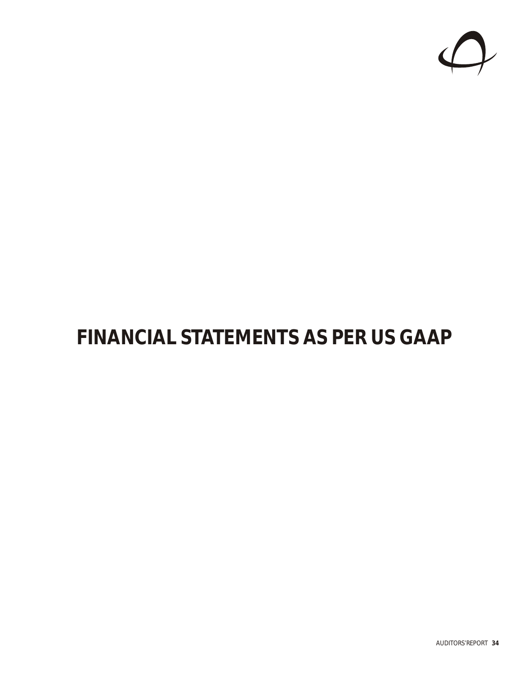

# **FINANCIAL STATEMENTS AS PER US GAAP**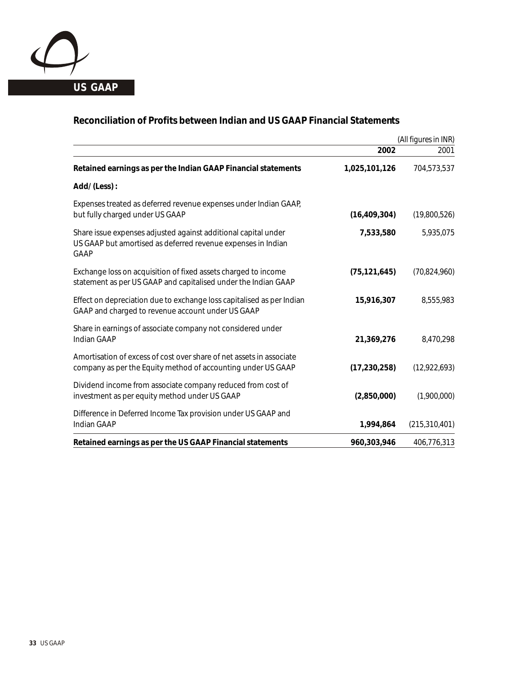

# **Reconciliation of Profits between Indian and US GAAP Financial Statements**

|                                                                                                                                        |                | (All figures in INR) |
|----------------------------------------------------------------------------------------------------------------------------------------|----------------|----------------------|
|                                                                                                                                        | 2002           | 2001                 |
| Retained earnings as per the Indian GAAP Financial statements                                                                          | 1,025,101,126  | 704,573,537          |
| Add/ (Less) :                                                                                                                          |                |                      |
| Expenses treated as deferred revenue expenses under Indian GAAP,<br>but fully charged under US GAAP                                    | (16, 409, 304) | (19,800,526)         |
| Share issue expenses adjusted against additional capital under<br>US GAAP but amortised as deferred revenue expenses in Indian<br>GAAP | 7,533,580      | 5,935,075            |
| Exchange loss on acquisition of fixed assets charged to income<br>statement as per US GAAP and capitalised under the Indian GAAP       | (75, 121, 645) | (70, 824, 960)       |
| Effect on depreciation due to exchange loss capitalised as per Indian<br>GAAP and charged to revenue account under US GAAP             | 15,916,307     | 8,555,983            |
| Share in earnings of associate company not considered under<br>Indian GAAP                                                             | 21,369,276     | 8,470,298            |
| Amortisation of excess of cost over share of net assets in associate<br>company as per the Equity method of accounting under US GAAP   | (17, 230, 258) | (12,922,693)         |
| Dividend income from associate company reduced from cost of<br>investment as per equity method under US GAAP                           | (2,850,000)    | (1,900,000)          |
| Difference in Deferred Income Tax provision under US GAAP and<br>Indian GAAP                                                           | 1,994,864      | (215, 310, 401)      |
| Retained earnings as per the US GAAP Financial statements                                                                              | 960,303,946    | 406,776,313          |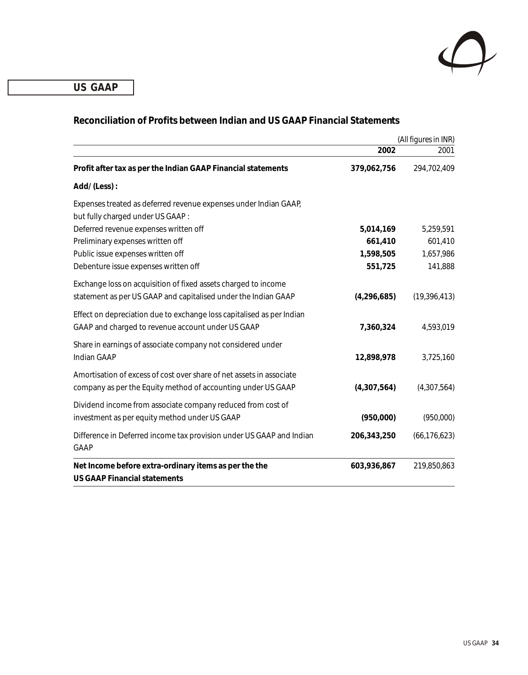

**US GAAP US GAAP**

|                                                                                                                                      |               | (All figures in INR) |
|--------------------------------------------------------------------------------------------------------------------------------------|---------------|----------------------|
|                                                                                                                                      | 2002          | 2001                 |
| Profit after tax as per the Indian GAAP Financial statements                                                                         | 379,062,756   | 294,702,409          |
| Add/(Less):                                                                                                                          |               |                      |
| Expenses treated as deferred revenue expenses under Indian GAAP,<br>but fully charged under US GAAP:                                 |               |                      |
| Deferred revenue expenses written off                                                                                                | 5,014,169     | 5,259,591            |
| Preliminary expenses written off                                                                                                     | 661,410       | 601,410              |
| Public issue expenses written off                                                                                                    | 1,598,505     | 1,657,986            |
| Debenture issue expenses written off                                                                                                 | 551,725       | 141,888              |
| Exchange loss on acquisition of fixed assets charged to income<br>statement as per US GAAP and capitalised under the Indian GAAP     | (4, 296, 685) | (19, 396, 413)       |
| Effect on depreciation due to exchange loss capitalised as per Indian<br>GAAP and charged to revenue account under US GAAP           | 7,360,324     | 4,593,019            |
| Share in earnings of associate company not considered under<br>Indian GAAP                                                           | 12,898,978    | 3,725,160            |
| Amortisation of excess of cost over share of net assets in associate<br>company as per the Equity method of accounting under US GAAP | (4,307,564)   | (4,307,564)          |
| Dividend income from associate company reduced from cost of<br>investment as per equity method under US GAAP                         | (950,000)     | (950,000)            |
| Difference in Deferred income tax provision under US GAAP and Indian<br>GAAP                                                         | 206,343,250   | (66, 176, 623)       |
| Net Income before extra-ordinary items as per the the<br><b>US GAAP Financial statements</b>                                         | 603,936,867   | 219,850,863          |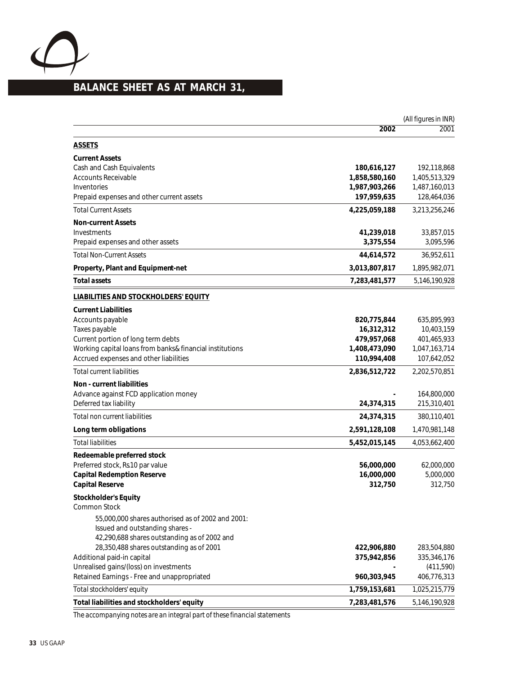

# **BALANCE SHEET AS AT MARCH 31,**

|                                                          |               | (All figures in INR) |
|----------------------------------------------------------|---------------|----------------------|
|                                                          | 2002          | 2001                 |
| <b>ASSETS</b>                                            |               |                      |
| <b>Current Assets</b>                                    |               |                      |
| Cash and Cash Equivalents                                | 180,616,127   | 192,118,868          |
| <b>Accounts Receivable</b>                               | 1,858,580,160 | 1,405,513,329        |
| Inventories                                              | 1,987,903,266 | 1,487,160,013        |
| Prepaid expenses and other current assets                | 197,959,635   | 128,464,036          |
| <b>Total Current Assets</b>                              | 4,225,059,188 | 3,213,256,246        |
| <b>Non-current Assets</b>                                |               |                      |
| Investments                                              | 41,239,018    | 33,857,015           |
| Prepaid expenses and other assets                        | 3,375,554     | 3,095,596            |
| <b>Total Non-Current Assets</b>                          | 44,614,572    | 36,952,611           |
| Property, Plant and Equipment-net                        | 3,013,807,817 | 1,895,982,071        |
| Total assets                                             | 7,283,481,577 | 5,146,190,928        |
| <b>LIABILITIES AND STOCKHOLDERS' EQUITY</b>              |               |                      |
| <b>Current Liabilities</b>                               |               |                      |
| Accounts payable                                         | 820,775,844   | 635,895,993          |
| Taxes payable                                            | 16,312,312    | 10,403,159           |
| Current portion of long term debts                       | 479,957,068   | 401,465,933          |
| Working capital loans from banks& financial institutions | 1,408,473,090 | 1,047,163,714        |
| Accrued expenses and other liabilities                   | 110,994,408   | 107,642,052          |
| <b>Total current liabilities</b>                         | 2,836,512,722 | 2,202,570,851        |
| Non - current liabilities                                |               |                      |
| Advance against FCD application money                    |               | 164,800,000          |
| Deferred tax liability                                   | 24,374,315    | 215,310,401          |
| Total non current liabilities                            | 24,374,315    | 380,110,401          |
| Long term obligations                                    | 2,591,128,108 | 1,470,981,148        |
| <b>Total liabilities</b>                                 | 5,452,015,145 | 4,053,662,400        |
| Redeemable preferred stock                               |               |                      |
| Preferred stock, Rs10 par value                          | 56,000,000    | 62,000,000           |
| Capital Redemption Reserve                               | 16,000,000    | 5,000,000            |
| Capital Reserve                                          | 312,750       | 312,750              |
| Stockholder's Equity                                     |               |                      |
| Common Stock                                             |               |                      |
| 55,000,000 shares authorised as of 2002 and 2001:        |               |                      |
| Issued and outstanding shares -                          |               |                      |
| 42,290,688 shares outstanding as of 2002 and             |               |                      |
| 28,350,488 shares outstanding as of 2001                 | 422,906,880   | 283,504,880          |
| Additional paid-in capital                               | 375,942,856   | 335,346,176          |
| Unrealised gains/(loss) on investments                   |               | (411,590)            |
| Retained Earnings - Free and unappropriated              | 960,303,945   | 406,776,313          |
| Total stockholders' equity                               | 1,759,153,681 | 1,025,215,779        |
| Total liabilities and stockholders' equity               | 7,283,481,576 | 5,146,190,928        |
|                                                          |               |                      |

*The accompanying notes are an integral part of these financial statements*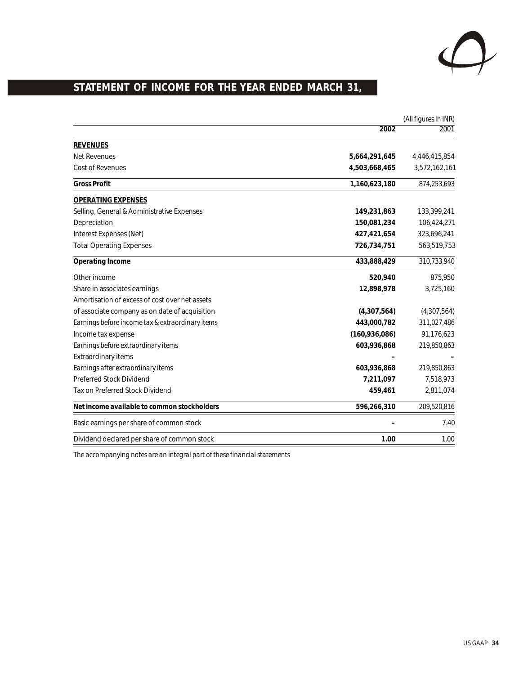

# **BRATEMENT OF INCOME FOR THE YEAR ENDED MARCH 31,**

|                                                  | (All figures in INR) |               |
|--------------------------------------------------|----------------------|---------------|
|                                                  | 2002                 | 2001          |
| <b>REVENUES</b>                                  |                      |               |
| Net Revenues                                     | 5,664,291,645        | 4,446,415,854 |
| <b>Cost of Revenues</b>                          | 4,503,668,465        | 3,572,162,161 |
| Gross Profit                                     | 1,160,623,180        | 874,253,693   |
| <b>OPERATING EXPENSES</b>                        |                      |               |
| Selling, General & Administrative Expenses       | 149,231,863          | 133,399,241   |
| Depreciation                                     | 150,081,234          | 106,424,271   |
| Interest Expenses (Net)                          | 427,421,654          | 323,696,241   |
| <b>Total Operating Expenses</b>                  | 726,734,751          | 563,519,753   |
| Operating Income                                 | 433,888,429          | 310,733,940   |
| Other income                                     | 520,940              | 875,950       |
| Share in associates earnings                     | 12,898,978           | 3,725,160     |
| Amortisation of excess of cost over net assets   |                      |               |
| of associate company as on date of acquisition   | (4,307,564)          | (4,307,564)   |
| Earnings before income tax & extraordinary items | 443,000,782          | 311,027,486   |
| Income tax expense                               | (160, 936, 086)      | 91,176,623    |
| Earnings before extraordinary items              | 603,936,868          | 219,850,863   |
| Extraordinary items                              |                      |               |
| Earnings after extraordinary items               | 603,936,868          | 219,850,863   |
| Preferred Stock Dividend                         | 7,211,097            | 7,518,973     |
| Tax on Preferred Stock Dividend                  | 459,461              | 2,811,074     |
| Net income available to common stockholders      | 596,266,310          | 209,520,816   |
| Basic earnings per share of common stock         |                      | 7.40          |
| Dividend declared per share of common stock      | 1.00                 | 1.00          |

*The accompanying notes are an integral part of these financial statements*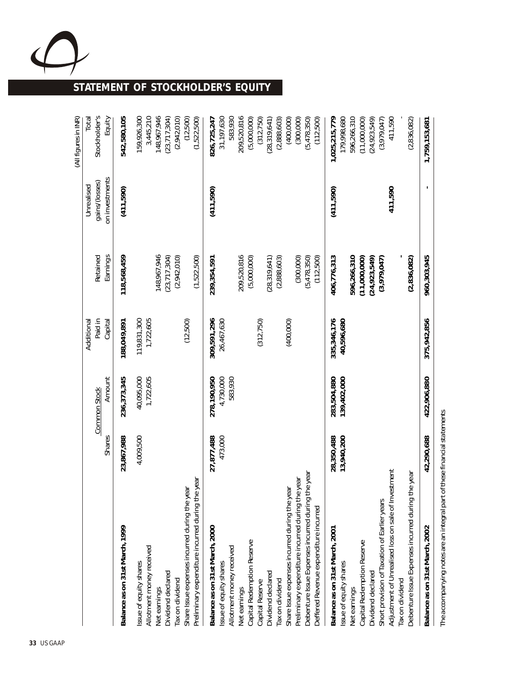

# **STATEMENT OF STOCKHOLDER'S EQUITY**

|                                                                                                                                                                                                                                                                                                                                                                                                                                                                                                                                                                                                                                                                                                               |                                                   |                                                                     |                                                                                   |                                                                                                                                                                                                                   |                                                | (All figures in INR)                                                                                                                                                                                                                                                                             |
|---------------------------------------------------------------------------------------------------------------------------------------------------------------------------------------------------------------------------------------------------------------------------------------------------------------------------------------------------------------------------------------------------------------------------------------------------------------------------------------------------------------------------------------------------------------------------------------------------------------------------------------------------------------------------------------------------------------|---------------------------------------------------|---------------------------------------------------------------------|-----------------------------------------------------------------------------------|-------------------------------------------------------------------------------------------------------------------------------------------------------------------------------------------------------------------|------------------------------------------------|--------------------------------------------------------------------------------------------------------------------------------------------------------------------------------------------------------------------------------------------------------------------------------------------------|
|                                                                                                                                                                                                                                                                                                                                                                                                                                                                                                                                                                                                                                                                                                               | Shares                                            | Amount<br>Common Stock                                              | Paid in<br>Capital<br>Additional                                                  | Earnings<br>Retained                                                                                                                                                                                              | on investments<br>gains/(losses)<br>Unrealised | Stockholder's<br>Equity<br>Total                                                                                                                                                                                                                                                                 |
| Balance as on 31st March, 1999                                                                                                                                                                                                                                                                                                                                                                                                                                                                                                                                                                                                                                                                                | 23,867,988                                        | 236,373,345                                                         | 188,049,891                                                                       | 118,568,459                                                                                                                                                                                                       | (411, 590)                                     | 542,580,105                                                                                                                                                                                                                                                                                      |
| Preliminary expenditure incurred during the year<br>Share Issue expenses incurred during the year<br>Allotment money received<br>ssue of equity shares<br>Dividend declared<br>Tax on dividend<br>Net earnings                                                                                                                                                                                                                                                                                                                                                                                                                                                                                                | 4,009,500                                         | 40,095,000<br>1,722,605                                             | 119,831,300<br>1,722,605<br>(12,500)                                              | 148, 967, 946<br>(1,522,500)<br>(23, 717, 304)<br>(2,942,010)                                                                                                                                                     |                                                | 3,445,210<br>148,967,946<br>159,926,300<br>(23, 717, 304)<br>(12,500)<br>(1,522,500)<br>(2,942,010)                                                                                                                                                                                              |
| Adjustment of Unrealised loss on sale of Investment<br>Debenture Issue Expenses incurred during the year<br>Debenture Issue Expenses incurred during the year<br>Preliminary expenditure incurred during the year<br>Share Issue expenses incurred during the year<br>Short provision of Taxation of Earlier years<br>Deffered Revenue expenditure incurred<br>Balance as on 31st March, 2000<br>Balance as on 31st March, 2001<br>Capital Redemption Reserve<br>Capital Redemption Reserve<br>Allotment money received<br>Issue of equity shares<br>ssue of equity shares<br>Dividend declared<br>Dividend declared<br>Tax on dividend<br>Tax on dividend<br>Capital Reserve<br>Net earnings<br>Net earnings | 27,877,488<br>473,000<br>13,940,200<br>28,350,488 | 4,730,000<br>583,930<br>278, 190, 950<br>139,402,000<br>283,504,880 | 309,591,296<br>26,467,630<br>40,596,680<br>335,346,176<br>(312, 750)<br>(400,000) | 209,520,816<br>596,266,310<br>406,776,313<br>(5,000,000)<br>(300,000)<br>(5,478,350)<br>(112,500)<br>(2,836,082)<br>(2,888,603)<br>(11,000,000)<br>(24, 923, 549)<br>239,354,591<br>(28, 319, 641)<br>(3,979,047) | 411,590<br>(411,590)<br>(411,590)              | 209,520,816<br>31,197,630<br>583,930<br>179,998,680<br>596,266,310<br>411,590<br>(2,836,082)<br>(5,000,000)<br>(5,478,350)<br>(112,500)<br>1,025,215,779<br>(11,000,000)<br>(24, 923, 549)<br>826,725,247<br>(312,750)<br>(2,888,603)<br>(400,000)<br>(300,000)<br>(28, 319, 641)<br>(3,979,047) |
| Balance as on 31st March, 2002                                                                                                                                                                                                                                                                                                                                                                                                                                                                                                                                                                                                                                                                                | 42,290,688                                        | 422,906,880                                                         | 375,942,856                                                                       | 960,303,945                                                                                                                                                                                                       |                                                | 1,759,153,681                                                                                                                                                                                                                                                                                    |
|                                                                                                                                                                                                                                                                                                                                                                                                                                                                                                                                                                                                                                                                                                               |                                                   |                                                                     |                                                                                   |                                                                                                                                                                                                                   |                                                |                                                                                                                                                                                                                                                                                                  |

The accompanying notes are an integral part of these financial statements *The accompanying notes are an integral part of these financialstatements*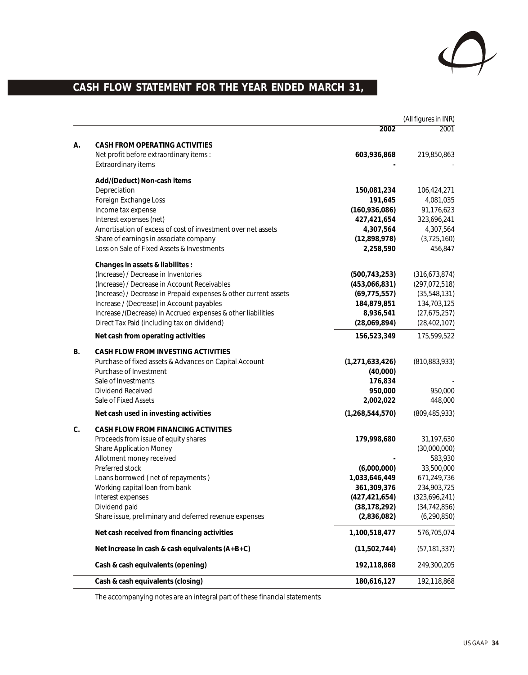

# CASH FLOW STATEMENT FOR THE YEAR ENDED MARCH 31,

|    |                                                                  |                    | (All figures in INR) |
|----|------------------------------------------------------------------|--------------------|----------------------|
|    |                                                                  | 2002               | 2001                 |
| А. | CASH FROM OPERATING ACTIVITIES                                   |                    |                      |
|    | Net profit before extraordinary items:                           | 603,936,868        | 219,850,863          |
|    | Extraordinary items                                              |                    |                      |
|    | Add/(Deduct) Non-cash items                                      |                    |                      |
|    | Depreciation                                                     | 150,081,234        | 106,424,271          |
|    | Foreign Exchange Loss                                            | 191,645            | 4,081,035            |
|    | Income tax expense                                               | (160, 936, 086)    | 91,176,623           |
|    | Interest expenses (net)                                          | 427,421,654        | 323,696,241          |
|    | Amortisation of excess of cost of investment over net assets     | 4,307,564          | 4,307,564            |
|    | Share of earnings in associate company                           | (12,898,978)       | (3,725,160)          |
|    | Loss on Sale of Fixed Assets & Investments                       | 2,258,590          | 456,847              |
|    | Changes in assets & liabilites :                                 |                    |                      |
|    | (Increase) / Decrease in Inventories                             | (500, 743, 253)    | (316, 673, 874)      |
|    | (Increase) / Decrease in Account Receivables                     | (453,066,831)      | (297, 072, 518)      |
|    | (Increase) / Decrease in Prepaid expenses & other current assets | (69, 775, 557)     | (35,548,131)         |
|    | Increase / (Decrease) in Account payables                        | 184,879,851        | 134,703,125          |
|    | Increase /(Decrease) in Accrued expenses & other liabilities     | 8,936,541          | (27,675,257)         |
|    | Direct Tax Paid (including tax on dividend)                      | (28,069,894)       | (28, 402, 107)       |
|    | Net cash from operating activities                               | 156,523,349        | 175,599,522          |
| В. | CASH FLOW FROM INVESTING ACTIVITIES                              |                    |                      |
|    | Purchase of fixed assets & Advances on Capital Account           | (1, 271, 633, 426) | (810, 883, 933)      |
|    | Purchase of Investment                                           | (40,000)           |                      |
|    | Sale of Investments                                              | 176,834            |                      |
|    | Dividend Received                                                | 950,000            | 950,000              |
|    | Sale of Fixed Assets                                             | 2,002,022          | 448,000              |
|    | Net cash used in investing activities                            | (1, 268, 544, 570) | (809, 485, 933)      |
| C. | CASH FLOW FROM FINANCING ACTIVITIES                              |                    |                      |
|    | Proceeds from issue of equity shares                             | 179,998,680        | 31,197,630           |
|    | <b>Share Application Money</b>                                   |                    | (30,000,000)         |
|    | Allotment money received                                         |                    | 583,930              |
|    | Preferred stock                                                  | (6,000,000)        | 33,500,000           |
|    | Loans borrowed (net of repayments)                               | 1,033,646,449      | 671,249,736          |
|    | Working capital loan from bank                                   | 361,309,376        | 234,903,725          |
|    | Interest expenses                                                | (427, 421, 654)    | (323,696,241)        |
|    | Dividend paid                                                    | (38, 178, 292)     | (34, 742, 856)       |
|    | Share issue, preliminary and deferred revenue expenses           | (2,836,082)        | (6, 290, 850)        |
|    | Net cash received from financing activities                      | 1,100,518,477      | 576,705,074          |
|    | Net increase in cash & cash equivalents (A+B+C)                  | (11,502,744)       | (57, 181, 337)       |
|    | Cash & cash equivalents (opening)                                | 192,118,868        | 249,300,205          |
|    | Cash & cash equivalents (closing)                                | 180,616,127        | 192,118,868          |

The accompanying notes are an integral part of these financial statements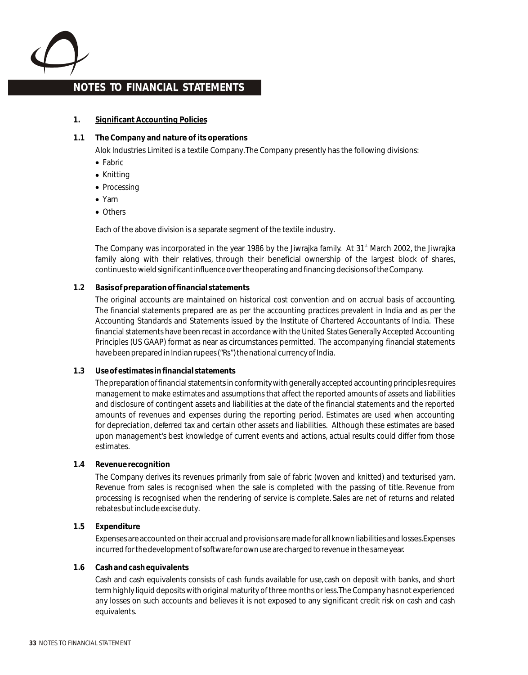

- **1. Significant Accounting Policies**
- **1.1 The Company and nature of its operations** Alok Industries Limited is a textile Company. The Company presently has the following divisions:
	- Fabric
	- Knitting
	- Processing
	- Yarn
	- Others

Each of the above division is a separate segment of the textile industry.

The Company was incorporated in the year 1986 by the Jiwrajka family. At 31<sup>st</sup> March 2002, the Jiwrajka family along with their relatives, through their beneficial ownership of the largest block of shares, continues to wield significant influence over the operating and financing decisions of the Company.

#### **1.2 Basis of preparation of financial statements**

The original accounts are maintained on historical cost convention and on accrual basis of accounting. The financial statements prepared are as per the accounting practices prevalent in India and as per the Accounting Standards and Statements issued by the Institute of Chartered Accountants of India. These financial statements have been recast in accordance with the United States Generally Accepted Accounting Principles (US GAAP) format as near as circumstances permitted. The accompanying financial statements have been prepared in Indian rupees ("Rs") the national currency of India.

**1.3 Use of estimates in financial statements**

The preparation of financial statements in conformity with generally accepted accounting principles requires management to make estimates and assumptions that affect the reported amounts of assets and liabilities and disclosure of contingent assets and liabilities at the date of the financial statements and the reported amounts of revenues and expenses during the reporting period. Estimates are used when accounting for depreciation, deferred tax and certain other assets and liabilities. Although these estimates are based upon management's best knowledge of current events and actions, actual results could differ from those estimates.

**1.4 Revenue recognition**

The Company derives its revenues primarily from sale of fabric (woven and knitted) and texturised yarn. Revenue from sales is recognised when the sale is completed with the passing of title. Revenue from processing is recognised when the rendering of service is complete. Sales are net of returns and related rebates but include excise duty.

**1.5 Expenditure**

Expenses are accounted on their accrual and provisions are made for all known liabilities and losses. Expenses incurred for the development of software for own use are charged to revenue in the same year.

#### **1.6 Cash and cash equivalents**

Cash and cash equivalents consists of cash funds available for use, cash on deposit with banks, and short term highly liquid deposits with original maturity of three months or less. The Company has not experienced any losses on such accounts and believes it is not exposed to any significant credit risk on cash and cash equivalents.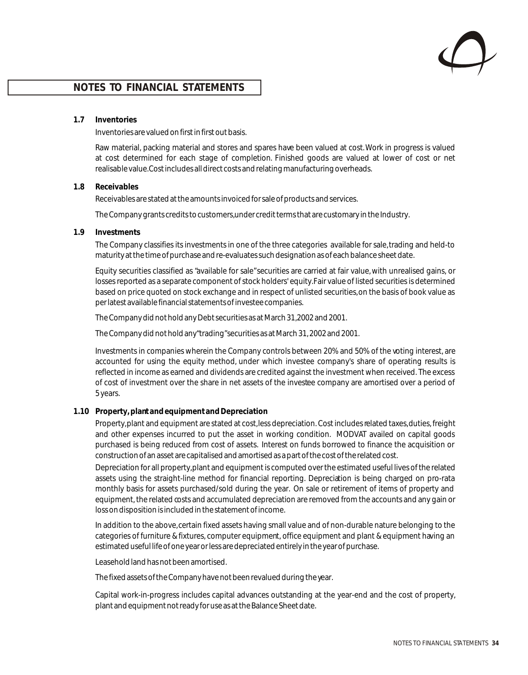**1.7 Inventories**

Inventories are valued on first in first out basis.

Raw material, packing material and stores and spares have been valued at cost. Work in progress is valued at cost determined for each stage of completion*.* Finished goods are valued at lower of cost or net realisable value. Cost includes all direct costs and relating manufacturing overheads.

#### **1.8 Receivables**

Receivables are stated at the amounts invoiced for sale of products and services.

The Company grants credits to customers, under credit terms that are customary in the Industry.

**1.9 Investments**

The Company classifies its investments in one of the three categories available for sale, trading and held-to maturity at the time of purchase and re-evaluates such designation as of each balance sheet date.

Equity securities classified as "available for sale" securities are carried at fair value, with unrealised gains, or losses reported as a separate component of stock holders' equity. Fair value of listed securities is determined based on price quoted on stock exchange and in respect of unlisted securities, on the basis of book value as per latest available financial statements of investee companies.

The Company did not hold any Debt securities as at March 31, 2002 and 2001.

The Company did not hold any "trading" securities as at March 31, 2002 and 2001.

Investments in companies wherein the Company controls between 20% and 50% of the voting interest, are accounted for using the equity method, under which investee company's share of operating results is reflected in income as earned and dividends are credited against the investment when received. The excess of cost of investment over the share in net assets of the investee company are amortised over a period of 5 years.

#### **1.10 Property, plant and equipment and Depreciation**

Property, plant and equipment are stated at cost, less depreciation. Cost includes related taxes, duties, freight and other expenses incurred to put the asset in working condition. MODVAT availed on capital goods purchased is being reduced from cost of assets. Interest on funds borrowed to finance the acquisition or construction of an asset are capitalised and amortised as a part of the cost of the related cost.

Depreciation for all property, plant and equipment is computed over the estimated useful lives of the related assets using the straight-line method for financial reporting. Depreciation is being charged on pro-rata monthly basis for assets purchased/sold during the year. On sale or retirement of items of property and equipment, the related costs and accumulated depreciation are removed from the accounts and any gain or loss on disposition is included in the statement of income.

In addition to the above, certain fixed assets having small value and of non-durable nature belonging to the categories of furniture & fixtures, computer equipment, office equipment and plant & equipment having an estimated useful life of one year or less are depreciated entirely in the year of purchase.

Leasehold land has not been amortised.

The fixed assets of the Company have not been revalued during the year.

Capital work-in-progress includes capital advances outstanding at the year-end and the cost of property, plant and equipment not ready for use as at the Balance Sheet date.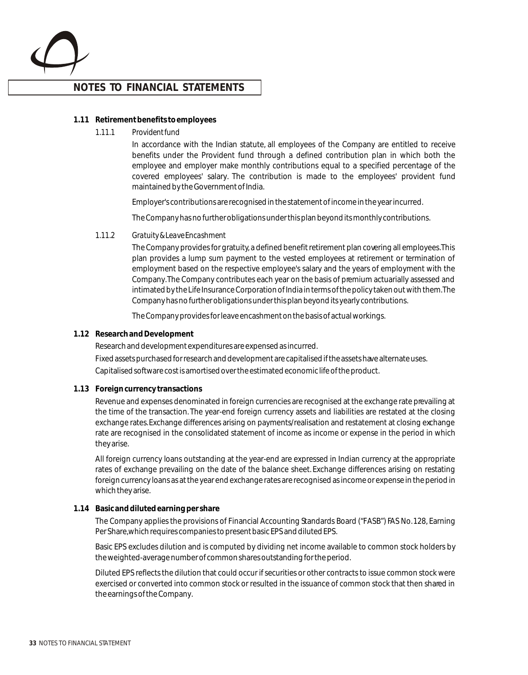

#### **1.11 Retirement benefits to employees**

#### *1.11.1 Provident fund*

In accordance with the Indian statute, all employees of the Company are entitled to receive benefits under the Provident fund through a defined contribution plan in which both the employee and employer make monthly contributions equal to a specified percentage of the covered employees' salary. The contribution is made to the employees' provident fund maintained by the Government of India.

Employer's contributions are recognised in the statement of income in the year incurred.

The Company has no further obligations under this plan beyond its monthly contributions.

#### *1.11.2 Gratuity & Leave Encashment*

The Company provides for gratuity, a defined benefit retirement plan covering all employees. This plan provides a lump sum payment to the vested employees at retirement or termination of employment based on the respective employee's salary and the years of employment with the Company. The Company contributes each year on the basis of premium actuarially assessed and intimated by the Life Insurance Corporation of India in terms of the policy taken out with them. The Company has no further obligations under this plan beyond its yearly contributions.

The Company provides for leave encashment on the basis of actual workings.

#### **1.12 Research and Development**

Research and development expenditures are expensed as incurred. Fixed assets purchased for research and development are capitalised if the assets have alternate uses. Capitalised software cost is amortised over the estimated economic life of the product.

#### **1.13 Foreign currency transactions**

Revenue and expenses denominated in foreign currencies are recognised at the exchange rate prevailing at the time of the transaction. The year-end foreign currency assets and liabilities are restated at the closing exchange rates. Exchange differences arising on payments/realisation and restatement at closing exchange rate are recognised in the consolidated statement of income as income or expense in the period in which they arise.

All foreign currency loans outstanding at the year-end are expressed in Indian currency at the appropriate rates of exchange prevailing on the date of the balance sheet. Exchange differences arising on restating foreign currency loans as at the year end exchange rates are recognised as income or expense in the period in which they arise.

#### **1.14 Basic and diluted earning per share**

The Company applies the provisions of Financial Accounting Standards Board ("FASB") FAS No. 128, Earning Per Share, which requires companies to present basic EPS and diluted EPS.

Basic EPS excludes dilution and is computed by dividing net income available to common stock holders by the weighted-average number of common shares outstanding for the period.

Diluted EPS reflects the dilution that could occur if securities or other contracts to issue common stock were exercised or converted into common stock or resulted in the issuance of common stock that then shared in the earnings of the Company.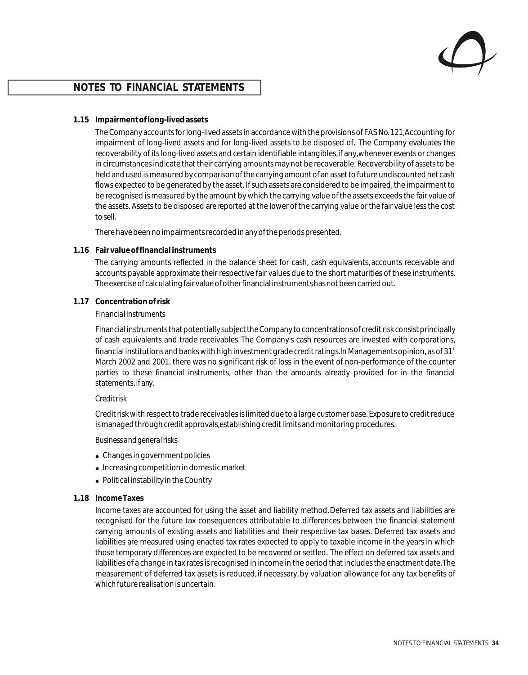

#### **1.15 Impairment of long-lived assets**

The Company accounts for long-lived assets in accordance with the provisions of FAS No. 121, Accounting for impairment of long-lived assets and for long-lived assets to be disposed of. The Company evaluates the recoverability of its long-lived assets and certain identifiable intangibles, if any, whenever events or changes in circumstances indicate that their carrying amounts may not be recoverable. Recoverability of assets to be held and used is measured by comparison of the carrying amount of an asset to future undiscounted net cash flows expected to be generated by the asset. If such assets are considered to be impaired, the impairment to be recognised is measured by the amount by which the carrying value of the assets exceeds the fair value of the assets. Assets to be disposed are reported at the lower of the carrying value or the fair value less the cost to sell.

There have been no impairments recorded in any of the periods presented.

#### **1.16 Fair value of financial instruments**

The carrying amounts reflected in the balance sheet for cash, cash equivalents, accounts receivable and accounts payable approximate their respective fair values due to the short maturities of these instruments. The exercise of calculating fair value of other financial instruments has not been carried out.

#### **1.17 Concentration of risk**

#### *Financial Instruments*

Financial instruments that potentially subject the Company to concentrations of credit risk consist principally of cash equivalents and trade receivables. The Company's cash resources are invested with corporations, financial institutions and banks with high investment grade credit ratings. In Managements opinion, as of  $31<sup>st</sup>$ March 2002 and 2001, there was no significant risk of loss in the event of non-performance of the counter parties to these financial instruments, other than the amounts already provided for in the financial statements, if any.

#### *Credit risk*

Credit risk with respect to trade receivables is limited due to a large customer base. Exposure to credit reduce is managed through credit approvals, establishing credit limits and monitoring procedures.

#### *Business and general risks*

- Changes in government policies
- Increasing competition in domestic market
- Political instability in the Country

#### **1.18 Income Taxes**

Income taxes are accounted for using the asset and liability method. Deferred tax assets and liabilities are recognised for the future tax consequences attributable to differences between the financial statement carrying amounts of existing assets and liabilities and their respective tax bases. Deferred tax assets and liabilities are measured using enacted tax rates expected to apply to taxable income in the years in which those temporary differences are expected to be recovered or settled. The effect on deferred tax assets and liabilities of a change in tax rates is recognised in income in the period that includes the enactment date. The measurement of deferred tax assets is reduced, if necessary, by valuation allowance for any tax benefits of which future realisation is uncertain.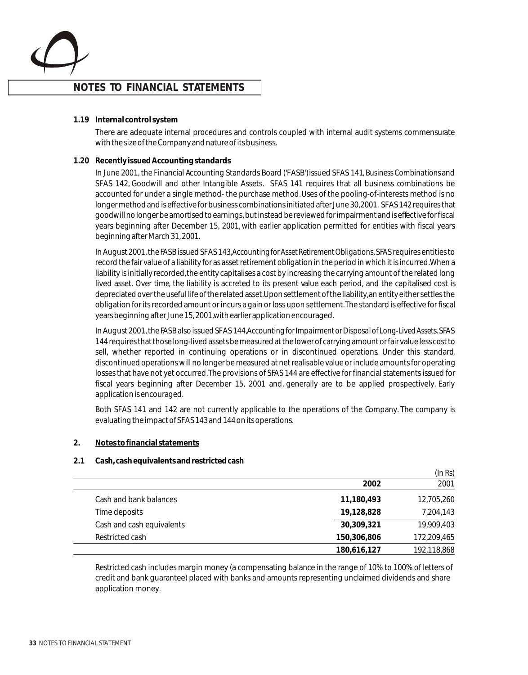

**1.19 Internal control system**

There are adequate internal procedures and controls coupled with internal audit systems commensurate with the size of the Company and nature of its business.

#### **1.20 Recently issued Accounting standards**

In June 2001, the Financial Accounting Standards Board ('FASB') issued SFAS 141*, Business Combinations* and SFAS 142, Goodwill and other Intangible Assets. SFAS 141 requires that all business combinations be accounted for under a single method- the purchase method. Uses of the pooling-of-interests method is no longer method and is effective for business combinations initiated after June 30, 2001. SFAS 142 requires that goodwill no longer be amortised to earnings, but instead be reviewed for impairment and is effective for fiscal years beginning after December 15, 2001, with earlier application permitted for entities with fiscal years beginning after March 31, 2001.

In August 2001, the FASB issued SFAS 143,*Accounting for Asset Retirement Obligations*. SFAS requires entities to record the fair value of a liability for as asset retirement obligation in the period in which it is incurred. When a liability is initially recorded, the entity capitalises a cost by increasing the carrying amount of the related long lived asset. Over time, the liability is accreted to its present value each period, and the capitalised cost is depreciated over the useful life of the related asset. Upon settlement of the liability, an entity either settles the obligation for its recorded amount or incurs a gain or loss upon settlement. The standard is effective for fiscal years beginning after June 15, 2001, with earlier application encouraged.

In August 2001, the FASB also issued SFAS 144,*Accounting for Impairment or Disposal of Long-Lived Assets*. SFAS 144 requires that those long-lived assets be measured at the lower of carrying amount or fair value less cost to sell, whether reported in continuing operations or in discontinued operations. Under this standard, discontinued operations will no longer be measured at net realisable value or include amounts for operating losses that have not yet occurred. The provisions of SFAS 144 are effective for financial statements issued for fiscal years beginning after December 15, 2001 and, generally are to be applied prospectively. Early application is encouraged.

Both SFAS 141 and 142 are not currently applicable to the operations of the Company. The company is evaluating the impact of SFAS 143 and 144 on its operations.

**2. Notes to financial statements**

#### **2.1 Cash, cash equivalents and restricted cash**

|                           |             | (ln Rs)     |
|---------------------------|-------------|-------------|
|                           | 2002        | 2001        |
| Cash and bank balances    | 11,180,493  | 12,705,260  |
| Time deposits             | 19,128,828  | 7,204,143   |
| Cash and cash equivalents | 30,309,321  | 19,909,403  |
| Restricted cash           | 150,306,806 | 172,209,465 |
|                           | 180,616,127 | 192,118,868 |

Restricted cash includes margin money (a compensating balance in the range of 10% to 100% of letters of credit and bank guarantee) placed with banks and amounts representing unclaimed dividends and share application money.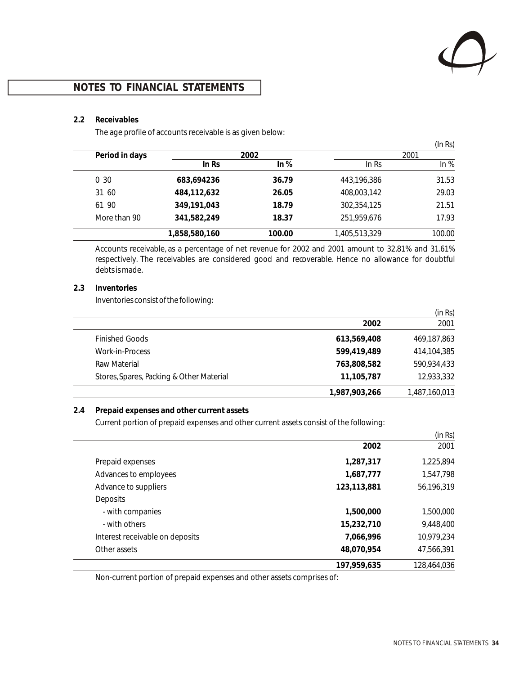

#### **2.2 Receivables**

The age profile of accounts receivable is as given below:

|                |               |        |               | (In Rs) |
|----------------|---------------|--------|---------------|---------|
| Period in days |               | 2002   |               | 2001    |
|                | ln Rs         | ln %   | ln Rs         | ln %    |
| 0, 30          | 683,694236    | 36.79  | 443,196,386   | 31.53   |
| 31 60          | 484,112,632   | 26.05  | 408,003,142   | 29.03   |
| 61 90          | 349,191,043   | 18.79  | 302,354,125   | 21.51   |
| More than 90   | 341,582,249   | 18.37  | 251,959,676   | 17.93   |
|                | 1,858,580,160 | 100.00 | 1,405,513,329 | 100.00  |

Accounts receivable, as a percentage of net revenue for 2002 and 2001 amount to 32.81% and 31.61% respectively. The receivables are considered good and recoverable. Hence no allowance for doubtful debts is made.

#### **2.3 Inventories**

Inventories consist of the following:

|                                          |               | (in Rs)       |
|------------------------------------------|---------------|---------------|
|                                          | 2002          | 2001          |
| <b>Finished Goods</b>                    | 613,569,408   | 469,187,863   |
| Work-in-Process                          | 599,419,489   | 414,104,385   |
| Raw Material                             | 763,808,582   | 590,934,433   |
| Stores, Spares, Packing & Other Material | 11,105,787    | 12,933,332    |
|                                          | 1.987.903.266 | 1,487,160,013 |

#### **2.4 Prepaid expenses and other current assets**

Current portion of prepaid expenses and other current assets consist of the following:

|                                 |             | (in Rs)     |
|---------------------------------|-------------|-------------|
|                                 | 2002        | 2001        |
| Prepaid expenses                | 1,287,317   | 1,225,894   |
| Advances to employees           | 1,687,777   | 1,547,798   |
| Advance to suppliers            | 123,113,881 | 56,196,319  |
| <b>Deposits</b>                 |             |             |
| - with companies                | 1,500,000   | 1,500,000   |
| - with others                   | 15,232,710  | 9,448,400   |
| Interest receivable on deposits | 7,066,996   | 10,979,234  |
| Other assets                    | 48,070,954  | 47,566,391  |
|                                 | 197,959,635 | 128,464,036 |

Non-current portion of prepaid expenses and other assets comprises of: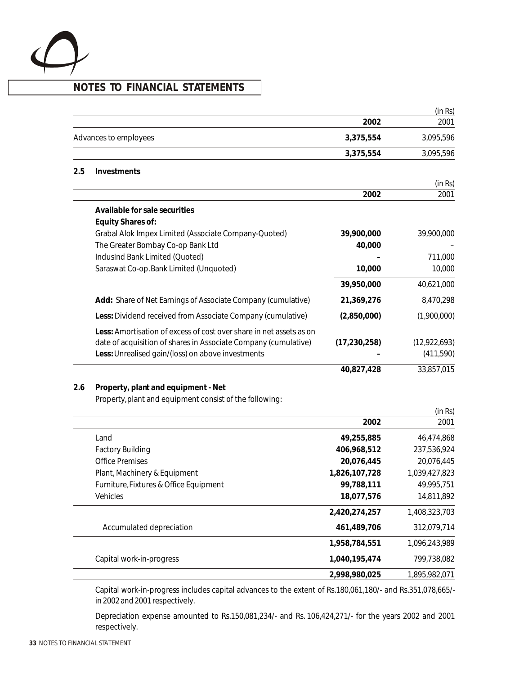

|     |                                                                                                                                                                                             |                           | (in Rs)                     |
|-----|---------------------------------------------------------------------------------------------------------------------------------------------------------------------------------------------|---------------------------|-----------------------------|
|     |                                                                                                                                                                                             | 2002                      | 2001                        |
|     | Advances to employees                                                                                                                                                                       | 3,375,554                 | 3,095,596                   |
|     |                                                                                                                                                                                             | 3,375,554                 | 3,095,596                   |
| 2.5 | Investments                                                                                                                                                                                 |                           |                             |
|     |                                                                                                                                                                                             |                           | (in Rs)                     |
|     |                                                                                                                                                                                             | 2002                      | 2001                        |
|     | Available for sale securities                                                                                                                                                               |                           |                             |
|     | Equity Shares of:                                                                                                                                                                           |                           |                             |
|     | Grabal Alok Impex Limited (Associate Company-Quoted)                                                                                                                                        | 39,900,000                | 39,900,000                  |
|     | The Greater Bombay Co-op Bank Ltd                                                                                                                                                           | 40,000                    |                             |
|     | IndusInd Bank Limited (Quoted)                                                                                                                                                              |                           | 711,000                     |
|     | Saraswat Co-op. Bank Limited (Unquoted)                                                                                                                                                     | 10,000                    | 10,000                      |
|     |                                                                                                                                                                                             | 39,950,000                | 40,621,000                  |
|     | Add: Share of Net Earnings of Associate Company (cumulative)                                                                                                                                | 21,369,276                | 8,470,298                   |
|     | Less: Dividend received from Associate Company (cumulative)                                                                                                                                 | (2,850,000)               | (1,900,000)                 |
|     | Less: Amortisation of excess of cost over share in net assets as on<br>date of acquisition of shares in Associate Company (cumulative)<br>Less: Unrealised gain/(loss) on above investments | (17, 230, 258)            | (12, 922, 693)<br>(411,590) |
|     |                                                                                                                                                                                             | 40,827,428                | 33,857,015                  |
| 2.6 | Property, plant and equipment - Net<br>Property, plant and equipment consist of the following:                                                                                              |                           |                             |
|     |                                                                                                                                                                                             | 2002                      | (in Rs)<br>2001             |
|     |                                                                                                                                                                                             |                           |                             |
|     | Land                                                                                                                                                                                        | 49,255,885                | 46,474,868                  |
|     | <b>Factory Building</b><br><b>Office Premises</b>                                                                                                                                           | 406,968,512<br>20,076,445 | 237,536,924<br>20,076,445   |
|     | Plant, Machinery & Equipment                                                                                                                                                                | 1,826,107,728             | 1,039,427,823               |
|     | Furniture, Fixtures & Office Equipment                                                                                                                                                      | 99,788,111                | 49,995,751                  |
|     | Vehicles                                                                                                                                                                                    | 18,077,576                | 14,811,892                  |
|     |                                                                                                                                                                                             |                           |                             |
|     |                                                                                                                                                                                             | 2,420,274,257             | 1,408,323,703               |
|     | Accumulated depreciation                                                                                                                                                                    | 461,489,706               | 312,079,714                 |
|     |                                                                                                                                                                                             | 1,958,784,551             | 1,096,243,989               |
|     | Capital work-in-progress                                                                                                                                                                    | 1,040,195,474             | 799,738,082                 |
|     |                                                                                                                                                                                             | 2,998,980,025             | 1,895,982,071               |

Capital work-in-progress includes capital advances to the extent of Rs.180,061,180/- and Rs.351,078,665/ in 2002 and 2001 respectively.

Depreciation expense amounted to Rs.150,081,234/- and Rs. 106,424,271/- for the years 2002 and 2001 respectively.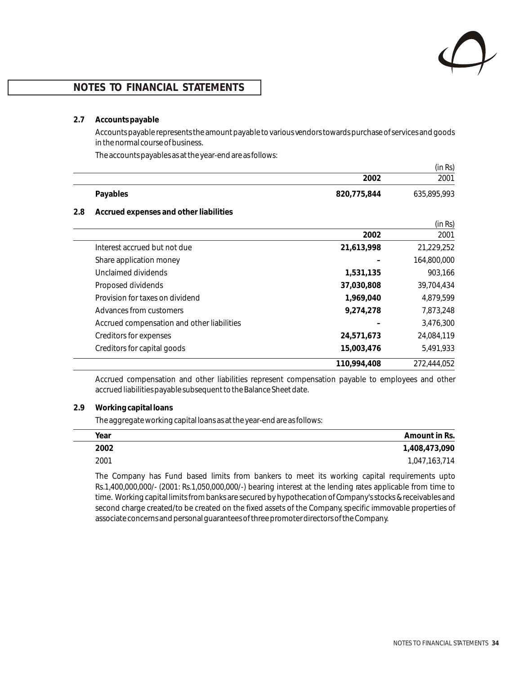

#### **2.7 Accounts payable**

Accounts payable represents the amount payable to various vendors towards purchase of services and goods in the normal course of business.

The accounts payables as at the year-end are as follows:

|          |             | (in Rs)     |
|----------|-------------|-------------|
|          | 2002        | 2001        |
| Payables | 820,775,844 | 635,895,993 |

#### **2.8 Accrued expenses and other liabilities**

|                                            |             | (in Rs)     |
|--------------------------------------------|-------------|-------------|
|                                            | 2002        | 2001        |
| Interest accrued but not due               | 21,613,998  | 21,229,252  |
| Share application money                    |             | 164,800,000 |
| Unclaimed dividends                        | 1,531,135   | 903,166     |
| Proposed dividends                         | 37,030,808  | 39,704,434  |
| Provision for taxes on dividend            | 1,969,040   | 4,879,599   |
| Advances from customers                    | 9,274,278   | 7,873,248   |
| Accrued compensation and other liabilities |             | 3,476,300   |
| Creditors for expenses                     | 24,571,673  | 24,084,119  |
| Creditors for capital goods                | 15,003,476  | 5,491,933   |
|                                            | 110,994,408 | 272,444,052 |

Accrued compensation and other liabilities represent compensation payable to employees and other accrued liabilities payable subsequent to the Balance Sheet date.

#### **2.9 Working capital loans**

The aggregate working capital loans as at the year-end are as follows:

| Year | Amount in Rs. |
|------|---------------|
| 2002 | 1,408,473,090 |
| 2001 | 1,047,163,714 |

The Company has Fund based limits from bankers to meet its working capital requirements upto Rs.1,400,000,000/- (2001: Rs.1,050,000,000/-) bearing interest at the lending rates applicable from time to time. Working capital limits from banks are secured by hypothecation of Company's stocks & receivables and second charge created/to be created on the fixed assets of the Company, specific immovable properties of associate concerns and personal guarantees of three promoter directors of the Company.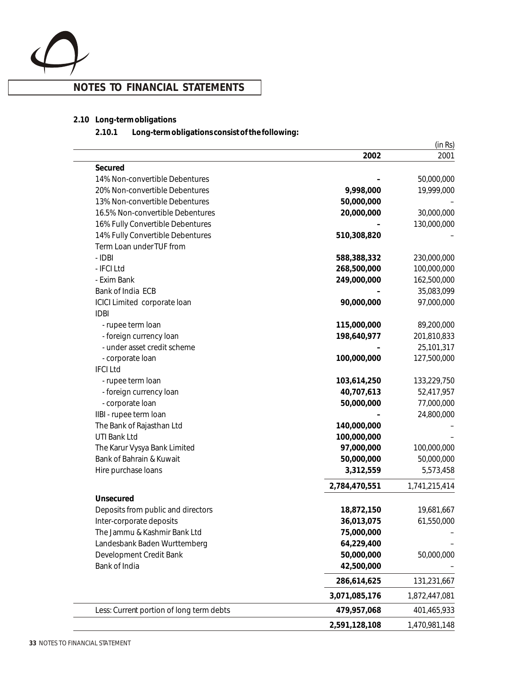

- **2.10 Long-term obligations** 
	- **2.10.1 Long-term obligations consist of the following:**

|                                          |               | (in Rs)       |
|------------------------------------------|---------------|---------------|
|                                          | 2002          | 2001          |
| Secured                                  |               |               |
| 14% Non-convertible Debentures           |               | 50,000,000    |
| 20% Non-convertible Debentures           | 9,998,000     | 19,999,000    |
| 13% Non-convertible Debentures           | 50,000,000    |               |
| 16.5% Non-convertible Debentures         | 20,000,000    | 30,000,000    |
| 16% Fully Convertible Debentures         |               | 130,000,000   |
| 14% Fully Convertible Debentures         | 510,308,820   |               |
| Term Loan under TUF from                 |               |               |
| - IDBI                                   | 588,388,332   | 230,000,000   |
| - IFCI Ltd                               | 268,500,000   | 100,000,000   |
| - Exim Bank                              | 249,000,000   | 162,500,000   |
| Bank of India ECB                        |               | 35,083,099    |
| ICICI Limited corporate loan             | 90,000,000    | 97,000,000    |
| <b>IDBI</b>                              |               |               |
| - rupee term loan                        | 115,000,000   | 89,200,000    |
| - foreign currency loan                  | 198,640,977   | 201,810,833   |
| - under asset credit scheme              |               | 25,101,317    |
| - corporate loan                         | 100,000,000   | 127,500,000   |
| <b>IFCILtd</b>                           |               |               |
| - rupee term loan                        | 103,614,250   | 133,229,750   |
| - foreign currency loan                  | 40,707,613    | 52,417,957    |
| - corporate loan                         | 50,000,000    | 77,000,000    |
| IIBI - rupee term Ioan                   |               | 24,800,000    |
| The Bank of Rajasthan Ltd                | 140,000,000   |               |
| UTI Bank Ltd                             | 100,000,000   |               |
| The Karur Vysya Bank Limited             | 97,000,000    | 100,000,000   |
| Bank of Bahrain & Kuwait                 | 50,000,000    | 50,000,000    |
| Hire purchase loans                      | 3,312,559     | 5,573,458     |
|                                          | 2,784,470,551 | 1,741,215,414 |
| Unsecured                                |               |               |
| Deposits from public and directors       | 18,872,150    | 19,681,667    |
| Inter-corporate deposits                 | 36,013,075    | 61,550,000    |
| The Jammu & Kashmir Bank Ltd             | 75,000,000    |               |
| Landesbank Baden Wurttemberg             | 64,229,400    |               |
| Development Credit Bank                  | 50,000,000    | 50,000,000    |
| Bank of India                            | 42,500,000    |               |
|                                          | 286,614,625   | 131,231,667   |
|                                          | 3,071,085,176 | 1,872,447,081 |
| Less: Current portion of long term debts | 479,957,068   | 401,465,933   |
|                                          | 2,591,128,108 | 1,470,981,148 |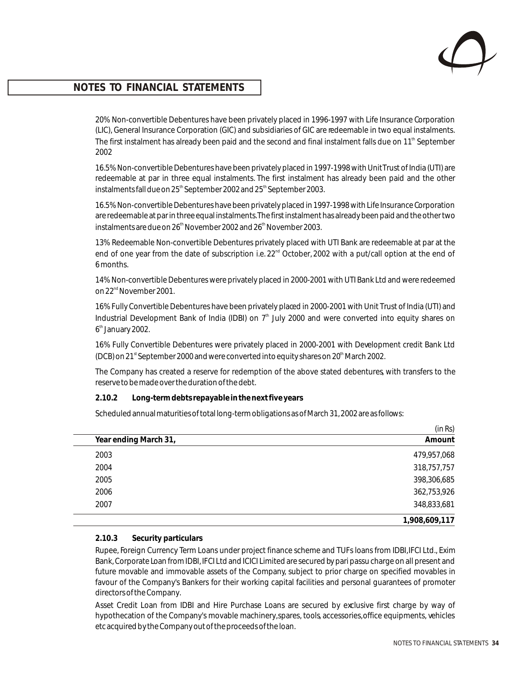

20% Non-convertible Debentures have been privately placed in 1996-1997 with Life Insurance Corporation (LIC), General Insurance Corporation (GIC) and subsidiaries of GIC are redeemable in two equal instalments. The first instalment has already been paid and the second and final instalment falls due on 11<sup>th</sup> September 2002

16.5% Non-convertible Debentures have been privately placed in 1997-1998 with Unit Trust of India (UTI) are redeemable at par in three equal instalments. The first instalment has already been paid and the other instalments fall due on  $25<sup>th</sup>$  September 2002 and  $25<sup>th</sup>$  September 2003.

16.5% Non-convertible Debentures have been privately placed in 1997-1998 with Life Insurance Corporation are redeemable at par in three equal instalments. The first instalment has already been paid and the other two instalments are due on 26<sup>th</sup> November 2002 and 26<sup>th</sup> November 2003.

13% Redeemable Non-convertible Debentures privately placed with UTI Bank are redeemable at par at the end of one year from the date of subscription i.e.  $22<sup>nd</sup>$  October, 2002 with a put/call option at the end of 6 months.

14% Non-convertible Debentures were privately placed in 2000-2001 with UTI Bank Ltd and were redeemed on 22<sup>nd</sup> November 2001.

16% Fully Convertible Debentures have been privately placed in 2000-2001 with Unit Trust of India (UTI) and Industrial Development Bank of India (IDBI) on  $7<sup>th</sup>$  July 2000 and were converted into equity shares on 6<sup>th</sup> January 2002.

16% Fully Convertible Debentures were privately placed in 2000-2001 with Development credit Bank Ltd (DCB) on 21<sup>st</sup> September 2000 and were converted into equity shares on 20<sup>th</sup> March 2002.

The Company has created a reserve for redemption of the above stated debentures, with transfers to the reserve to be made over the duration of the debt.

**2.10.2 Long-term debts repayable in the next five years**

Scheduled annual maturities of total long-term obligations as of March 31, 2002 are as follows:

|                       | (in Rs)       |
|-----------------------|---------------|
| Year ending March 31, | Amount        |
| 2003                  | 479,957,068   |
| 2004                  | 318,757,757   |
| 2005                  | 398,306,685   |
| 2006                  | 362,753,926   |
| 2007                  | 348,833,681   |
|                       | 1,908,609,117 |

#### **2.10.3 Security particulars**

Rupee, Foreign Currency Term Loans under project finance scheme and TUFs loans from IDBI, IFCI Ltd., Exim Bank, Corporate Loan from IDBI, IFCI Ltd and ICICI Limited are secured by pari passu charge on all present and future movable and immovable assets of the Company, subject to prior charge on specified movables in favour of the Company's Bankers for their working capital facilities and personal guarantees of promoter directors of the Company.

Asset Credit Loan from IDBI and Hire Purchase Loans are secured by exclusive first charge by way of hypothecation of the Company's movable machinery, spares, tools, accessories, office equipments, vehicles etc acquired by the Company out of the proceeds of the loan.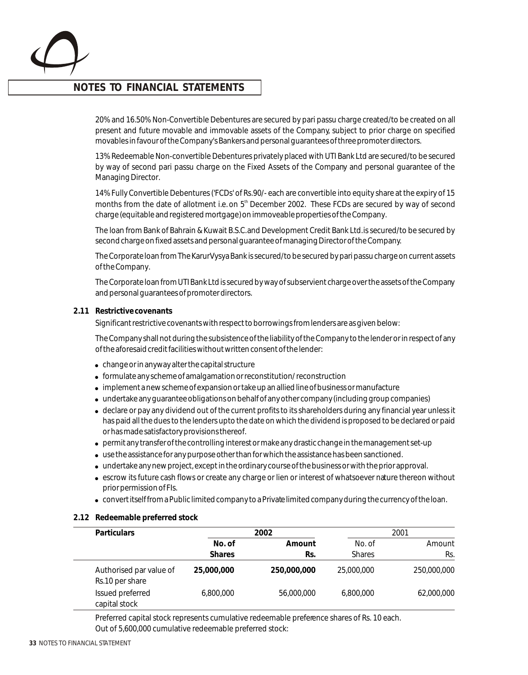

20% and 16.50% Non-Convertible Debentures are secured by pari passu charge created/to be created on all present and future movable and immovable assets of the Company, subject to prior charge on specified movables in favour of the Company's Bankers and personal guarantees of three promoter directors.

13% Redeemable Non-convertible Debentures privately placed with UTI Bank Ltd are secured/to be secured by way of second pari passu charge on the Fixed Assets of the Company and personal guarantee of the Managing Director.

14% Fully Convertible Debentures ('FCDs' of Rs. 90/- each are convertible into equity share at the expiry of 15 months from the date of allotment i.e. on  $5<sup>th</sup>$  December 2002. These FCDs are secured by way of second charge (equitable and registered mortgage) on immoveable properties of the Company.

The loan from Bank of Bahrain & Kuwait B.S.C. and Development Credit Bank Ltd. is secured/to be secured by second charge on fixed assets and personal guarantee of managing Director of the Company.

The Corporate loan from The Karur Vysya Bank is secured/to be secured by pari passu charge on current assets of the Company.

The Corporate loan from UTI Bank Ltd is secured by way of subservient charge over the assets of the Company and personal guarantees of promoter directors.

#### **2.11 Restrictive covenants**

Significant restrictive covenants with respect to borrowings from lenders are as given below:

The Company shall not during the subsistence of the liability of the Company to the lender or in respect of any of the aforesaid credit facilities without written consent of the lender:

- change or in anyway alter the capital structure
- ! formulate any scheme of amalgamation or reconstitution/ reconstruction
- implement a new scheme of expansion or take up an allied line of business or manufacture
- ! undertake any guarantee obligations on behalf of any other company (including group companies)
- ! declare or pay any dividend out of the current profits to its shareholders during any financial year unless it has paid all the dues to the lenders upto the date on which the dividend is proposed to be declared or paid or has made satisfactory provisions thereof.
- ! permit any transfer of the controlling interest or make any drastic change in the management set-up
- use the assistance for any purpose other than for which the assistance has been sanctioned.
- ! undertake any new project, except in the ordinary course of the business or with the prior approval.
- escrow its future cash flows or create any charge or lien or interest of whatsoever nature thereon without prior permission of FIs.
- ! convert itself from a Public limited company to a Private limited company during the currency of the loan.

#### **2.12 Redeemable preferred stock**

| <b>Particulars</b>                         | 2002          |             |               | 2001        |  |
|--------------------------------------------|---------------|-------------|---------------|-------------|--|
|                                            | No. of        | Amount      | No. of        | Amount      |  |
|                                            | <b>Shares</b> | Rs.         | <b>Shares</b> | Rs.         |  |
| Authorised par value of<br>Rs.10 per share | 25,000,000    | 250,000,000 | 25,000,000    | 250,000,000 |  |
| Issued preferred<br>capital stock          | 6,800,000     | 56,000,000  | 6.800.000     | 62,000,000  |  |

Preferred capital stock represents cumulative redeemable preference shares of Rs. 10 each. Out of 5,600,000 cumulative redeemable preferred stock: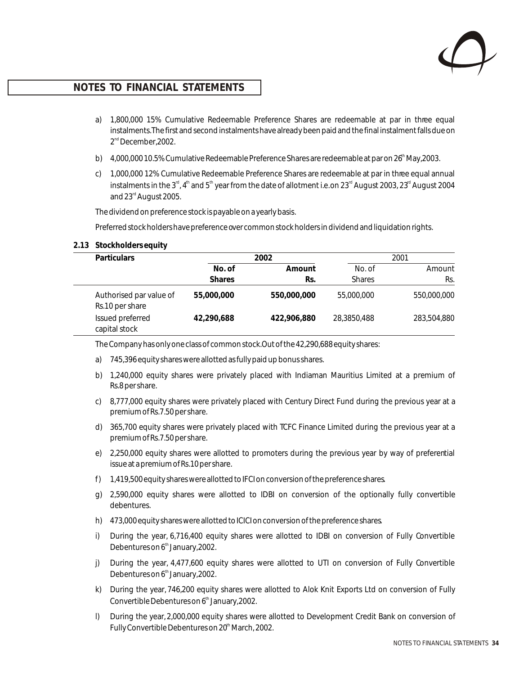

- a) 1,800,000 15% Cumulative Redeemable Preference Shares are redeemable at par in three equal instalments. The first and second instalments have already been paid and the final instalment falls due on  $2<sup>nd</sup>$  December, 2002.
- b) 4,000,000 10.5% Cumulative Redeemable Preference Shares are redeemable at par on 26<sup>th</sup> May, 2003.
- c) 1,000,000 12% Cumulative Redeemable Preference Shares are redeemable at par in three equal annual instalments in the 3<sup>rd</sup>, 4<sup>th</sup> and 5<sup>th</sup> year from the date of allotment i.e. on 23<sup>rd</sup> August 2003, 23<sup>rd</sup> August 2004 and 23<sup>rd</sup> August 2005.

The dividend on preference stock is payable on a yearly basis.

Preferred stock holders have preference over common stock holders in dividend and liquidation rights.

**2.13 Stockholders equity**

| <b>Particulars</b>                         | 2002          |             | 2001          |             |
|--------------------------------------------|---------------|-------------|---------------|-------------|
|                                            | No. of        | Amount      | No. of        | Amount      |
|                                            | <b>Shares</b> | Rs.         | <b>Shares</b> | Rs.         |
| Authorised par value of<br>Rs.10 per share | 55,000,000    | 550,000,000 | 55,000,000    | 550,000,000 |
| Issued preferred<br>capital stock          | 42,290,688    | 422,906,880 | 28,3850,488   | 283,504,880 |

The Company has only one class of common stock. Out of the 42,290,688 equity shares:

- a) 745,396 equity shares were allotted as fully paid up bonus shares.
- b) 1,240,000 equity shares were privately placed with Indiaman Mauritius Limited at a premium of Rs.8 per share.
- c) 8,777,000 equity shares were privately placed with Century Direct Fund during the previous year at a premium of Rs.7.50 per share.
- d) 365,700 equity shares were privately placed with TCFC Finance Limited during the previous year at a premium of Rs.7.50 per share.
- e) 2,250,000 equity shares were allotted to promoters during the previous year by way of preferential issue at a premium of Rs.10 per share.
- f) 1,419,500 equity shares were allotted to IFCI on conversion of the preference shares.
- g) 2,590,000 equity shares were allotted to IDBI on conversion of the optionally fully convertible debentures.
- h) 473,000 equity shares were allotted to ICICI on conversion of the preference shares.
- i) During the year, 6,716,400 equity shares were allotted to IDBI on conversion of Fully Convertible Debentures on  $6<sup>th</sup>$  January, 2002.
- j) During the year, 4,477,600 equity shares were allotted to UTI on conversion of Fully Convertible Debentures on  $6<sup>th</sup>$  January, 2002.
- k) During the year, 746,200 equity shares were allotted to Alok Knit Exports Ltd on conversion of Fully Convertible Debentures on 6<sup>th</sup> January, 2002.
- l) During the year, 2,000,000 equity shares were allotted to Development Credit Bank on conversion of Fully Convertible Debentures on 20<sup>th</sup> March, 2002.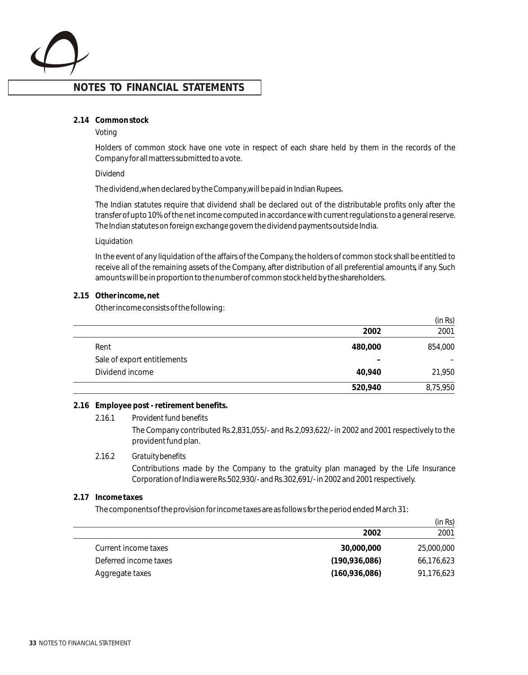

#### **2.14 Common stock**

#### *Voting*

Holders of common stock have one vote in respect of each share held by them in the records of the Company for all matters submitted to a vote.

#### *Dividend*

The dividend, when declared by the Company, will be paid in Indian Rupees.

The Indian statutes require that dividend shall be declared out of the distributable profits only after the transfer of upto 10% of the net income computed in accordance with current regulations to a general reserve. The Indian statutes on foreign exchange govern the dividend payments outside India.

#### *Liquidation*

In the event of any liquidation of the affairs of the Company, the holders of common stock shall be entitled to receive all of the remaining assets of the Company, after distribution of all preferential amounts, if any. Such amounts will be in proportion to the number of common stock held by the shareholders.

#### **2.15 Other income, net**

Other income consists of the following:

|                             |         | (in Rs)  |
|-----------------------------|---------|----------|
|                             | 2002    | 2001     |
| Rent                        | 480,000 | 854,000  |
| Sale of export entitlements |         |          |
| Dividend income             | 40,940  | 21,950   |
|                             | 520,940 | 8,75,950 |

#### **2.16 Employee post - retirement benefits.**

*2.16.1 Provident fund benefits* The Company contributed Rs.2,831,055/- and Rs. 2,093,622/- in 2002 and 2001 respectively to the provident fund plan.

#### *2.16.2 Gratuity benefits*

Contributions made by the Company to the gratuity plan managed by the Life Insurance Corporation of India were Rs.502,930/- and Rs.302,691/- in 2002 and 2001 respectively.

#### **2.17 Income taxes**

The components of the provision for income taxes are as follows for the period ended March 31:

|                       | (in Rs)         |            |  |
|-----------------------|-----------------|------------|--|
|                       | 2002            | 2001       |  |
| Current income taxes  | 30,000,000      | 25,000,000 |  |
| Deferred income taxes | (190, 936, 086) | 66,176,623 |  |
| Aggregate taxes       | (160, 936, 086) | 91,176,623 |  |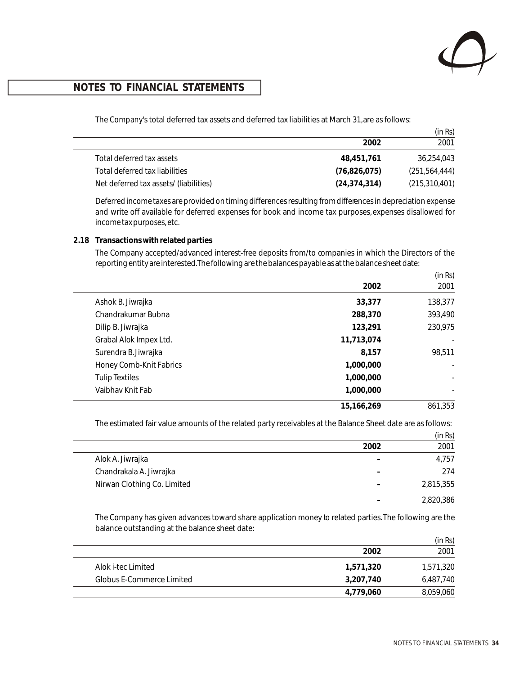

The Company's total deferred tax assets and deferred tax liabilities at March 31, are as follows:

|                                        |                | (in Rs)         |
|----------------------------------------|----------------|-----------------|
|                                        | 2002           | 2001            |
| Total deferred tax assets              | 48.451.761     | 36,254,043      |
| Total deferred tax liabilities         | (76, 826, 075) | (251, 564, 444) |
| Net deferred tax assets/ (liabilities) | (24, 374, 314) | (215, 310, 401) |

Deferred income taxes are provided on timing differences resulting from differences in depreciation expense and write off available for deferred expenses for book and income tax purposes, expenses disallowed for income tax purposes, etc.

### **2.18 Transactions with related parties**

The Company accepted/advanced interest-free deposits from/to companies in which the Directors of the reporting entity are interested. The following are the balances payable as at the balance sheet date:

|                         |            | (in Rs) |
|-------------------------|------------|---------|
|                         | 2002       | 2001    |
| Ashok B. Jiwrajka       | 33,377     | 138,377 |
| Chandrakumar Bubna      | 288,370    | 393,490 |
| Dilip B. Jiwrajka       | 123,291    | 230,975 |
| Grabal Alok Impex Ltd.  | 11,713,074 |         |
| Surendra B. Jiwrajka    | 8,157      | 98,511  |
| Honey Comb-Knit Fabrics | 1,000,000  |         |
| <b>Tulip Textiles</b>   | 1,000,000  |         |
| Vaibhav Knit Fab        | 1,000,000  |         |
|                         | 15.166.269 | 861,353 |

The estimated fair value amounts of the related party receivables at the Balance Sheet date are as follows:

|      | (in Rs)   |
|------|-----------|
| 2002 | 2001      |
|      | 4,757     |
|      | 274       |
|      | 2,815,355 |
|      | 2,820,386 |
|      |           |

The Company has given advances toward share application money to related parties. The following are the balance outstanding at the balance sheet date:

|                           |           | (in Rs)   |
|---------------------------|-----------|-----------|
|                           | 2002      | 2001      |
| Alok i-tec Limited        | 1,571,320 | 1,571,320 |
| Globus E-Commerce Limited | 3,207,740 | 6,487,740 |
|                           | 4,779,060 | 8,059,060 |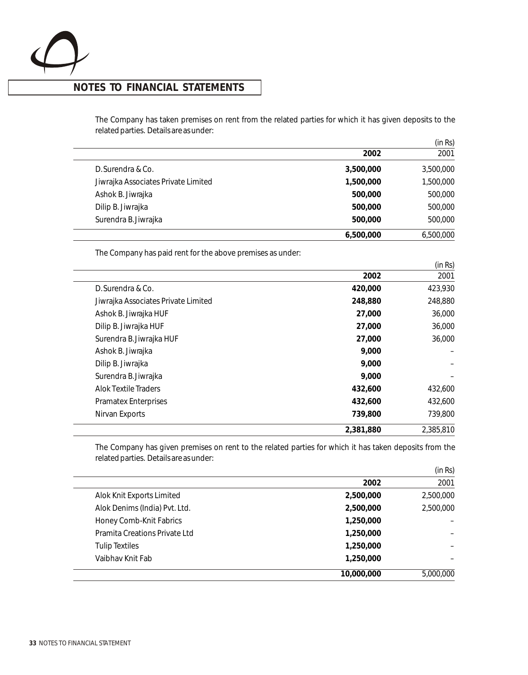

## **NOTES TO FINANCIAL STATEMENTS**

The Company has taken premises on rent from the related parties for which it has given deposits to the related parties. Details are as under:

|                                     |           | (in Rs)   |
|-------------------------------------|-----------|-----------|
|                                     | 2002      | 2001      |
| D. Surendra & Co.                   | 3,500,000 | 3,500,000 |
| Jiwrajka Associates Private Limited | 1,500,000 | 1,500,000 |
| Ashok B. Jiwrajka                   | 500,000   | 500,000   |
| Dilip B. Jiwrajka                   | 500,000   | 500,000   |
| Surendra B. Jiwrajka                | 500,000   | 500,000   |
|                                     | 6,500,000 | 6,500,000 |

The Company has paid rent for the above premises as under:

|                                     |           | (in Rs)   |
|-------------------------------------|-----------|-----------|
|                                     | 2002      | 2001      |
| D. Surendra & Co.                   | 420,000   | 423,930   |
| Jiwrajka Associates Private Limited | 248,880   | 248,880   |
| Ashok B. Jiwrajka HUF               | 27,000    | 36,000    |
| Dilip B. Jiwrajka HUF               | 27,000    | 36,000    |
| Surendra B. Jiwrajka HUF            | 27,000    | 36,000    |
| Ashok B. Jiwrajka                   | 9,000     |           |
| Dilip B. Jiwrajka                   | 9,000     |           |
| Surendra B. Jiwrajka                | 9,000     |           |
| <b>Alok Textile Traders</b>         | 432,600   | 432,600   |
| <b>Pramatex Enterprises</b>         | 432,600   | 432,600   |
| Nirvan Exports                      | 739,800   | 739,800   |
|                                     | 2,381,880 | 2,385,810 |

The Company has given premises on rent to the related parties for which it has taken deposits from the related parties. Details are as under:

|                               |            | (in Rs)   |
|-------------------------------|------------|-----------|
|                               | 2002       | 2001      |
| Alok Knit Exports Limited     | 2,500,000  | 2,500,000 |
| Alok Denims (India) Pvt. Ltd. | 2,500,000  | 2,500,000 |
| Honey Comb-Knit Fabrics       | 1,250,000  |           |
| Pramita Creations Private Ltd | 1,250,000  |           |
| <b>Tulip Textiles</b>         | 1,250,000  |           |
| Vaibhay Knit Fab              | 1,250,000  |           |
|                               | 10,000,000 | 5,000,000 |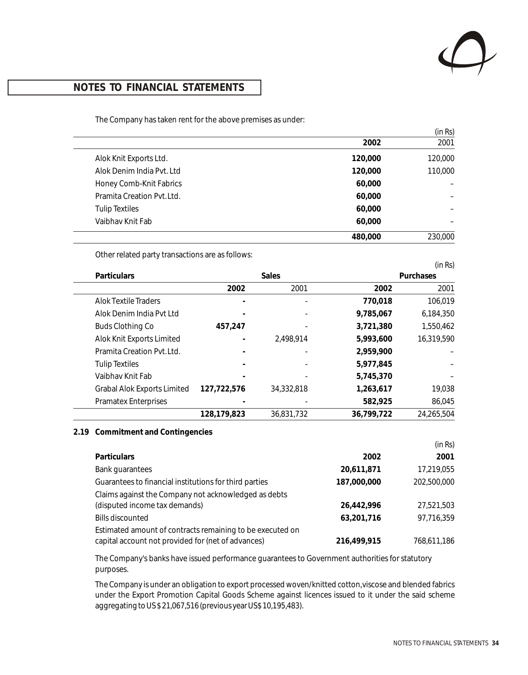

The Company has taken rent for the above premises as under:

|                            |         | (in Rs) |
|----------------------------|---------|---------|
|                            | 2002    | 2001    |
| Alok Knit Exports Ltd.     | 120,000 | 120,000 |
| Alok Denim India Pvt. Ltd  | 120,000 | 110,000 |
| Honey Comb-Knit Fabrics    | 60,000  |         |
| Pramita Creation Pvt. Ltd. | 60,000  |         |
| <b>Tulip Textiles</b>      | 60,000  |         |
| Vaibhay Knit Fab           | 60,000  |         |
|                            | 480,000 | 230,000 |

Other related party transactions are as follows:

|                                    |              |            |            | (in Rs)    |
|------------------------------------|--------------|------------|------------|------------|
| <b>Particulars</b>                 | <b>Sales</b> |            | Purchases  |            |
|                                    | 2002         | 2001       | 2002       | 2001       |
| Alok Textile Traders               |              |            | 770,018    | 106,019    |
| Alok Denim India Pyt Ltd           |              |            | 9,785,067  | 6,184,350  |
| <b>Buds Clothing Co</b>            | 457,247      |            | 3,721,380  | 1,550,462  |
| Alok Knit Exports Limited          |              | 2,498,914  | 5,993,600  | 16,319,590 |
| Pramita Creation Pyt. Ltd.         |              |            | 2,959,900  |            |
| <b>Tulip Textiles</b>              |              |            | 5,977,845  |            |
| Vaibhay Knit Fab                   |              |            | 5,745,370  |            |
| <b>Grabal Alok Exports Limited</b> | 127,722,576  | 34,332,818 | 1,263,617  | 19,038     |
| <b>Pramatex Enterprises</b>        |              |            | 582,925    | 86,045     |
|                                    | 128,179,823  | 36.831.732 | 36,799,722 | 24,265,504 |

#### **2.19 Commitment and Contingencies**

|                                                           |             | (in Rs)     |
|-----------------------------------------------------------|-------------|-------------|
| <b>Particulars</b>                                        | 2002        | 2001        |
| <b>Bank guarantees</b>                                    | 20,611,871  | 17,219,055  |
| Guarantees to financial institutions for third parties    | 187,000,000 | 202,500,000 |
| Claims against the Company not acknowledged as debts      |             |             |
| (disputed income tax demands)                             | 26.442.996  | 27,521,503  |
| <b>Bills discounted</b>                                   | 63.201.716  | 97,716,359  |
| Estimated amount of contracts remaining to be executed on |             |             |
| capital account not provided for (net of advances)        | 216,499,915 | 768,611,186 |

The Company's banks have issued performance guarantees to Government authorities for statutory purposes.

The Company is under an obligation to export processed woven/knitted cotton, viscose and blended fabrics under the Export Promotion Capital Goods Scheme against licences issued to it under the said scheme aggregating to US \$ 21,067,516 (previous year US\$ 10,195,483).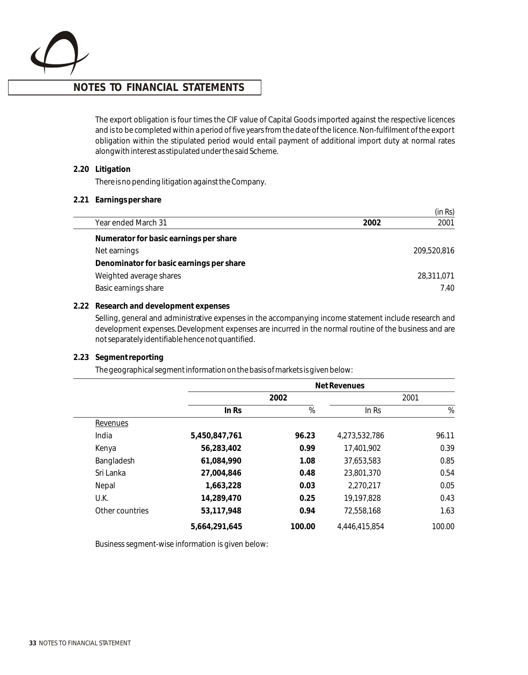

The export obligation is four times the CIF value of Capital Goods imported against the respective licences and is to be completed within a period of five years from the date of the licence. Non-fulfilment of the export obligation within the stipulated period would entail payment of additional import duty at normal rates alongwith interest as stipulated under the said Scheme.

**2.20 Litigation** 

There is no pending litigation against the Company.

**2.21 Earnings per share**

|                                          |      | (in Rs)     |
|------------------------------------------|------|-------------|
| Year ended March 31                      | 2002 | 2001        |
| Numerator for basic earnings per share   |      |             |
| Net earnings                             |      | 209,520,816 |
| Denominator for basic earnings per share |      |             |
| Weighted average shares                  |      | 28,311,071  |
| Basic earnings share                     |      | 7.40        |
|                                          |      |             |

#### **2.22 Research and development expenses**

Selling, general and administrative expenses in the accompanying income statement include research and development expenses. Development expenses are incurred in the normal routine of the business and are not separately identifiable hence not quantified.

#### **2.23 Segment reporting**

The geographical segment information on the basis of markets is given below:

|                 | Net Revenues  |        |               |        |
|-----------------|---------------|--------|---------------|--------|
|                 | 2002          |        | 2001          |        |
|                 | In Rs         | $\%$   | ln Rs         | %      |
| Revenues        |               |        |               |        |
| India           | 5,450,847,761 | 96.23  | 4,273,532,786 | 96.11  |
| Kenya           | 56,283,402    | 0.99   | 17,401,902    | 0.39   |
| Bangladesh      | 61,084,990    | 1.08   | 37,653,583    | 0.85   |
| Sri Lanka       | 27,004,846    | 0.48   | 23,801,370    | 0.54   |
| Nepal           | 1,663,228     | 0.03   | 2,270,217     | 0.05   |
| U.K.            | 14,289,470    | 0.25   | 19,197,828    | 0.43   |
| Other countries | 53,117,948    | 0.94   | 72,558,168    | 1.63   |
|                 | 5.664.291.645 | 100.00 | 4,446,415,854 | 100.00 |

Business segment-wise information is given below: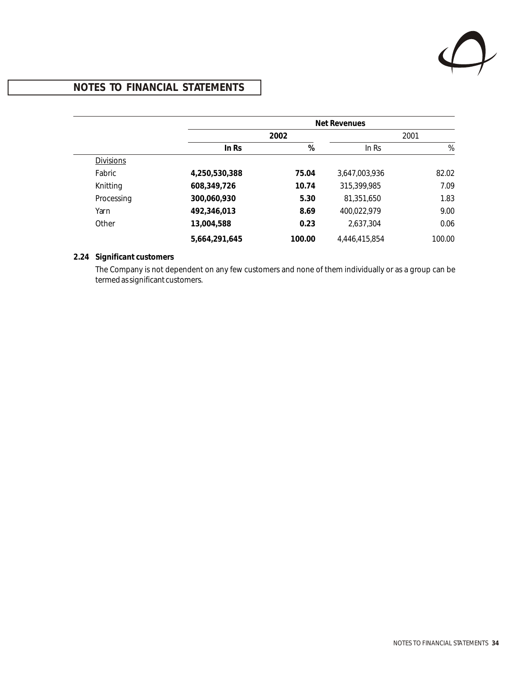

|                  |               | Net Revenues |               |        |  |
|------------------|---------------|--------------|---------------|--------|--|
|                  | 2002          |              | 2001          |        |  |
|                  | In Rs         | %            | ln Rs         | %      |  |
| <b>Divisions</b> |               |              |               |        |  |
| Fabric           | 4,250,530,388 | 75.04        | 3,647,003,936 | 82.02  |  |
| Knitting         | 608,349,726   | 10.74        | 315,399,985   | 7.09   |  |
| Processing       | 300,060,930   | 5.30         | 81,351,650    | 1.83   |  |
| Yarn             | 492,346,013   | 8.69         | 400,022,979   | 9.00   |  |
| Other            | 13,004,588    | 0.23         | 2,637,304     | 0.06   |  |
|                  | 5.664.291.645 | 100.00       | 4,446,415,854 | 100.00 |  |

### **2.24 Significant customers**

The Company is not dependent on any few customers and none of them individually or as a group can be termed as significant customers.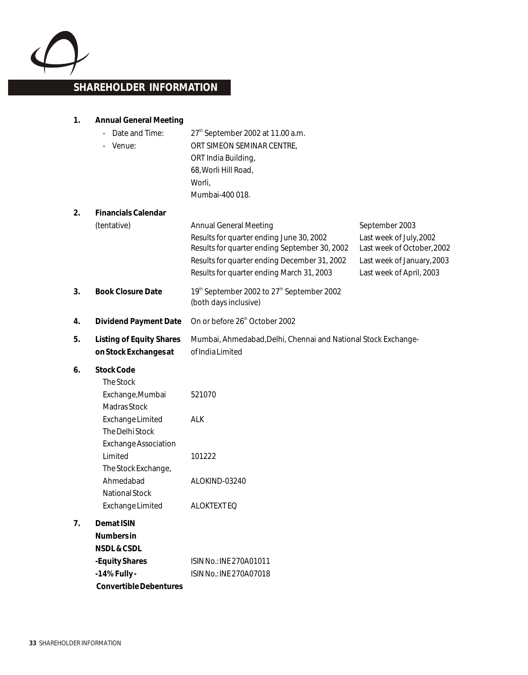

## **SHAREHOLDER INFORMATION**

**1. Annual General Meeting**

|    | Date and Time:<br>Venue:                                                                                                                                                                                                      | 27 <sup>th</sup> September 2002 at 11.00 a.m.<br>ORT SIMEON SEMINAR CENTRE,<br>ORT India Building,<br>68, Worli Hill Road,<br>Worli,<br>Mumbai-400 018.                                                                 |                                                                                                                                   |
|----|-------------------------------------------------------------------------------------------------------------------------------------------------------------------------------------------------------------------------------|-------------------------------------------------------------------------------------------------------------------------------------------------------------------------------------------------------------------------|-----------------------------------------------------------------------------------------------------------------------------------|
| 2. | <b>Financials Calendar</b><br>(tentative)                                                                                                                                                                                     | <b>Annual General Meeting</b><br>Results for quarter ending June 30, 2002<br>Results for quarter ending September 30, 2002<br>Results for quarter ending December 31, 2002<br>Results for quarter ending March 31, 2003 | September 2003<br>Last week of July, 2002<br>Last week of October, 2002<br>Last week of January, 2003<br>Last week of April, 2003 |
| 3. | <b>Book Closure Date</b>                                                                                                                                                                                                      | 19th September 2002 to 27th September 2002<br>(both days inclusive)                                                                                                                                                     |                                                                                                                                   |
| 4. | Dividend Payment Date                                                                                                                                                                                                         | On or before 26 <sup>th</sup> October 2002                                                                                                                                                                              |                                                                                                                                   |
| 5. | <b>Listing of Equity Shares</b><br>on Stock Exchanges at                                                                                                                                                                      | Mumbai, Ahmedabad, Delhi, Chennai and National Stock Exchange-<br>of India Limited                                                                                                                                      |                                                                                                                                   |
| 6. | Stock Code<br>The Stock<br>Exchange, Mumbai<br>Madras Stock<br>Exchange Limited<br>The Delhi Stock<br><b>Exchange Association</b><br>Limited<br>The Stock Exchange,<br>Ahmedabad<br><b>National Stock</b><br>Exchange Limited | 521070<br><b>ALK</b><br>101222<br>ALOKIND-03240<br><b>ALOKTEXTEQ</b>                                                                                                                                                    |                                                                                                                                   |
| 7. | Demat ISIN<br>Numbers in<br>NSDL & CSDL<br>-Equity Shares<br>$-14\%$ Fully -                                                                                                                                                  | ISIN No.: INE 270A01011<br>ISIN No.: INE 270A07018                                                                                                                                                                      |                                                                                                                                   |

 **Convertible Debentures**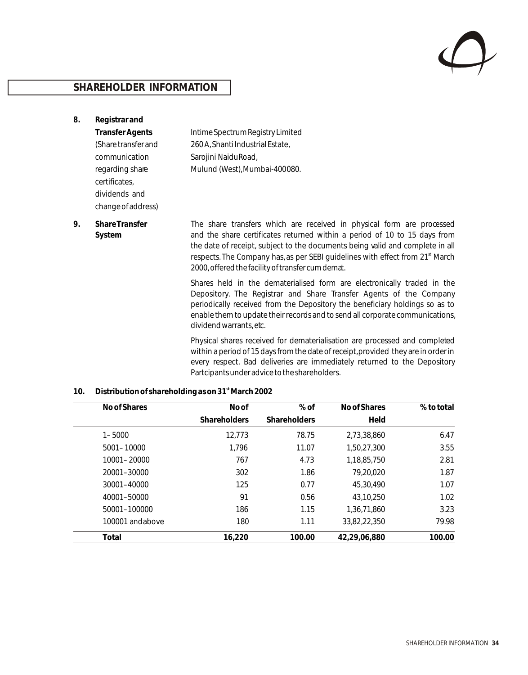

## **SHAREHOLDER INFORMATION**

**8. Registrar and Transfer Agents** Intime Spectrum Registry Limited (Share transfer and 260 A, Shanti Industrial Estate, communication Sarojini Naidu Road, regarding share Mulund (West), Mumbai-400080. certificates, dividends and

change of address) **9. Share Transfer** The share transfers which are received in physical form are processed **System** and the share certificates returned within a period of 10 to 15 days from the date of receipt, subject to the documents being valid and complete in all

2000, offered the facility of transfer cum demat.

Shares held in the dematerialised form are electronically traded in the Depository. The Registrar and Share Transfer Agents of the Company periodically received from the Depository the beneficiary holdings so as to enable them to update their records and to send all corporate communications, dividend warrants, etc.

respects. The Company has, as per SEBI guidelines with effect from 21<sup>st</sup> March

Physical shares received for dematerialisation are processed and completed within a period of 15 days from the date of receipt, provided they are in order in every respect. Bad deliveries are immediately returned to the Depository Partcipants under advice to the shareholders.

| 10. | Distribution of shareholding as on 31 <sup>st</sup> March 2002 |
|-----|----------------------------------------------------------------|
|-----|----------------------------------------------------------------|

| No of Shares    | No of               | $%$ of              | No of Shares | % to total |
|-----------------|---------------------|---------------------|--------------|------------|
|                 | <b>Shareholders</b> | <b>Shareholders</b> | Held         |            |
| $1 - 5000$      | 12,773              | 78.75               | 2,73,38,860  | 6.47       |
| 5001-10000      | 1,796               | 11.07               | 1,50,27,300  | 3.55       |
| 10001-20000     | 767                 | 4.73                | 1,18,85,750  | 2.81       |
| 20001-30000     | 302                 | 1.86                | 79,20,020    | 1.87       |
| 30001-40000     | 125                 | 0.77                | 45,30,490    | 1.07       |
| 40001-50000     | 91                  | 0.56                | 43,10,250    | 1.02       |
| 50001-100000    | 186                 | 1.15                | 1.36.71.860  | 3.23       |
| 100001 andabove | 180                 | 1.11                | 33,82,22,350 | 79.98      |
| Total           | 16,220              | 100.00              | 42.29.06.880 | 100.00     |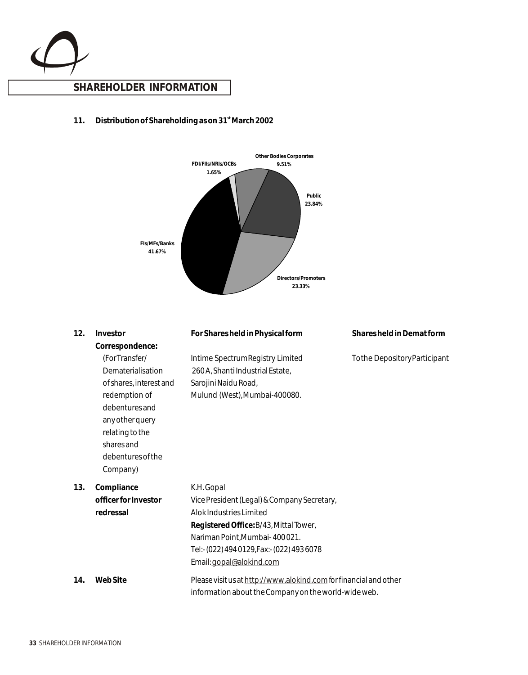

### 11. **Distribution of Shareholding as on 31<sup>st</sup> March 2002**



| 12. | Investor                                                                                                                                                                                                 | For Shares held in Physical form                                                                                                                                                                                                          | Shares held in Demat form     |
|-----|----------------------------------------------------------------------------------------------------------------------------------------------------------------------------------------------------------|-------------------------------------------------------------------------------------------------------------------------------------------------------------------------------------------------------------------------------------------|-------------------------------|
|     | Correspondence:<br>(ForTransfer/<br>Dematerialisation<br>of shares, interest and<br>redemption of<br>debentures and<br>any other query<br>relating to the<br>shares and<br>debentures of the<br>Company) | Intime Spectrum Registry Limited<br>260 A, Shanti Industrial Estate,<br>Sarojini Naidu Road,<br>Mulund (West), Mumbai-400080.                                                                                                             | To the Depository Participant |
| 13. | Compliance<br>officer for Investor<br>redressal                                                                                                                                                          | K.H. Gopal<br>Vice President (Legal) & Company Secretary,<br>Alok Industries Limited<br>Registered Office: B/43, Mittal Tower,<br>Nariman Point, Mumbai-400021.<br>Tel:- (022) 494 0129, Fax:- (022) 493 6078<br>Email: gopal@alokind.com |                               |
| 14. | <b>WebSite</b>                                                                                                                                                                                           | Please visit us at http://www.alokind.com for financial and other<br>information about the Company on the world-wide web.                                                                                                                 |                               |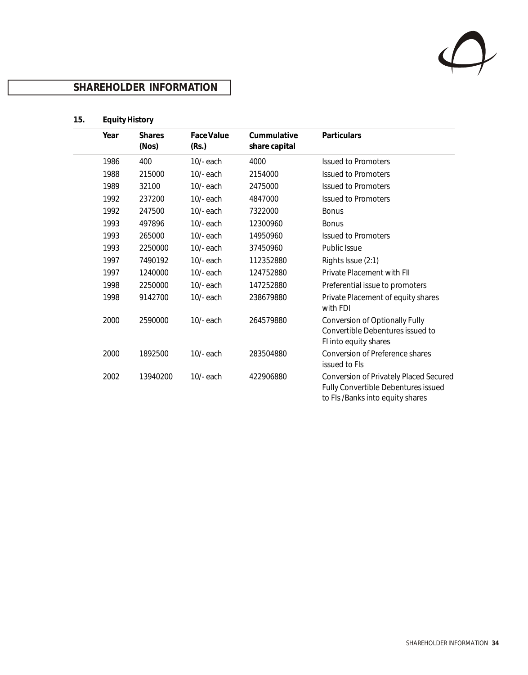

## **SHAREHOLDER INFORMATION**

## **15. Equity History**

| Year | <b>Shares</b><br>(Nos) | Face Value<br>(Rs.) | Cummulative<br>share capital | Particulars                                                                                                       |
|------|------------------------|---------------------|------------------------------|-------------------------------------------------------------------------------------------------------------------|
| 1986 | 400                    | $10/-$ each         | 4000                         | <b>Issued to Promoters</b>                                                                                        |
| 1988 | 215000                 | $10/-$ each         | 2154000                      | <b>Issued to Promoters</b>                                                                                        |
| 1989 | 32100                  | $10/-$ each         | 2475000                      | <b>Issued to Promoters</b>                                                                                        |
| 1992 | 237200                 | $10/-$ each         | 4847000                      | <b>Issued to Promoters</b>                                                                                        |
| 1992 | 247500                 | $10/-$ each         | 7322000                      | <b>Bonus</b>                                                                                                      |
| 1993 | 497896                 | $10/-$ each         | 12300960                     | <b>Bonus</b>                                                                                                      |
| 1993 | 265000                 | $10/-$ each         | 14950960                     | <b>Issued to Promoters</b>                                                                                        |
| 1993 | 2250000                | $10/-$ each         | 37450960                     | Public Issue                                                                                                      |
| 1997 | 7490192                | $10/-$ each         | 112352880                    | Rights Issue (2:1)                                                                                                |
| 1997 | 1240000                | $10/-$ each         | 124752880                    | Private Placement with FII                                                                                        |
| 1998 | 2250000                | $10/-$ each         | 147252880                    | Preferential issue to promoters                                                                                   |
| 1998 | 9142700                | $10/-$ each         | 238679880                    | Private Placement of equity shares<br>with FDI                                                                    |
| 2000 | 2590000                | $10/-$ each         | 264579880                    | <b>Conversion of Optionally Fully</b><br>Convertible Debentures issued to<br>FI into equity shares                |
| 2000 | 1892500                | $10/-$ each         | 283504880                    | Conversion of Preference shares<br>issued to FIs                                                                  |
| 2002 | 13940200               | $10/-$ each         | 422906880                    | Conversion of Privately Placed Secured<br>Fully Convertible Debentures issued<br>to FIs /Banks into equity shares |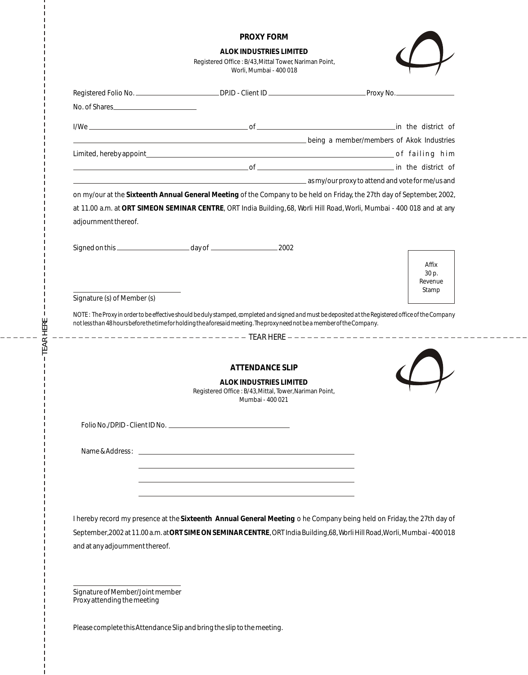|                                                                                                                          | <b>PROXY FORM</b>                                                                                                  |                                                                                                                                                     |
|--------------------------------------------------------------------------------------------------------------------------|--------------------------------------------------------------------------------------------------------------------|-----------------------------------------------------------------------------------------------------------------------------------------------------|
|                                                                                                                          | <b>ALOK INDUSTRIES LIMITED</b><br>Registered Office: B/43, Mittal Tower, Nariman Point,<br>Worli, Mumbai - 400 018 |                                                                                                                                                     |
|                                                                                                                          |                                                                                                                    |                                                                                                                                                     |
| No. of Shares                                                                                                            |                                                                                                                    |                                                                                                                                                     |
|                                                                                                                          |                                                                                                                    |                                                                                                                                                     |
|                                                                                                                          |                                                                                                                    | being a member/members of Akok Industries (Allen Land and The Land and The Land and The Land and The Land and T                                     |
|                                                                                                                          |                                                                                                                    |                                                                                                                                                     |
|                                                                                                                          |                                                                                                                    | and the district of the district of                                                                                                                 |
|                                                                                                                          |                                                                                                                    | as my/our proxy to attend and vote for me/us and                                                                                                    |
|                                                                                                                          |                                                                                                                    | on my/our at the Sixteenth Annual General Meeting of the Company to be held on Friday, the 27th day of September, 2002,                             |
|                                                                                                                          |                                                                                                                    | at 11.00 a.m. at ORT SIMEON SEMINAR CENTRE, ORT India Building, 68, Worli Hill Road, Worli, Mumbai - 400 018 and at any                             |
| adjournment thereof.                                                                                                     |                                                                                                                    |                                                                                                                                                     |
|                                                                                                                          |                                                                                                                    |                                                                                                                                                     |
|                                                                                                                          |                                                                                                                    |                                                                                                                                                     |
|                                                                                                                          |                                                                                                                    | Affix                                                                                                                                               |
|                                                                                                                          |                                                                                                                    | 30 p.                                                                                                                                               |
|                                                                                                                          |                                                                                                                    | Revenue<br>Stamp                                                                                                                                    |
| Signature (s) of Member (s)                                                                                              |                                                                                                                    |                                                                                                                                                     |
| not less than 48 hours before the time for holding the aforesaid meeting. The proxy need not be a member of the Company. |                                                                                                                    | NOTE: The Proxy in order to be effective should be duly stamped, completed and signed and must be deposited at the Registered office of the Company |
|                                                                                                                          |                                                                                                                    |                                                                                                                                                     |
|                                                                                                                          |                                                                                                                    |                                                                                                                                                     |
|                                                                                                                          | <b>ATTENDANCE SLIP</b>                                                                                             |                                                                                                                                                     |
|                                                                                                                          | ALOK INDUSTRIES LIMITED                                                                                            |                                                                                                                                                     |
|                                                                                                                          | Registered Office: B/43, Mittal, Tower, Nariman Point,<br>Mumbai - 400 021                                         |                                                                                                                                                     |
|                                                                                                                          |                                                                                                                    |                                                                                                                                                     |
|                                                                                                                          |                                                                                                                    |                                                                                                                                                     |
|                                                                                                                          |                                                                                                                    |                                                                                                                                                     |
|                                                                                                                          |                                                                                                                    |                                                                                                                                                     |
|                                                                                                                          |                                                                                                                    |                                                                                                                                                     |
|                                                                                                                          |                                                                                                                    |                                                                                                                                                     |
|                                                                                                                          |                                                                                                                    |                                                                                                                                                     |

I hereby record my presence at the **Sixteenth Annual General Meeting** o he Company being held on Friday, the 27th day of September, 2002 at 11.00 a.m. at **ORT SIME ON SEMINAR CENTRE**, ORT India Building, 68, Worli Hill Road, Worli, Mumbai - 400 018 and at any adjournment thereof.

Signature of Member/Joint member Proxy attending the meeting

TEA RHERE

 $\overline{\phantom{a}}$ 

Please complete this Attendance Slip and bring the slip to the meeting.